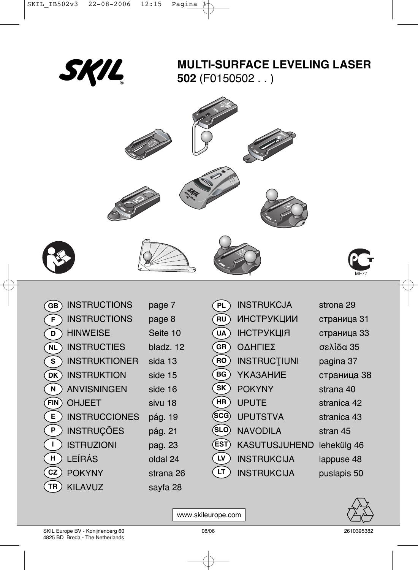

# **MULTI-SURFACE LEVELING LASER 502** (F0150502 . . )







| PL         | INSTRUKCJA    |
|------------|---------------|
| RU         | ИНСТРУКЦИИ    |
| UA         | ІНСТРУКЦІЯ    |
| GR         | ΟΛΗΓΙΕΣ       |
| RO         | INSTRUCTIUNI  |
| BG         | ҮКАЗАНИЕ      |
| <b>SK</b>  | <b>POKYNY</b> |
| HR         | UPUTE         |
| (SCG       | UPUTSTVA      |
| (SLO       | NAVODILA      |
| <b>EST</b> | KASUTUSJUHEND |
| LV         | INSTRUKCIJA   |
| LT         | INSTRUKCIJA   |
|            |               |



strona 29

страница 31

страница 33

σελίδα 35

pagina 37

страница 38

strana 40

stranica 42

stranica 43

stran 45

lehekülg 46

lappuse 48

puslapis 50

www.skileurope.com

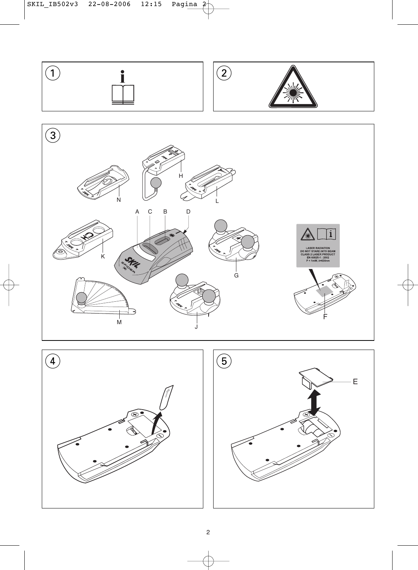

2

 $\overline{\oplus}$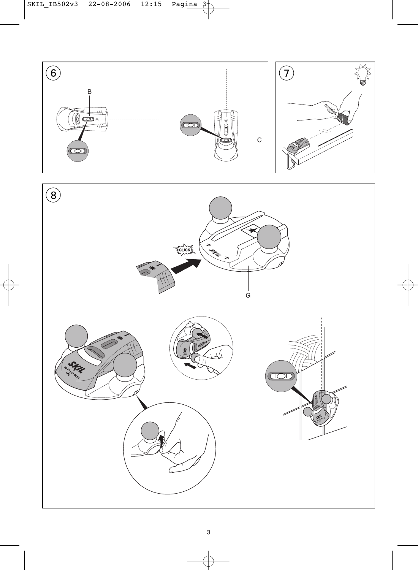

 $\oplus$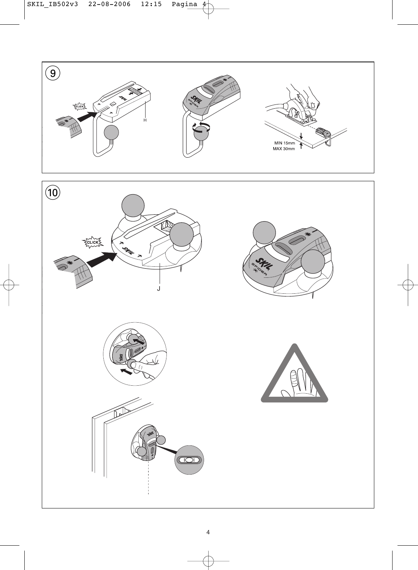

 $\oplus$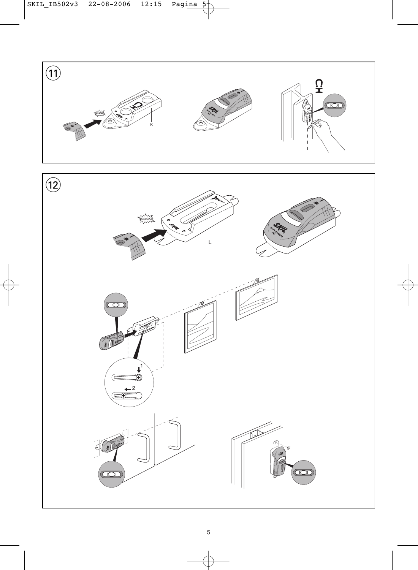

 $\color{red} \bigoplus$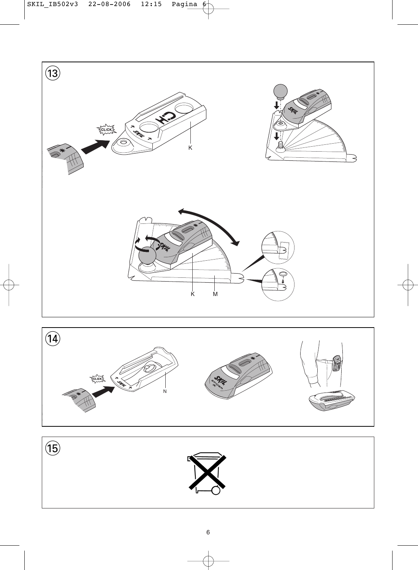

 $\color{red} \bigoplus$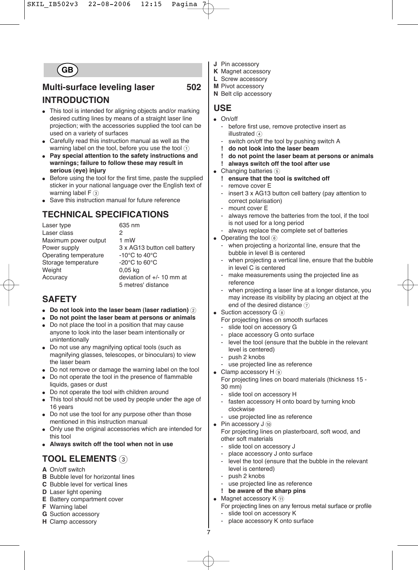![](_page_6_Picture_1.jpeg)

### **Multi-surface leveling laser 502 INTRODUCTION**

- This tool is intended for aligning objects and/or marking desired cutting lines by means of a straight laser line projection; with the accessories supplied the tool can be used on a variety of surfaces
- Carefully read this instruction manual as well as the warning label on the tool, before you use the tool  $(i)$
- **Pay special attention to the safety instructions and warnings; failure to follow these may result in serious (eye) injury**
- Before using the tool for the first time, paste the supplied sticker in your national language over the English text of warning label  $F(3)$
- Save this instruction manual for future reference

#### **TECHNICAL SPECIFICATIONS**

| Laser type            | 635 nm                              |
|-----------------------|-------------------------------------|
| Laser class           | 2                                   |
| Maximum power output  | 1 mW                                |
| Power supply          | 3 x AG13 button cell battery        |
| Operating temperature | -10 $^{\circ}$ C to 40 $^{\circ}$ C |
| Storage temperature   | -20 $^{\circ}$ C to 60 $^{\circ}$ C |
| Weight                | $0.05$ ka                           |
| Accuracy              | deviation of $+/-$ 10 mm at         |
|                       | 5 metres' distance                  |

#### **SAFETY**

- **Do not look into the laser beam (laser radiation)** 2
- **Do not point the laser beam at persons or animals** Do not place the tool in a position that may cause
- anyone to look into the laser beam intentionally or unintentionally • Do not use any magnifying optical tools (such as
- magnifying glasses, telescopes, or binoculars) to view the laser beam
- Do not remove or damage the warning label on the tool
- Do not operate the tool in the presence of flammable liquids, gases or dust
- Do not operate the tool with children around
- This tool should not be used by people under the age of 16 years
- Do not use the tool for any purpose other than those mentioned in this instruction manual
- Only use the original accessories which are intended for this tool
- **Always switch off the tool when not in use**

### **TOOL ELEMENTS 3**

- **A** On/off switch
- **B** Bubble level for horizontal lines
- **C** Bubble level for vertical lines
- **D** Laser light opening
- **E** Battery compartment cover
- **F** Warning label
- **G** Suction accessory
- **H** Clamp accessory
- **J** Pin accessory
- **K** Magnet accessory
- **L** Screw accessory
- **M** Pivot accessory
- **N** Belt clip accessory

#### **USE**

- On/off
	- before first use, remove protective insert as illustrated  $\widehat{4}$
	- switch on/off the tool by pushing switch A
	- **! do not look into the laser beam**
	- **! do not point the laser beam at persons or animals**
	- **! always switch off the tool after use**
- Changing batteries  $(5)$ 
	- **! ensure that the tool is switched off**
	- remove cover E
	- insert 3 x AG13 button cell battery (pay attention to correct polarisation)
	- mount cover E
	- always remove the batteries from the tool, if the tool is not used for a long period
	- always replace the complete set of batteries
- Operating the tool  $\circledcirc$ 
	- when projecting a horizontal line, ensure that the bubble in level B is centered
	- when projecting a vertical line, ensure that the bubble in level C is centered
	- make measurements using the projected line as reference
	- when projecting a laser line at a longer distance, you may increase its visibility by placing an object at the end of the desired distance  $(\bar{\tau})$
- Suction accessory  $G$   $(8)$ 
	- For projecting lines on smooth surfaces
	- slide tool on accessory G
	- place accessory G onto surface
	- level the tool (ensure that the bubble in the relevant level is centered)
	- push 2 knobs
	- use projected line as reference
- Clamp accessory  $H$   $(9)$
- For projecting lines on board materials (thickness 15 30 mm)
- slide tool on accessory H
- fasten accessory H onto board by turning knob clockwise
- use projected line as reference
- $\bullet$  Pin accessory  $J(0)$

For projecting lines on plasterboard, soft wood, and other soft materials

- slide tool on accessory J
- place accessory J onto surface
- level the tool (ensure that the bubble in the relevant level is centered)
- push 2 knobs

7

- use projected line as reference
- **! be aware of the sharp pins**
- $\bullet$  Magnet accessory  $K$   $\Omega$ 
	- For projecting lines on any ferrous metal surface or profile
	- slide tool on accessory K
	- place accessory K onto surface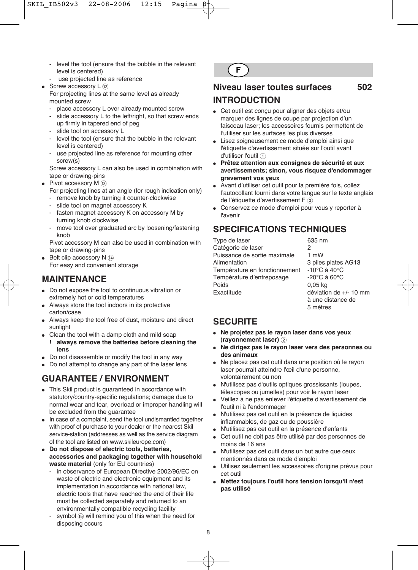- level the tool (ensure that the bubble in the relevant level is centered)
- use projected line as reference
- Screw accessory L (12)

For projecting lines at the same level as already mounted screw

- place accessory L over already mounted screw
- slide accessory L to the left/right, so that screw ends up firmly in tapered end of peg
- slide tool on accessory L
- level the tool (ensure that the bubble in the relevant level is centered)
- use projected line as reference for mounting other screw(s)

Screw accessory L can also be used in combination with tape or drawing-pins

 $\bullet$  Pivot accessory M $(3)$ 

For projecting lines at an angle (for rough indication only)

- remove knob by turning it counter-clockwise
- slide tool on magnet accessory K
- fasten magnet accessory K on accessory M by turning knob clockwise
- move tool over graduated arc by loosening/fastening knob

Pivot accessory M can also be used in combination with tape or drawing-pins

 $\bullet$  Belt clip accessory N  $(A)$ For easy and convenient storage

#### **MAINTENANCE**

- Do not expose the tool to continuous vibration or extremely hot or cold temperatures
- Always store the tool indoors in its protective carton/case
- Always keep the tool free of dust, moisture and direct sunlight
- Clean the tool with a damp cloth and mild soap **! always remove the batteries before cleaning the lens**
- Do not disassemble or modify the tool in any way
- Do not attempt to change any part of the laser lens

#### **GUARANTEE / ENVIRONMENT**

- This Skil product is guaranteed in accordance with statutory/country-specific regulations; damage due to normal wear and tear, overload or improper handling will be excluded from the guarantee
- In case of a complaint, send the tool undismantled together with proof of purchase to your dealer or the nearest Skil service-station (addresses as well as the service diagram of the tool are listed on www.skileurope.com)
- **Do not dispose of electric tools, batteries, accessories and packaging together with household waste material** (only for EU countries)
	- in observance of European Directive 2002/96/EC on waste of electric and electronic equipment and its implementation in accordance with national law, electric tools that have reached the end of their life must be collected separately and returned to an environmentally compatible recycling facility
	- symbol (is) will remind you of this when the need for disposing occurs

**F**

#### **Niveau laser toutes surfaces 502 INTRODUCTION**

- Cet outil est conçu pour aligner des objets et/ou marquer des lignes de coupe par projection d'un faisceau laser; les accessoires fournis permettent de l'utiliser sur les surfaces les plus diverses
- Lisez soigneusement ce mode d'emploi ainsi que l'étiquette d'avertissement située sur l'outil avant d'utiliser l'outil 1
- Prêtez attention aux consignes de sécurité et aux **avertissements; sinon, vous risquez d'endommager gravement vos yeux**
- Avant d'utiliser cet outil pour la première fois, collez l'autocollant fourni dans votre langue sur le texte anglais de l'étiquette d'avertissement F 3
- Conservez ce mode d'emploi pour vous y reporter à l'avenir

#### **SPECIFICATIONS TECHNIQUES**

Type de laser 635 nm Catégorie de laser 2 Puissance de sortie maximale 1 mW<br>Alimentation 3 piles Température en fonctionnement -10°C à 40°C Température d'entreposage -20°C à 60°C<br>Poids 0.05 kg Exactitude déviation de +/- 10 mm

3 piles plates AG13  $0.05$  kg à une distance de 5 mètres

#### **SECURITE**

8

- **Ne projetez pas le rayon laser dans vos yeux (rayonnement laser)** 2
- Ne dirigez pas le rayon laser vers des personnes ou **des animaux**
- Ne placez pas cet outil dans une position où le rayon laser pourrait atteindre l'œil d'une personne, volontairement ou non
- N'utilisez pas d'outils optiques grossissants (loupes, télescopes ou jumelles) pour voir le rayon laser
- Veillez à ne pas enlever l'étiquette d'avertissement de l'outil ni à l'endommager
- N'utilisez pas cet outil en la présence de liquides inflammables, de gaz ou de poussière
- N'utilisez pas cet outil en la présence d'enfants
- Cet outil ne doit pas être utilisé par des personnes de moins de 16 ans
- N'utilisez pas cet outil dans un but autre que ceux mentionnés dans ce mode d'emploi
- Utilisez seulement les accessoires d'origine prévus pour cet outil
- **Mettez toujours l'outil hors tension lorsqu'il n'est pas utilisé**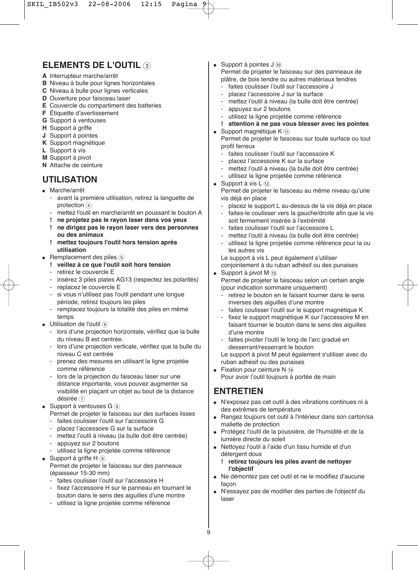#### **ELEMENTS DE L'OUTIL** 3

- **A** Interrupteur marche/arrêt
- **B** Niveau à bulle pour lignes horizontales
- **C** Niveau à bulle pour lignes verticales
- **D** Ouverture pour faisceau laser
- **E** Couvercle du compartiment des batteries
- **F** Étiquette d'avertissement
- **G** Support à ventouses
- **H** Support à griffe
- **J** Support à pointes
- **K** Support magnétique
- **L** Support à vis
- **M** Support à pivot
- **N** Attache de ceinture

### **UTILISATION**

- Marche/arrêt
	- avant la première utilisation, retirez la languette de protection (4)
	- mettez l'outil en marche/arrêt en poussant le bouton A
	- **! ne projetez pas le rayon laser dans vos yeux**
	- **! ne dirigez pas le rayon laser vers des personnes ou des animaux**
	- **! mettez toujours l'outil hors tension après utilisation**
- Remplacement des piles 5
- **! veillez à ce que l'outil soit hors tension**
- retirez le couvercle E
- insérez 3 piles plates AG13 (respectez les polarités)
- replacez le couvercle E
- si vous n'utilisez pas l'outil pendant une longue période, retirez toujours les piles
- remplacez toujours la totalité des piles en même temps
- $\bullet$  Utilisation de l'outil  $\circledcirc$ 
	- lors d'une projection horizontale, vérifiez que la bulle du niveau B est centrée.
	- lors d'une projection verticale, vérifiez que la bulle du niveau C est centrée
	- prenez des mesures en utilisant la ligne projetée comme référence
	- lors de la projection du faisceau laser sur une distance importante, vous pouvez augmenter sa visibilité en plaçant un objet au bout de la distance désirée (7)
- Support à ventouses  $G$   $(8)$ 
	- Permet de projeter le faisceau sur des surfaces lisses
	- faites coulisser l'outil sur l'accessoire G
	- placez l'accessoire G sur la surface
	- mettez l'outil à niveau (la bulle doit être centrée)
	- appuyez sur 2 boutons
	- utilisez la ligne projetée comme référence
- Support à griffe  $H(\overline{9})$ 
	- Permet de projeter le faisceau sur des panneaux (épaisseur 15-30 mm)
	- faites coulisser l'outil sur l'accessoire H
	- fixez l'accessoire H sur le panneau en tournant le bouton dans le sens des aiguilles d'une montre
	- utilisez la ligne projetée comme référence

Support à pointes  $J(0)$ 

Permet de projeter le faisceau sur des panneaux de plâtre, de bois tendre ou autres matériaux tendres

- faites coulisser l'outil sur l'accessoire J
- placez l'accessoire J sur la surface
- mettez l'outil à niveau (la bulle doit être centrée)
- appuyez sur 2 boutons
- utilisez la ligne projetée comme référence
- **! attention à ne pas vous blesser avec les pointes**
- $\bullet$  Support magnétique K $\mathfrak{m}$ 
	- Permet de projeter le faisceau sur toute surface ou tout profil ferreux
	- faites coulisser l'outil sur l'accessoire K
	- placez l'accessoire K sur la surface
	- mettez l'outil à niveau (la bulle doit être centrée)
	- utilisez la ligne projetée comme référence
- Support à vis  $L(12)$ 
	- Permet de projeter le faisceau au même niveau qu'une vis déjà en place
	- placez le support L au-dessus de la vis déjà en place
	- faites-le coulisser vers la gauche/droite afin que la vis soit fermement insérée à l'extrémité
	- faites coulisser l'outil sur l'accessoire L
	- mettez l'outil à niveau (la bulle doit être centrée)
	- utilisez la ligne projetée comme référence pour la ou les autres vis
	- Le support à vis L peut également s'utiliser conjointement à du ruban adhésif ou des punaises
- Support à pivot M  $(3)$ Permet de projeter le faisceau selon un certain angle (pour indication sommaire uniquement)
	- retirez le bouton en le faisant tourner dans le sens inverses des aiguilles d'une montre
	- faites coulisser l'outil sur le support magnétique K
	- fixez le support magnétique K sur l'accessoire M en faisant tourner le bouton dans le sens des aiguilles d'une montre
	- faites pivoter l'outil le long de l'arc gradué en desserrant/resserrant le bouton
	- Le support à pivot M peut également s'utiliser avec du ruban adhésif ou des punaises
- Fixation pour ceinture  $N$   $(14)$ Pour avoir l'outil toujours à portée de main

#### **ENTRETIEN**

9

- N'exposez pas cet outil à des vibrations continues ni à des extrêmes de température
- Rangez toujours cet outil à l'intérieur dans son carton/sa mallette de protection
- Protégez l'outil de la poussière, de l'humidité et de la lumière directe du soleil
- Nettoyez l'outil à l'aide d'un tissu humide et d'un détergent doux
- **! retirez toujours les piles avant de nettoyer l'objectif**
- Ne démontez pas cet outil et ne le modifiez d'aucune façon
- N'essayez pas de modifier des parties de l'objectif du laser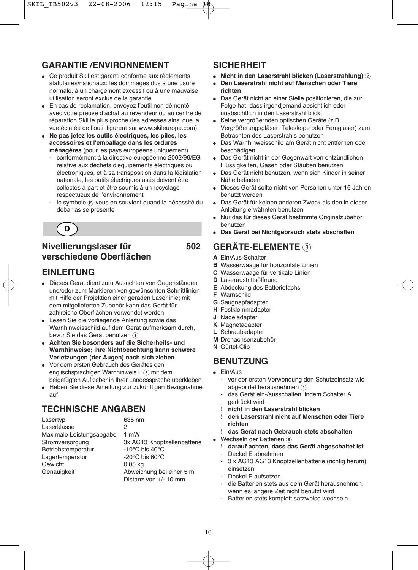#### **GARANTIE /ENVIRONNEMENT**

- Ce produit Skil est garanti conforme aux règlements statutaires/nationaux; les dommages dus à une usure normale, à un chargement excessif ou à une mauvaise utilisation seront exclus de la garantie
- En cas de réclamation, envoyez l'outil non démonté avec votre preuve d'achat au revendeur ou au centre de réparation Skil le plus proche (les adresses ainsi que la vue éclatée de l'outil figurent sur www.skileurope.com)
- **Ne pas jetez les outils électriques, les piles, les accessoires et l'emballage dans les ordures ménagères** (pour les pays européens uniquement)
	- conformément à la directive européenne 2002/96/EG relative aux déchets d'équipements électriques ou électroniques, et à sa transposition dans la législation nationale, les outils électriques usés doivent être collectés à part et être soumis à un recyclage respectueux de l'environnement
	- le symbole (6) vous en souvient quand la nécessité du débarras se présente

# **D**

#### **Nivellierungslaser für 502 verschiedene Oberflächen**

### **EINLEITUNG**

- Dieses Gerät dient zum Ausrichten von Gegenständen und/oder zum Markieren von gewünschten Schnittlinien mit Hilfe der Projektion einer geraden Laserlinie; mit dem mitgelieferten Zubehör kann das Gerät für zahlreiche Oberflächen verwendet werden
- Lesen Sie die vorliegende Anleitung sowie das Warnhinweisschild auf dem Gerät aufmerksam durch, bevor Sie das Gerät benutzen (1)
- **Achten Sie besonders auf die Sicherheits- und Warnhinweise; ihre Nichtbeachtung kann schwere Verletzungen (der Augen) nach sich ziehen**
- Vor dem ersten Gebrauch des Gerätes den englischsprachigen Warnhinweis F 3 mit dem beigefügten Aufkleber in Ihrer Landessprache überkleben
- Heben Sie diese Anleitung zur zukünftigen Bezugnahme auf

### **TECHNISCHE ANGABEN**

Lasertyp 635 nm Laserklasse 2 Maximale Leistungsabgabe 1 mW Betriebstemperatur -10°C bis 40°C<br>Lagertemperatur -20°C bis 60°C Lagertemperatur Gewicht 0,05 kg

Stromversorgung 3x AG13 Knopfzellenbatterie Genauigkeit Abweichung bei einer 5 m Distanz von +/- 10 mm

#### **SICHERHEIT**

- **Nicht in den Laserstrahl blicken (Laserstrahlung)**  $\widehat{2}$
- **Den Laserstrahl nicht auf Menschen oder Tiere richten**
- Das Gerät nicht an einer Stelle positionieren, die zur Folge hat, dass irgendjemand absichtlich oder unabsichtlich in den Laserstrahl blickt
- Keine vergrößernden optischen Geräte (z.B. Vergrößerungsgläser, Teleskope oder Ferngläser) zum Betrachten des Laserstrahls benutzen
- Das Warnhinweisschild am Gerät nicht entfernen oder beschädigen
- Das Gerät nicht in der Gegenwart von entzündlichen Flüssigkeiten, Gasen oder Stäuben benutzen
- Das Gerät nicht benutzen, wenn sich Kinder in seiner Nähe befinden
- Dieses Gerät sollte nicht von Personen unter 16 Jahren benutzt werden
- Das Gerät für keinen anderen Zweck als den in dieser Anleitung erwähnten benutzen
- Nur das für dieses Gerät bestimmte Originalzubehör benutzen
- **Das Gerät bei Nichtgebrauch stets abschalten**

#### **GERÄTE-ELEMENTE** 3

- **A** Ein/Aus-Schalter
- **B** Wasserwaage für horizontale Linien
- **C** Wasserwaage für vertikale Linien
- **D** Laseraustrittsöffnung
- **E** Abdeckung des Batteriefachs
- **F** Warnschild
- **G** Saugnapfadapter
- **H** Festklemmadapter
- **J** Nadeladapter
- **K** Magnetadapter
- **L** Schraubadapter
- **M** Drehachsenzubehör
- **N** Gürtel-Clip

### **BENUTZUNG**

- Ein/Aus
	- vor der ersten Verwendung den Schutzeinsatz wie abgebildet herausnehmen (4)
	- das Gerät ein-/ausschalten, indem Schalter A gedrückt wird
	- **! nicht in den Laserstrahl blicken**
	- **! den Laserstrahl nicht auf Menschen oder Tiere richten**
	- **! das Gerät nach Gebrauch stets abschalten**
- $\bullet$  Wechseln der Batterien  $\circ$ 
	- **! darauf achten, dass das Gerät abgeschaltet ist**
	- Deckel E abnehmen
	- 3 x AG13 AG13 Knopfzellenbatterie (richtig herum) einsetzen
	- Deckel E aufsetzen
	- die Batterien stets aus dem Gerät herausnehmen, wenn es längere Zeit nicht benutzt wird
	- Batterien stets komplett satzweise wechseln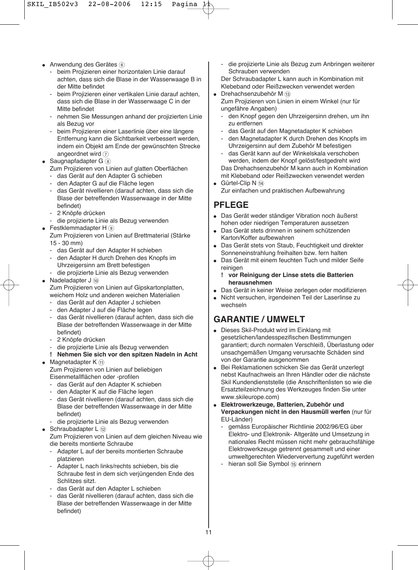- Anwendung des Gerätes 6
	- beim Projizieren einer horizontalen Linie darauf achten, dass sich die Blase in der Wasserwaage B in der Mitte befindet
	- beim Projizieren einer vertikalen Linie darauf achten, dass sich die Blase in der Wasserwaage C in der Mitte befindet
	- nehmen Sie Messungen anhand der projizierten Linie als Bezug vor
	- beim Projizieren einer Laserlinie über eine längere Entfernung kann die Sichtbarkeit verbessert werden, indem ein Objekt am Ende der gewünschten Strecke angeordnet wird  $(7)$
- Saugnapfadapter  $G$   $(8)$ 
	- Zum Projizieren von Linien auf glatten Oberflächen
	- das Gerät auf den Adapter G schieben
	- den Adapter G auf die Fläche legen
	- das Gerät nivellieren (darauf achten, dass sich die Blase der betreffenden Wasserwaage in der Mitte befindet)
	- 2 Knöpfe drücken
	- die projizierte Linie als Bezug verwenden
- Festklemmadapter  $H(\widehat{9})$

Zum Projizieren von Linien auf Brettmaterial (Stärke 15 - 30 mm)

- das Gerät auf den Adapter H schieben
- den Adapter H durch Drehen des Knopfs im Uhrzeigersinn am Brett befestigen
- die projizierte Linie als Bezug verwenden
- Nadeladapter J (10)
- Zum Projizieren von Linien auf Gipskartonplatten, weichem Holz und anderen weichen Materialien
- das Gerät auf den Adapter J schieben
- den Adapter J auf die Fläche legen
- das Gerät nivellieren (darauf achten, dass sich die Blase der betreffenden Wasserwaage in der Mitte befindet)
- 2 Knöpfe drücken
- die projizierte Linie als Bezug verwenden
- **! Nehmen Sie sich vor den spitzen Nadeln in Acht** • Magnetadapter  $K$   $(1)$ 
	- Zum Projizieren von Linien auf beliebigen Eisenmetallflächen oder -profilen
	- das Gerät auf den Adapter K schieben
	- den Adapter K auf die Fläche legen
	- das Gerät nivellieren (darauf achten, dass sich die Blase der betreffenden Wasserwaage in der Mitte befindet)
	- die projizierte Linie als Bezug verwenden
- Schraubadapter L (12) Zum Projizieren von Linien auf dem gleichen Niveau wie die bereits montierte Schraube
	- Adapter L auf der bereits montierten Schraube platzieren
	- Adapter L nach links/rechts schieben, bis die Schraube fest in dem sich verjüngenden Ende des Schlitzes sitzt.
	- das Gerät auf den Adapter L schieben
	- das Gerät nivellieren (darauf achten, dass sich die Blase der betreffenden Wasserwaage in der Mitte befindet)
- die projizierte Linie als Bezug zum Anbringen weiterer Schrauben verwenden
- Der Schraubadapter L kann auch in Kombination mit Klebeband oder Reißzwecken verwendet werden
- Drehachsenzubehör M (13) Zum Projizieren von Linien in einem Winkel (nur für ungefähre Angaben)
- den Knopf gegen den Uhrzeigersinn drehen, um ihn zu entfernen
- das Gerät auf den Magnetadapter K schieben
- den Magnetadapter K durch Drehen des Knopfs im Uhrzeigersinn auf dem Zubehör M befestigen
- das Gerät kann auf der Winkelskala verschoben werden, indem der Knopf gelöst/festgedreht wird Das Drehachsenzubehör M kann auch in Kombination mit Klebeband oder Reißzwecken verwendet werden  $\bullet$  Gürtel-Clip N  $<sup>(4)</sup>$ </sup>
	- Zur einfachen und praktischen Aufbewahrung

#### **PFLEGE**

- Das Gerät weder ständiger Vibration noch äußerst hohen oder niedrigen Temperaturen aussetzen
- Das Gerät stets drinnen in seinem schützenden Karton/Koffer aufbewahren
- Das Gerät stets von Staub, Feuchtigkeit und direkter Sonneneinstrahlung freihalten bzw. fern halten
- Das Gerät mit einem feuchten Tuch und milder Seife reinigen
	- **! vor Reinigung der Linse stets die Batterien herausnehmen**
- Das Gerät in keiner Weise zerlegen oder modifizieren
- Nicht versuchen, irgendeinen Teil der Laserlinse zu wechseln

#### **GARANTIE / UMWELT**

- Dieses Skil-Produkt wird im Einklang mit gesetzlichen/landesspezifischen Bestimmungen garantiert; durch normalen Verschleiß, Überlastung oder unsachgemäßen Umgang verursachte Schäden sind von der Garantie ausgenommen
- Bei Reklamationen schicken Sie das Gerät unzerlegt nebst Kaufnachweis an Ihren Händler oder die nächste Skil Kundendienststelle (die Anschriftenlisten so wie die Ersatzteilzeichnung des Werkzeuges finden Sie unter www.skileurope.com)
- **Elektrowerkzeuge, Batterien, Zubehör und Verpackungen nicht in den Hausmüll werfen** (nur für EU-Länder)
	- gemäss Europäischer Richtlinie 2002/96/EG über Elektro- und Elektronik- Altgeräte und Umsetzung in nationales Recht müssen nicht mehr gebrauchsfähige Elektrowerkzeuge getrennt gesammelt und einer umweltgerechten Wiederververtung zugeführt werden
	- hieran soll Sie Symbol (is) erinnern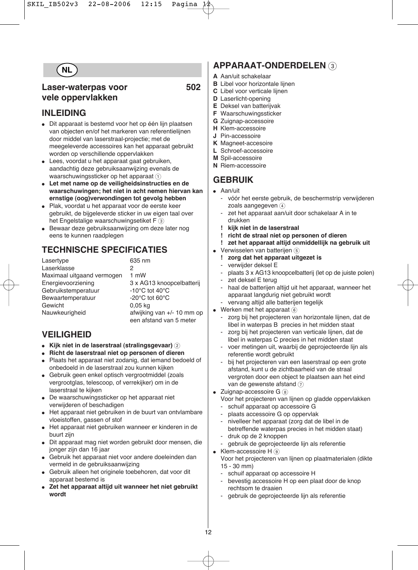![](_page_11_Picture_1.jpeg)

### Laser-waterpas voor **502 vele oppervlakken**

#### **INLEIDING**

- Dit apparaat is bestemd voor het op één lijn plaatsen van objecten en/of het markeren van referentielijnen door middel van laserstraal-projectie; met de meegeleverde accessoires kan het apparaat gebruikt worden op verschillende oppervlakken
- Lees, voordat u het apparaat gaat gebruiken, aandachtig deze gebruiksaanwijzing evenals de waarschuwingssticker op het apparaat 1
- **Let met name op de veiligheidsinstructies en de waarschuwingen; het niet in acht nemen hiervan kan ernstige (oog)verwondingen tot gevolg hebben**
- Plak, voordat u het apparaat voor de eerste keer gebruikt, de bijgeleverde sticker in uw eigen taal over het Engelstalige waarschuwingsetiket F 3
- Bewaar deze gebruiksaanwijzing om deze later nog eens te kunnen raadplegen

### **TECHNISCHE SPECIFICATIES**

Lasertype 635 nm Laserklasse 2 Maximaal uitgaand vermogen 1 mW<br>Energievoorziening 3 x AC 3 x AG13 knoopcelbatterij Gebruikstemperatuur -10°C tot 40°C Bewaartemperatuur -20°C tot 60°C<br>Gewicht - 0.05 kg  $0.05$  kg Nauwkeurigheid afwijking van +/- 10 mm op een afstand van 5 meter

#### **VEILIGHEID**

- **Kijk niet in de laserstraal (stralingsgevaar)** 2
- **Richt de laserstraal niet op personen of dieren**
- Plaats het apparaat niet zodanig, dat iemand bedoeld of onbedoeld in de laserstraal zou kunnen kijken
- Gebruik geen enkel optisch vergrootmiddel (zoals vergrootglas, telescoop, of verrekijker) om in de laserstraal te kijken
- De waarschuwingssticker op het apparaat niet verwijderen of beschadigen
- Het apparaat niet gebruiken in de buurt van ontvlambare vloeistoffen, gassen of stof
- Het apparaat niet gebruiken wanneer er kinderen in de buurt zijn
- Dit apparaat mag niet worden gebruikt door mensen, die jonger zijn dan 16 jaar
- Gebruik het apparaat niet voor andere doeleinden dan vermeld in de gebruiksaanwijzing
- Gebruik alleen het originele toebehoren, dat voor dit apparaat bestemd is
- **Zet het apparaat altijd uit wanneer het niet gebruikt wordt**

### **APPARAAT-ONDERDELEN** 3

- **A** Aan/uit schakelaar
- **B** Libel voor horizontale lijnen
- **C** Libel voor verticale lijnen
- **D** Laserlicht-opening
- **E** Deksel van batterijvak
- **F** Waarschuwingssticker
- **G** Zuignap-accessoire
- **H** Klem-accessoire
- **J** Pin-accessoire
- **K** Magneet-accesoire **L** Schroef-accessoire
- **M** Spil-accessoire
- **N** Riem-accessoire

### **GEBRUIK**

- Aan/uit
	- vóór het eerste gebruik, de beschermstrip verwijderen zoals aangegeven  $\left(4\right)$
	- zet het apparaat aan/uit door schakelaar A in te drukken
	- **! kijk niet in de laserstraal**
	- **! richt de straal niet op personen of dieren**
	- **! zet het apparaat altijd onmiddellijk na gebruik uit**
- Verwisselen van batterijen (5)
- **! zorg dat het apparaat uitgezet is**
- verwijder deksel E
- plaats 3 x AG13 knoopcelbatterij (let op de juiste polen)
- zet deksel E terug
- haal de batterijen altijd uit het apparaat, wanneer het apparaat langdurig niet gebruikt wordt
- vervang altijd alle batterijen tegelijk
- $\bullet$  Werken met het apparaat  $\circledcirc$ 
	- zorg bij het projecteren van horizontale lijnen, dat de libel in waterpas B precies in het midden staat
	- zorg bij het projecteren van verticale lijnen, dat de libel in waterpas C precies in het midden staat
	- voer metingen uit, waarbij de geprojecteerde lijn als referentie wordt gebruikt
	- bij het projecteren van een laserstraal op een grote afstand, kunt u de zichtbaarheid van de straal vergroten door een object te plaatsen aan het eind van de gewenste afstand  $\widehat{r}$
- Zuignap-accessoire  $G$   $(8)$ 
	- Voor het projecteren van lijnen op gladde oppervlakken
	- schuif apparaat op accessoire G
	- plaats accessoire G op oppervlak
	- nivelleer het apparaat (zorg dat de libel in de betreffende waterpas precies in het midden staat)
	- druk op de 2 knoppen
	- gebruik de geprojecteerde lijn als referentie
- Klem-accessoire  $H(9)$ 
	- Voor het projecteren van lijnen op plaatmaterialen (dikte 15 - 30 mm)
	- schuif apparaat op accessoire H
	- bevestig accessoire H op een plaat door de knop rechtsom te draaien
	- gebruik de geprojecteerde lijn als referentie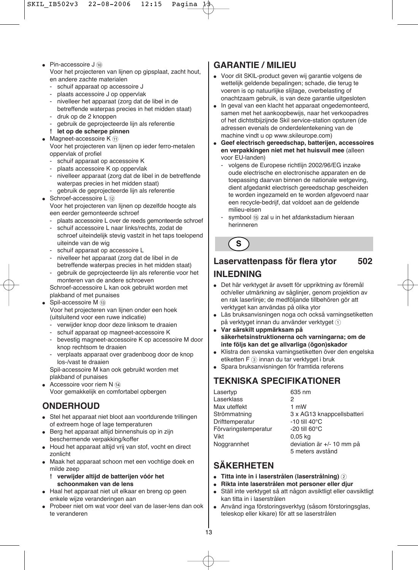• Pin-accessoire J @

Voor het projecteren van lijnen op gipsplaat, zacht hout, en andere zachte materialen

- schuif apparaat op accessoire J
- plaats accessoire J op oppervlak
- nivelleer het apparaat (zorg dat de libel in de betreffende waterpas precies in het midden staat)
- druk op de 2 knoppen
- gebruik de geprojecteerde lijn als referentie
- **! let op de scherpe pinnen**

 $\bullet$  Magneet-accessoire K $(n)$ Voor het projecteren van lijnen op ieder ferro-metalen oppervlak of profiel

- schuif apparaat op accessoire K
- plaats accessoire K op oppervlak
- nivelleer apparaat (zorg dat de libel in de betreffende waterpas precies in het midden staat)

gebruik de geprojecteerde lijn als referentie

 $\bullet$  Schroef-accessoire L $(12)$ 

Voor het projecteren van lijnen op dezelfde hoogte als een eerder gemonteerde schroef

- plaats accessoire L over de reeds gemonteerde schroef
- schuif accessoire L naar links/rechts, zodat de schroef uiteindelijk stevig vastzit in het taps toelopend uiteinde van de wig
- schuif apparaat op accessoire L
- nivelleer het apparaat (zorg dat de libel in de betreffende waterpas precies in het midden staat)
- gebruik de geprojecteerde lijn als referentie voor het monteren van de andere schroeven
- Schroef-accessoire L kan ook gebruikt worden met plakband of met punaises Spil-accessoire M  $(3)$
- Voor het projecteren van lijnen onder een hoek (uitsluitend voor een ruwe indicatie)
- verwijder knop door deze linksom te draaien
- schuif apparaat op magneet-accessoire K
- bevestig magneet-accessoire K op accessoire M door knop rechtsom te draaien
- verplaats apparaat over gradenboog door de knop los-/vast te draaien

Spil-accessoire M kan ook gebruikt worden met plakband of punaises

Accessoire voor riem N (14) Voor gemakkelijk en comfortabel opbergen

#### **ONDERHOUD**

- Stel het apparaat niet bloot aan voortdurende trillingen of extreem hoge of lage temperaturen
- Berg het apparaat altijd binnenshuis op in zijn beschermende verpakking/koffer
- Houd het apparaat altijd vrij van stof, vocht en direct zonlicht
- Maak het apparaat schoon met een vochtige doek en milde zeep
	- **! verwijder altijd de batterijen vóór het schoonmaken van de lens**
- Haal het apparaat niet uit elkaar en breng op geen enkele wijze veranderingen aan
- Probeer niet om wat voor deel van de laser-lens dan ook te veranderen

#### **GARANTIE / MILIEU**

- Voor dit SKIL-product geven wij garantie volgens de wettelijk geldende bepalingen; schade, die terug te voeren is op natuurlijke slijtage, overbelasting of onachtzaam gebruik, is van deze garantie uitgesloten
- In geval van een klacht het apparaat ongedemonteerd, samen met het aankoopbewijs, naar het verkoopadres of het dichtstbijzijnde Skil service-station opsturen (de adressen evenals de onderdelentekening van de machine vindt u op www.skileurope.com)
- Geef electrisch gereedschap, batterijen, accessoires **en verpakkingen niet met het huisvuil mee** (alleen voor EU-landen)
	- volgens de Europese richtlijn 2002/96/EG inzake oude electrische en electronische apparaten en de toepassing daarvan binnen de nationale wetgeving, dient afgedankt electrisch gereedschap gescheiden te worden ingezameld en te worden afgevoerd naar een recycle-bedrijf, dat voldoet aan de geldende milieu-eisen
	- symbool 6 zal u in het afdankstadium hieraan herinneren

**S**

## **Laservattenpass för flera ytor 502 INLEDNING**

- Det här verktyget är avsett för uppriktning av föremål och/eller utmärkning av såglinjer, genom projektion av en rak laserlinje; de medföljande tillbehören gör att verktyget kan användas på olika ytor
- Läs bruksanvisningen noga och också varningsetiketten på verktyget innan du använder verktyget (1)
- **Var särskilt uppmärksam på säkerhetsinstruktionerna och varningarna; om de inte följs kan det ge allvarliga (ögon)skador**
- Klistra den svenska varningsetiketten över den engelska etiketten F 3 innan du tar verktyget i bruk
- Spara bruksanvisningen för framtida referens

### **TEKNISKA SPECIFIKATIONER**

| Lasertyp             | 635 nm                           |
|----------------------|----------------------------------|
| Laserklass           |                                  |
| Max uteffekt         | $1 \,$ m $W$                     |
| Strömmatning         | 3 x AG13 knappcellsbatteri       |
| Drifttemperatur      | -10 till 40 $\mathrm{^{\circ}C}$ |
| Förvaringstemperatur | -20 till $60^{\circ}$ C          |
| Vikt                 | $0.05$ ka                        |
| Noggrannhet          | deviation är +/- 10 mm på        |
|                      | 5 meters avstånd                 |

### **SÄKERHETEN**

- **Titta inte in i laserstrålen (laserstrålning)** 2
- **Rikta inte laserstrålen mot personer eller djur**
- Ställ inte verktyget så att någon avsiktligt eller oavsiktligt kan titta in i laserstrålen
- Använd inga förstoringsverktyg (såsom förstoringsglas, teleskop eller kikare) för att se laserstrålen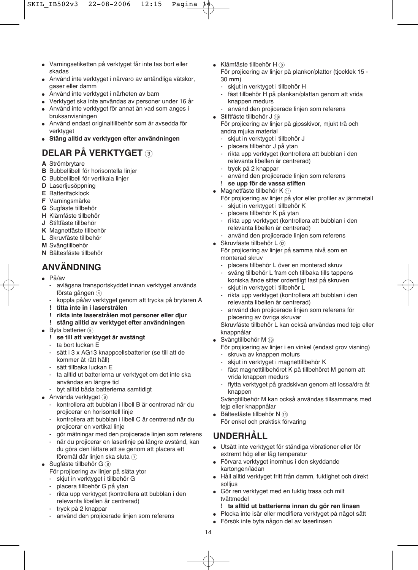- Varningsetiketten på verktyget får inte tas bort eller skadas
- Använd inte verktyget i närvaro av antändliga vätskor, gaser eller damm
- Använd inte verktyget i närheten av barn
- Verktyget ska inte användas av personer under 16 år
- Använd inte verktyget för annat än vad som anges i bruksanvisningen
- Använd endast originaltillbehör som är avsedda för verktyget
- **Stäng alltid av verktygen efter användningen**

### **DELAR PÅ VERKTYGET** 3

- **A** Strömbrytare
- **B** Bubbellibell för horisontella linjer
- **C** Bubbellibell för vertikala linjer
- **D** Laserljusöppning
- **E** Batterifacklock
- **F** Varningsmärke
- **G** Sugfäste tillbehör
- **H** Klämfäste tillbehör
- **J** Stiftfäste tillbehör
- **K** Magnetfäste tillbehör
- **L** Skruvfäste tillbehör
- **M** Svängtillbehör
- **N** Bältesfäste tillbehör

### **ANVÄNDNING**

- På/av
	- avlägsna transportskyddet innan verktyget används första gången 4
	- koppla på/av verktyget genom att trycka på brytaren A
	- **! titta inte in i laserstrålen**
	- **! rikta inte laserstrålen mot personer eller djur**
	- **! stäng alltid av verktyget efter användningen**
- $\bullet$  Byta batterier  $(5)$ 
	- **! se till att verktyget är avstängt**
	- ta bort luckan E
	- sätt i 3 x AG13 knappcellsbatterier (se till att de kommer åt rätt håll)
	- sätt tillbaka luckan E
	- ta alltid ut batterierna ur verktyget om det inte ska användas en längre tid
	- byt alltid båda batterierna samtidigt
- Använda verktyget (6)
	- kontrollera att bubblan i libell B är centrerad när du projicerar en horisontell linje
	- kontrollera att bubblan i libell C är centrerad när du projicerar en vertikal linje
	- gör mätningar med den projicerade linjen som referens
	- när du projicerar en laserlinje på längre avstånd, kan du göra den lättare att se genom att placera ett föremål där linjen ska sluta  $\circledcirc$
- $\bullet$  Sugfäste tillbehör G  $\circledR$ 
	- För projicering av linjer på släta ytor
	- skjut in verktyget i tillbehör G
	- placera tillbehör G på ytan
	- rikta upp verktyget (kontrollera att bubblan i den relevanta libellen är centrerad)
	- tryck på 2 knappar
	- använd den projicerade linjen som referens
- Klämfäste tillbehör H $\circledcirc$ För projicering av linjer på plankor/plattor (tjocklek 15 - 30 mm)
	- skjut in verktyget i tillbehör H
	- fäst tillbehör H på plankan/plattan genom att vrida knappen medurs
	- använd den projicerade linjen som referens
- Stiftfäste tillbehör J @ För projicering av linjer på gipsskivor, mjukt trä och andra miuka material
- skjut in verktyget i tillbehör J
- placera tillbehör J på ytan
- rikta upp verktyget (kontrollera att bubblan i den relevanta libellen är centrerad)
- tryck på 2 knappar
- använd den projicerade linjen som referens
- **! se upp för de vassa stiften**
- Magnetfäste tillbehör  $K$   $\Omega$ 
	- För projicering av linjer på ytor eller profiler av järnmetall
	- skjut in verktyget i tillbehör K
	- placera tillbehör K på ytan
	- rikta upp verktyget (kontrollera att bubblan i den relevanta libellen är centrerad)
	- använd den projicerade linjen som referens
- Skruvfäste tillbehör L (12) För projicering av linjer på samma nivå som en monterad skruv
	- placera tillbehör L över en monterad skruv
	- sväng tillbehör L fram och tillbaka tills tappens koniska ände sitter ordentligt fast på skruven
	- skjut in verktyget i tillbehör L
	- rikta upp verktyget (kontrollera att bubblan i den relevanta libellen är centrerad)
	- använd den projicerade linjen som referens för placering av övriga skruvar

Skruvfäste tillbehör L kan också användas med tejp eller knappnålar

- Svängtillbehör M (13)
	- För projicering av linjer i en vinkel (endast grov visning)
	- skruva av knappen moturs
	- skjut in verktyget i magnettillbehör K
	- fäst magnettillbehöret K på tillbehöret M genom att vrida knappen medurs
	- flytta verktyget på gradskivan genom att lossa/dra åt knappen
	- Svängtillbehör M kan också användas tillsammans med tejp eller knappnålar
- Bältesfäste tillbehör N (14)
- För enkel och praktisk förvaring

#### **UNDERHÅLL**

- Utsätt inte verktyget för ständiga vibrationer eller för extremt hög eller låg temperatur
- Förvara verktyget inomhus i den skyddande kartongen/lådan
- Håll alltid verktyget fritt från damm, fuktighet och direkt solljus
- Gör ren verktyget med en fuktig trasa och milt tvättmedel
	- **! ta alltid ut batterierna innan du gör ren linsen**
- Plocka inte isär eller modifiera verktyget på något sätt
- Försök inte byta någon del av laserlinsen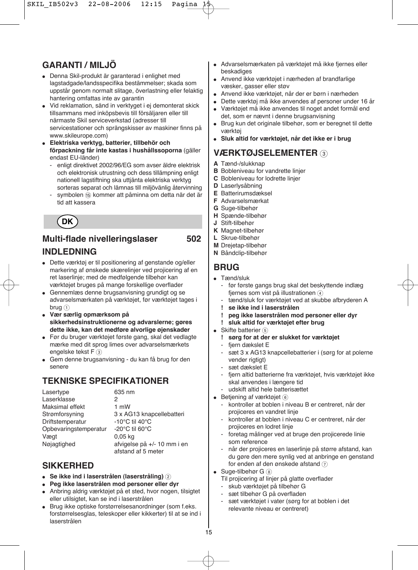### **GARANTI / MILJÖ**

- Denna Skil-produkt är garanterad i enlighet med lagstadgade/landsspecifika bestämmelser; skada som uppstår genom normalt slitage, överlastning eller felaktig hantering omfattas inte av garantin
- Vid reklamation, sänd in verktyget i ej demonterat skick tillsammans med inköpsbevis till försäljaren eller till närmaste Skil serviceverkstad (adresser till servicestationer och sprängskisser av maskiner finns på www.skileurope.com)
- **Elektriska verktyg, batterier, tillbehör och förpackning får inte kastas i hushållssoporna** (gäller endast EU-länder)
	- enligt direktivet 2002/96/EG som avser äldre elektrisk och elektronisk utrustning och dess tillämpning enligt nationell lagstiftning ska uttjänta elektriska verktyg sorteras separat och lämnas till miljövänlig återvinning
	- symbolen ® kommer att påminna om detta när det är tid att kassera

**DK**

### **Multi-flade nivelleringslaser 502 INDLEDNING**

- Dette værktøj er til positionering af genstande og/eller markering af ønskede skærelinjer ved projicering af en ret laserlinje; med de medfølgende tilbehør kan værktøjet bruges på mange forskellige overflader
- Gennemlæs denne brugsanvisning grundigt og se advarselsmærkaten på værktøjet, før værktøjet tages i  $brug<sub>(1)</sub>$
- **Vær særlig opmærksom på sikkerhedsinstruktionerne og advarslerne; gøres dette ikke, kan det medføre alvorlige øjenskader**
- Før du bruger værktøjet første gang, skal det vedlagte mærke med dit sprog limes over advarselsmærkets engelske tekst F 3
- Gem denne brugsanvisning du kan få brug for den senere

#### **TEKNISKE SPECIFIKATIONER**

Lasertype 635 nm<br>Laserklasse 2 Laserklasse 2 Maksimal effekt 1 mW Driftstemperatur Opbevaringstemperatur -20°C til 60°C Vægt 0,05 kg<br>Nøjagtighed afvigels

Strømforsyning 3 x AG13 knapcellebatteri<br>Driftstemperatur -10°C til 40°C afvigelse på +/- 10 mm i en afstand af 5 meter

### **SIKKERHED**

- **Se ikke ind i laserstrålen (laserstråling)** 2
- **Peg ikke laserstrålen mod personer eller dyr**
- Anbring aldrig værktøjet på et sted, hvor nogen, tilsigtet eller utilsigtet, kan se ind i laserstrålen
- Brug ikke optiske forstørrelsesanordninger (som f.eks. forstørrelsesglas, teleskoper eller kikkerter) til at se ind i laserstrålen
- Advarselsmærkaten på værktøjet må ikke fjernes eller beskadiges
- Anvend ikke værktøjet i nærheden af brandfarlige væsker, gasser eller støv
- Anvend ikke værktøjet, når der er børn i nærheden
- Dette værktøj må ikke anvendes af personer under 16 år Værktøjet må ikke anvendes til noget andet formål end
- det, som er nævnt i denne brugsanvisning
- Brug kun det originale tilbehør, som er beregnet til dette værktøj
- **Sluk altid for værktøjet, når det ikke er i brug**

#### **VÆRKTØJSELEMENTER** 3

- **A** Tænd-/slukknap
- **B** Bobleniveau for vandrette linjer
- **C** Bobleniveau for lodrette linjer
- **D** Laserlysåbning
- **E** Batterirumsdæksel<br>**F** Advarselsmærket
- **F** Advarselsmærkat
- **G** Suge-tilbehør
- **H** Spænde-tilbehør **J** Stift-tilbehør
- **K** Magnet-tilbehør
- **L** Skrue-tilbehør
- **M** Drejetap-tilbehør
- **N** Båndclip-tilbehør

#### **BRUG**

- Tænd/sluk
	- før første gangs brug skal det beskyttende indlæg fiernes som vist på illustrationen  $\widehat{a}$
	- tænd/sluk for værktøjet ved at skubbe afbryderen A
	- **! se ikke ind i laserstrålen**
	- **! peg ikke laserstrålen mod personer eller dyr**
	- **! sluk altid for værktøjet efter brug**
	- Skifte batterier (5)
	- **! sørg for at der er slukket for værktøjet**
	- fjern dækslet E
	- sæt 3 x AG13 knapcellebatterier i (sørg for at polerne vender rigtigt)
	- sæt dækslet E
	- fjern altid batterierne fra værktøjet, hvis værktøjet ikke skal anvendes i længere tid
	- udskift altid hele batterisættet
- - kontroller at boblen i niveau B er centreret, når der projiceres en vandret linje
	- kontroller at boblen i niveau C er centreret, når der projiceres en lodret linje
	- foretag målinger ved at bruge den projicerede linie som reference
- når der projiceres en laserlinje på større afstand, kan du gøre den mere synlig ved at anbringe en genstand for enden af den ønskede afstand  $(\widehat{\tau})$
- $\bullet$  Suge-tilbehør G  $\circledR$ 
	- Til projicering af linjer på glatte overflader
	- skub værktøjet på tilbehør G
	- sæt tilbehør G på overfladen
	- sæt værktøjet i vater (sørg for at boblen i det relevante niveau er centreret)

 $\bullet$  Betjening af værktøjet  $\circledcirc$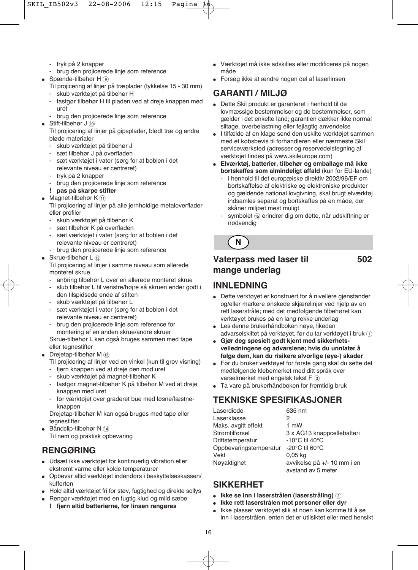SKIL IB502v3 22-08-2006 12:15 Pagina

- tryk på 2 knapper
- brug den projicerede linje som reference
- $\bullet$  Spænde-tilbehør H $(9)$ 
	- Til projicering af linjer på træplader (tykkelse 15 30 mm) - skub værktøjet på tilbehør H
	- fastgør tilbehør H til pladen ved at dreje knappen med uret
	- brug den projicerede linje som reference
- $\bullet$  Stift-tilbehør J $\omega$

Til projicering af linjer på gipsplader, blødt træ og andre bløde materialer

- skub værktøjet på tilbehør J
- sæt tilbehør J på overfladen
- sæt værktøjet i vater (sørg for at boblen i det relevante niveau er centreret)
- tryk på 2 knapper
- brug den projicerede linje som reference
- **! pas på skarpe stifter**
- $\bullet$  Magnet-tilbehør K $(n)$ 
	- Til projicering af linjer på alle jernholdige metaloverflader eller profiler
	- skub værktøjet på tilbehør K
	- sæt tilbehør K på overfladen
	- sæt værktøjet i vater (sørg for at boblen i det relevante niveau er centreret)
- brug den projicerede linje som reference  $\bullet$  Skrue-tilbehør L $(12)$

Til projicering af linjer i samme niveau som allerede monteret skrue

- anbring tilbehør L over en allerede monteret skrue
- slub tilbehør L til venstre/højre så skruen ender godt i den tilspidsede ende af stiften
- skub værktøjet på tilbehør L
- sæt værktøjet i vater (sørg for at boblen i det relevante niveau er centreret)
- brug den projicerede linje som reference for montering af en anden skrue/andre skruer

Skrue-tilbehør L kan også bruges sammen med tape eller tegnestifter

- $\bullet$  Dreietap-tilbehør M $(3)$ 
	- Til projicering af linjer ved en vinkel (kun til grov visning)
	- fjern knappen ved at dreje den mod uret
	- skub værktøjet på magnet-tilbehør K
	- fastgør magnet-tilbehør K på tilbehør M ved at dreje knappen med uret
	- før værktøjet over graderet bue med løsne/fæstneknappen

Drejetap-tilbehør M kan også bruges med tape eller tegnestifter

Båndclip-tilbehør N (i4) Til nem og praktisk opbevaring

#### **RENGØRING**

- Udsæt ikke værktøjet for kontinuerlig vibration eller ekstremt varme eller kolde temperaturer
- Opbevar altid værktøjet indendørs i beskyttelseskassen/ kufferten
- Hold altid værktøjet fri for støv, fugtighed og direkte sollys
- Rengør værktøjet med en fugtig klud og mild sæbe **! fjern altid batterierne, før linsen rengøres**
- Værktøjet må ikke adskilles eller modificeres på nogen måde
- Forsøg ikke at ændre nogen del af laserlinsen

#### **GARANTI / MILJØ**

- Dette Skil produkt er garanteret i henhold til de lovmæssige bestemmelser og de bestemmelser, som gælder i det enkelte land; garantien dækker ikke normal slitage, overbelastning eller fejlagtig anvendelse
- I tilfælde af en klage send den uskilte værktøjet sammen med et købsbevis til forhandleren eller nærmeste Skil serviceværksted (adresser og reservedelstegning af værktøjet findes på www.skileurope.com)
- **Elværktøj, batterier, tilbehør og emballage må ikke bortskaffes som almindeligt affald** (kun for EU-lande)
	- i henhold til det europæiske direktiv 2002/96/EF om bortskaffelse af elektriske og elektroniske produkter og gældende national lovgivning, skal brugt elværktøj indsamles separat og bortskaffes på en måde, der skåner miljøet mest muligt
	- symbolet (6) erindrer dig om dette, når udskiftning er nødvendig

**N**

### **Vaterpass med laser til 502 mange underlag**

#### **INNLEDNING**

- Dette verktøyet er konstruert for å nivellere gjenstander og/eller markere ønskede skjærelinjer ved hjelp av en rett laserstråle; med det medfølgende tilbehøret kan verktøyet brukes på en lang rekke underlag
- Les denne brukerhåndboken nøye, likedan advarselskiltet på verktøyet, før du tar verktøyet i bruk  $\widehat{1}$
- Gjør deg spesielt godt kjent med sikkerhets**veiledningene og advarslene; hvis du unnlater å følge dem, kan du risikere alvorlige (øye-) skader**
- Før du bruker verktøyet for første gang skal du sette det medfølgende klebemerket med ditt språk over varselmerket med engelsk tekst F 3
- Ta vare på brukerhåndboken for fremtidig bruk

#### **TEKNISKE SPESIFIKASJONER**

| Laserdiode             | 635 nm                                       |
|------------------------|----------------------------------------------|
| Laserklasse            | 2                                            |
| Maks. avgitt effekt    | 1 mW                                         |
| Strømtilførsel         | 3 x AG13 knappcellebatteri                   |
| Driftstemperatur       | -10 $\rm{^{\circ}C}$ til 40 $\rm{^{\circ}C}$ |
| Oppbevaringstemperatur | -20 $\rm{^{\circ}C}$ til 60 $\rm{^{\circ}C}$ |
| Vekt                   | $0.05$ kg                                    |
| Nøyaktighet            | avvikelse på +/- 10 mm i en                  |
|                        | avstand av 5 meter                           |

#### **SIKKERHET**

- **Ikke se inn i laserstrålen (laserstråling)** 2
- **Ikke rett laserstrålen mot personer eller dyr**
- Ikke plasser verktøyet slik at noen kan komme til å se inn i laserstrålen, enten det er utilsiktet eller med hensikt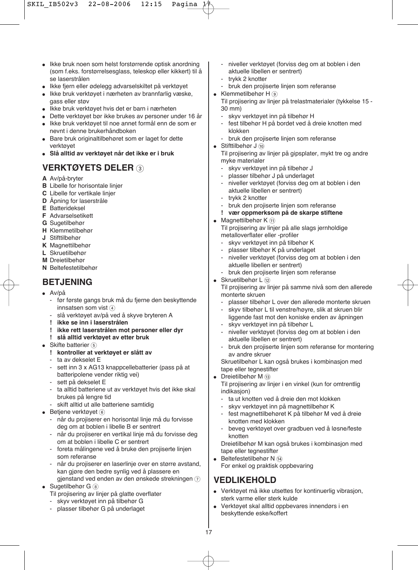- Ikke bruk noen som helst forstørrende optisk anordning (som f.eks. forstørrelsesglass, teleskop eller kikkert) til å se laserstrålen
- Ikke fjern eller ødelegg advarselskiltet på verktøyet
- Ikke bruk verktøyet i nærheten av brannfarlig væske, gass eller støv
- Ikke bruk verktøyet hvis det er barn i nærheten
- Dette verktøyet bør ikke brukes av personer under 16 år Ikke bruk verktøyet til noe annet formål enn de som er
- nevnt i denne brukerhåndboken
- Bare bruk originaltilbehøret som er laget for dette verktøyet
- **Slå alltid av verktøyet når det ikke er i bruk**

#### **VERKTØYETS DELER** 3

- **A** Av/på-bryter
- **B** Libelle for horisontale linjer
- **C** Libelle for vertikale linjer
- **D** Åpning for laserstråle
- **E** Batterideksel
- **F** Advarselsetikett
- **G** Sugetilbehør
- **H** Klemmetilbehør
- **J** Stifttilbehør
- **K** Magnettilbehør
- **L** Skruetilbehør
- **M** Dreietilbehør
- **N** Beltefestetilbehør

### **BETJENING**

- Av/på
	- før første gangs bruk må du fjerne den beskyttende innsatsen som vist $(a)$
	- slå verktøyet av/på ved å skyve bryteren A
	- **! ikke se inn i laserstrålen**
	- **! ikke rett laserstrålen mot personer eller dyr**
	- **! slå alltid verktøyet av etter bruk**
- $\bullet$  Skifte batterier  $(5)$ 
	- **! kontroller at verktøyet er slått av**
	- ta av dekselet E
	- sett inn 3 x AG13 knappcellebatterier (pass på at batteripolene vender riktig vei)
	- sett på dekselet E
	- ta alltid batteriene ut av verktøyet hvis det ikke skal brukes på lengre tid
	- skift alltid ut alle batteriene samtidig
- Betjene verktøyet 6
	- når du projiserer en horisontal linje må du forvisse deg om at boblen i libelle B er sentrert
	- når du projiserer en vertikal linje må du forvisse deg om at boblen i libelle C er sentrert
	- foreta målingene ved å bruke den projiserte linjen som referanse
	- når du projiserer en laserlinje over en større avstand, kan gjøre den bedre synlig ved å plassere en gjenstand ved enden av den ønskede strekningen  $(\widehat{\tau})$
- $\bullet$  Sugetilbehør G  $\circledR$ 
	- Til projisering av linjer på glatte overflater
	- skyv verktøyet inn på tilbehør G
	- plasser tilbehør G på underlaget
- niveller verktøyet (forviss deg om at boblen i den aktuelle libellen er sentrert)
- trykk 2 knotter
- bruk den projiserte linjen som referanse
- $\bullet$  Klemmetilbehør H $\circledcirc$ 
	- Til projisering av linjer på trelastmaterialer (tykkelse 15 30 mm)
	- skyv verktøyet inn på tilbehør H
	- fest tilbehør H på bordet ved å dreie knotten med klokken
	- bruk den projiserte linjen som referanse
- $\bullet$  Stifttilbehør J $(0)$ 
	- Til projisering av linjer på gipsplater, mykt tre og andre myke materialer
	- skyv verktøyet inn på tilbehør J
	- plasser tilbehør J på underlaget
	- niveller verktøyet (forviss deg om at boblen i den aktuelle libellen er sentrert)
	- trykk 2 knotter
	- bruk den projiserte linjen som referanse
	- **! vær oppmerksom på de skarpe stiftene**
- $\bullet$  Magnettilbehør K $\mathfrak{m}$ 
	- Til projisering av linjer på alle slags jernholdige metalloverflater eller -profiler
	- skyv verktøyet inn på tilbehør K
	- plasser tilbehør K på underlaget
	- niveller verktøyet (forviss deg om at boblen i den aktuelle libellen er sentrert)
	- bruk den projiserte linjen som referanse
- $\bullet$  Skruetilbehør L $(12)$

Til projisering av linjer på samme nivå som den allerede monterte skruen

- plasser tilbehør L over den allerede monterte skruen
- skyy tilbehør L til venstre/høyre, slik at skruen blir liggende fast mot den koniske enden av åpningen
- skyv verktøyet inn på tilbehør L
- niveller verktøyet (forviss deg om at boblen i den aktuelle libellen er sentrert)
- bruk den projiserte linjen som referanse for montering av andre skruer

Skruetilbehør L kan også brukes i kombinasjon med tape eller tegnestifter

- Dreietilbehør M (13)
- Til projisering av linjer i en vinkel (kun for omtrentlig indikasjon)
- ta ut knotten ved å dreie den mot klokken
- skyv verktøyet inn på magnettilbehør K
- fest magnettilbehøret K på tilbehør M ved å dreie knotten med klokken
- beveg verktøyet over gradbuen ved å løsne/feste knotten

Dreietilbehør M kan også brukes i kombinasjon med tape eller tegnestifter

 $\bullet$  Beltefestetilbehør N $_{{\small (14)}}$ For enkel og praktisk oppbevaring

#### **VEDLIKEHOLD**

- Verktøyet må ikke utsettes for kontinuerlig vibrasjon, sterk varme eller sterk kulde
- Verktøyet skal alltid oppbevares innendørs i en beskyttende eske/koffert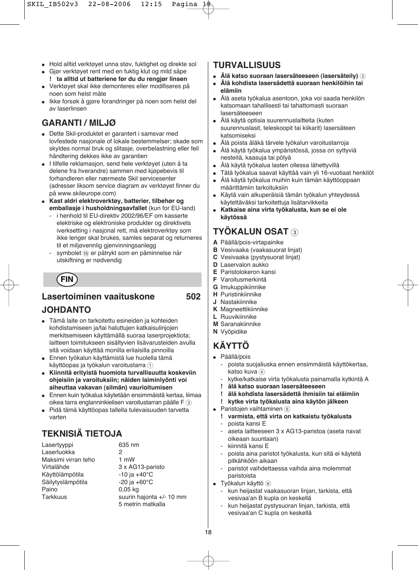- Hold alltid verktøyet unna støv, fuktighet og direkte sol
- Gjør verktøyet rent med en fuktig klut og mild såpe **! ta alltid ut batteriene før du du rengjør linsen**
- Verktøyet skal ikke demonteres eller modifiseres på noen som helst måte
- Ikke forsøk å gjøre forandringer på noen som helst del av laserlinsen

#### **GARANTI / MILJØ**

- Dette Skil-produktet er garantert i samsvar med lovfestede nasjonale of lokale bestemmelser; skade som skyldes normal bruk og slitasje, overbelastning eller feil håndtering dekkes ikke av garantien
- I tilfelle reklamasjon, send hele verktøyet (uten å ta delene fra hverandre) sammen med kjøpebevis til forhandleren eller nærmeste Skil servicesenter (adresser liksom service diagram av verktøyet finner du på www.skileurope.com)
- **Kast aldri elektroverktøy, batterier, tilbehør og emballasje i husholdningsavfallet** (kun for EU-land)
	- i henhold til EU-direktiv 2002/96/EF om kasserte elektriske og elektroniske produkter og direktivets iverksetting i nasjonal rett, må elektroverktøy som ikke lenger skal brukes, samles separat og returneres til et miljøvennlig gjenvinningsanlegg
	- symbolet ® er påtrykt som en påminnelse når utskiftning er nødvendig

![](_page_17_Picture_11.jpeg)

#### **Lasertoiminen vaaituskone 502 JOHDANTO**

- Tämä laite on tarkoitettu esineiden ja kohteiden kohdistamiseen ja/tai haluttujen katkaisulinjojen merkitsemiseen käyttämällä suoraa laserprojektiota; laitteen toimitukseen sisältyvien lisävarusteiden avulla sitä voidaan käyttää monilla erilaisilla pinnoilla
- Ennen työkalun käyttämistä lue huolella tämä käyttöopas ja työkalun varoitustarra  $\widehat{1}$
- **Kiinnitä erityistä huomiota turvallisuutta koskeviin ohjeisiin ja varoituksiin; näiden laiminlyönti voi aiheuttaa vakavan (silmän) vaurioitumisen**
- Ennen kuin työkalua käytetään ensimmäistä kertaa, liimaa oikea tarra englanninkielisen varoitustarran päälle  $F(3)$
- Pidä tämä käyttöopas tallella tulevaisuuden tarvetta varten

### **TEKNISIÄ TIETOJA**

Lasertyyppi 635 nm Laserluokka 2<br>Maksimi virran teho 1 mW Maksimi virran teho Käyttölämpötila -10 ja +40°C Säilytyslämpötila<br>Paino

Virtalähde 3 x AG13-paristo  $0,05$  kg Tarkkuus suurin hajonta +/- 10 mm 5 metrin matkalla

#### **TURVALLISUUS**

- **Älä katso suoraan lasersäteeseen (lasersäteily)** 2
- **Älä kohdista lasersädettä suoraan henkilöihin tai elämiin**
- Älä aseta työkalua asentoon, joka voi saada henkilön katsomaan tahallisesti tai tahattomasti suoraan lasersäteeseen
- Älä käytä optisia suurennuslaitteita (kuten suurennuslasit, teleskoopit tai kiikarit) lasersäteen katsomiseksi
- Älä poista äläkä tärvele työkalun varoitustarroja
- Älä käytä työkalua ympäristössä, jossa on syttyviä nesteitä, kaasuja tai pölyä
- Älä käytä työkalua lasten ollessa lähettyvillä
- Tätä työkalua saavat käyttää vain yli 16-vuotiaat henkilöt
- Älä käytä työkalua muihin kuin tämän käyttöoppaan määrittämiin tarkoituksiin
- Käytä vain alkuperäisiä tämän työkalun yhteydessä käytettäväksi tarkoitettuja lisätarvikkeita
- **Katkaise aina virta työkalusta, kun se ei ole käytössä**

### **TYÖKALUN OSAT** 3

- **A** Päällä/pois-virtapainike
- **B** Vesivaaka (vaakasuorat linjat)
- **C** Vesivaaka (pystysuorat linjat)
- **D** Laservalon aukko
- **E** Paristolokeron kansi
- **F** Varoitusmerkintä
- **G** Imukuppikiinnike **H** Puristinkiinnike
- **J** Nastakiinnike
- **K** Magneettikiinnike
- **L** Ruuvikiinnike
- **M** Saranakiinnike
- **N** Vyöpidike

### **KÄYTTÖ**

- Päällä/pois
	- poista suojaliuska ennen ensimmäistä käyttökertaa, katso kuva 4
	- kytke/katkaise virta työkalusta painamalla kytkintä A
	- **! älä katso suoraan lasersäteeseen**
	- **! älä kohdista lasersädettä ihmisiin tai eläimiin**
	- **! kytke virta työkalusta aina käytön jälkeen**
- $\bullet$  Paristojen vaihtaminen  $\circled$ 
	- **! varmista, että virta on katkaistu työkalusta**
	- poista kansi E
	- aseta laitteeseen 3 x AG13-paristoa (aseta navat oikeaan suuntaan)
	- kiinnitä kansi E
	- poista aina paristot työkalusta, kun sitä ei käytetä pitkähköön aikaan
	- paristot vaihdettaessa vaihda aina molemmat paristoista
- Työkalun käyttö 6
	- kun heijastat vaakasuoran linjan, tarkista, että vesivaa'an B kupla on keskellä
	- kun heijastat pystysuoran linjan, tarkista, että vesivaa'an C kupla on keskellä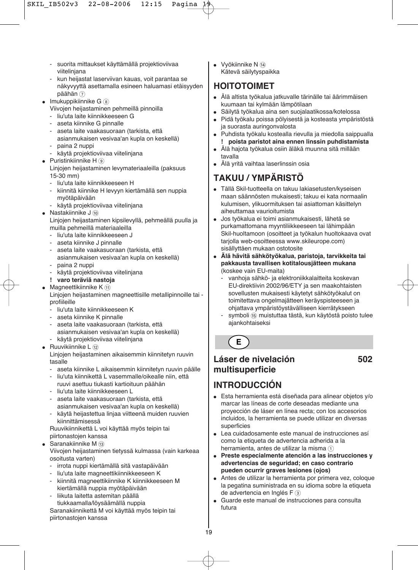- suorita mittaukset käyttämällä projektioviivaa viiteliniana
- kun heijastat laserviivan kauas, voit parantaa se näkyvyyttä asettamalla esineen haluamasi etäisyyden päähän  $\widehat{7}$
- $\bullet$  Imukuppikiinnike G  $\circledR$ 
	- Viivojen heijastaminen pehmeillä pinnoilla - liu'uta laite kiinnikkeeseen G
	- aseta kiinnike G pinnalle
	- aseta laite vaakasuoraan (tarkista, että asianmukaisen vesivaa'an kupla on keskellä)
	- paina 2 nuppi
	- käytä projektioviivaa viitelinjana
- $\bullet$  Puristinkiinnike H  $(9)$ 
	- Linjojen heijastaminen levymateriaaleilla (paksuus 15-30 mm)
	- liu'uta laite kiinnikkeeseen H
	- kiinnitä kiinnike H levyyn kiertämällä sen nuppia myötäpäivään
	- käytä projektioviivaa viitelinjana
- $\bullet$  Nastakiinnike  $J(10)$ 
	- Linjojen heijastaminen kipsilevyllä, pehmeällä puulla ja muilla pehmeillä materiaaleilla
	- liu'uta laite kiinnikkeeseen J
	- aseta kiinnike J pinnalle
	- aseta laite vaakasuoraan (tarkista, että asianmukaisen vesivaa'an kupla on keskellä)
	- paina 2 nuppi
	- käytä projektioviivaa viitelinjana
	- **! varo teräviä nastoja**
- $\bullet$  Magneettikiinnike K $\mathfrak{m}$ 
	- Linjojen heijastaminen magneettisille metallipinnoille tai profiileille
	- liu'uta laite kiinnikkeeseen K
	- aseta kiinnike K pinnalle
	- aseta laite vaakasuoraan (tarkista, että
	- asianmukaisen vesivaa'an kupla on keskellä)
	- käytä projektioviivaa viitelinjana
- $\bullet$  Ruuvikiinnike L $(12)$

Linjojen heijastaminen aikaisemmin kiinnitetyn ruuvin tasalle

- aseta kiinnike L aikaisemmin kiinnitetyn ruuvin päälle
- liu'uta kiinnikettä L vasemmalle/oikealle niin, että ruuvi asettuu tiukasti kartioituun päähän
- liu'uta laite kiinnikkeeseen L
- aseta laite vaakasuoraan (tarkista, että
- asianmukaisen vesivaa'an kupla on keskellä) käytä heijastettua linjaa viitteenä muiden ruuvien kiinnittämisessä

Ruuvikiinnikettä L voi käyttää myös teipin tai piirtonastojen kanssa

 $\blacktriangleright$  Saranakiinnike M $@$ 

Viivojen heijastaminen tietyssä kulmassa (vain karkeaa osoitusta varten)

- irrota nuppi kiertämällä sitä vastapäivään
- liu'uta laite magneettikiinnikkeeseen K
- kiinnitä magneettikiinnike K kiinnikkeeseen M kiertämällä nuppia myötäpäivään
- liikuta laitetta astemitan päällä tiukkaamalla/löysäämällä nuppia

Saranakiinnikettä M voi käyttää myös teipin tai piirtonastojen kanssa

 $\bullet$  Vyökiinnike N $\times$ Kätevä säilytyspaikka

#### **HOITOTOIMET**

- Älä altista työkalua jatkuvalle tärinälle tai äärimmäisen kuumaan tai kylmään lämpötilaan
- Säilytä työkalua aina sen suojalaatikossa/kotelossa
- Pidä työkalu poissa pölyisestä ja kosteasta ympäristöstä ja suorasta auringonvalosta
- Puhdista työkalu kostealla rievulla ja miedolla saippualla **! poista paristot aina ennen linssin puhdistamista**
- Älä hajota työkalua osiin äläkä muunna sitä millään tavalla
- Älä yritä vaihtaa laserlinssin osia

### **TAKUU / YMPÄRISTÖ**

- Tällä Skil-tuotteella on takuu lakiasetusten/kyseisen maan säännösten mukaisesti; takuu ei kata normaalin kulumisen, ylikuormituksen tai asiattoman käsittelyn aiheuttamaa vaurioitumista
- Jos työkalua ei toimi asianmukaisesti, lähetä se purkamattomana myyntiliikkeeseen tai lähimpään Skil-huoltamoon (osoitteet ja työkalun huoltokaava ovat tarjolla web-osoitteessa www.skileurope.com) sisällyttäen mukaan ostotosite
- **Älä hävitä sähkötyökalua, paristoja, tarvikkeita tai pakkausta tavallisen kotitalousjätteen mukana** (koskee vain EU-maita)
	- vanhoja sähkö- ja elektroniikkalaitteita koskevan EU-direktiivin 2002/96/ETY ja sen maakohtaisten sovellusten mukaisesti käytetyt sähkötyökalut on toimitettava ongelmajätteen keräyspisteeseen ja ohjattava ympäristöystävälliseen kierrätykseen
	- symboli (6) muistuttaa tästä, kun käytöstä poisto tulee ajankohtaiseksi

**E**

# **Láser de nivelación 502 multisuperficie**

### **INTRODUCCIÓN**

- Esta herramienta está diseñada para alinear objetos y/o marcar las líneas de corte deseadas mediante una proyección de láser en línea recta; con los accesorios incluidos, la herramienta se puede utilizar en diversas superficies
- Lea cuidadosamente este manual de instrucciones así como la etiqueta de advertencia adherida a la herramienta, antes de utilizar la misma  $\overline{1}$
- Preste especialmente atención a las instrucciones y **advertencias de seguridad; en caso contrario pueden ocurrir graves lesiones (ojos)**
- Antes de utilizar la herramienta por primera vez, coloque la pegatina suministrada en su idioma sobre la etiqueta de advertencia en Inglés F 3
- Guarde este manual de instrucciones para consulta futura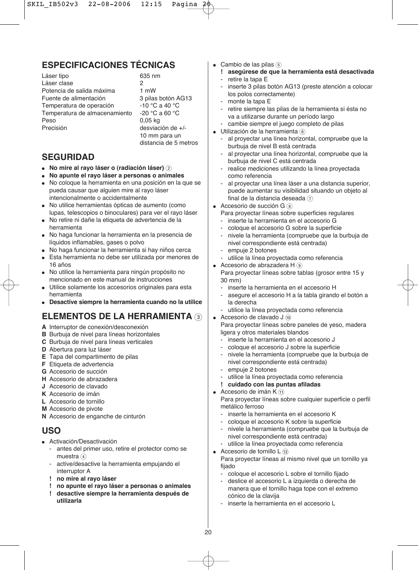#### **ESPECIFICACIONES TÉCNICAS**

Láser tipo 635 nm Láser clase 2 Potencia de salida máxima 1 mW Fuente de alimentación 3 pilas botón AG13 Temperatura de operación -10 °C a 40 °C Temperatura de almacenamiento -20 °C a 60 °C Peso 0,05 kg Precisión de +/-

10 mm para un distancia de 5 metros

#### **SEGURIDAD**

- **No mire al rayo láser o (radiación láser)** 2
- **No apunte el rayo láser a personas o animales**
- No coloque la herramienta en una posición en la que se pueda causar que alguien mire al rayo láser intencionalmente o accidentalmente
- No utilice herramientas ópticas de aumento (como lupas, telescopios o binoculares) para ver el rayo láser
- No retire ni dañe la etiqueta de advertencia de la herramienta
- No haga funcionar la herramienta en la presencia de líquidos inflamables, gases o polvo
- No haga funcionar la herramienta si hay niños cerca
- Esta herramienta no debe ser utilizada por menores de 16 años
- No utilice la herramienta para ningún propósito no mencionado en este manual de instrucciones
- Utilice solamente los accesorios originales para esta herramienta
- Desactive siempre la herramienta cuando no la utilice

#### **ELEMENTOS DE LA HERRAMIENTA** 3

- **A** Interruptor de conexión/desconexión
- **B** Burbuja de nivel para líneas horizontales
- **C** Burbuja de nivel para líneas verticales
- **D** Abertura para luz láser
- **E** Tapa del compartimento de pilas
- **F** Etiqueta de advertencia
- **G** Accesorio de succión
- **H** Accesorio de abrazadera
- **J** Accesorio de clavado
- **K** Accesorio de imán
- **L** Accesorio de tornillo
- **M** Accesorio de pivote
- **N** Accesorio de enganche de cinturón

#### **USO**

- Activación/Desactivación
	- antes del primer uso, retire el protector como se muestra 4
	- active/desactive la herramienta empujando el interruptor A
	- **! no mire al rayo láser**
	- **! no apunte el rayo láser a personas o animales**
	- **! desactive siempre la herramienta después de utilizarla**
- Cambio de las pilas  $(5)$
- **! asegúrese de que la herramienta está desactivada**  retire la tapa E
	- inserte 3 pilas botón AG13 (preste atención a colocar los polos correctamente)
	- monte la tapa E
	- retire siempre las pilas de la herramienta si ésta no va a utilizarse durante un período largo
- cambie siempre el juego completo de pilas
- Utilización de la herramienta 6
	- al proyectar una línea horizontal, compruebe que la burbuja de nivel B está centrada
	- al proyectar una línea horizontal, compruebe que la burbuja de nivel C está centrada
	- realice mediciones utilizando la línea proyectada como referencia
	- al proyectar una línea láser a una distancia superior, puede aumentar su visibilidad situando un objeto al final de la distancia deseada  $\widehat{r}$
- $\bullet$  Accesorio de succión G  $(8)$ 
	- Para proyectar líneas sobre superficies regulares
	- inserte la herramienta en el accesorio G
	- coloque el accesorio G sobre la superficie
	- nivele la herramienta (compruebe que la burbuja de nivel correspondiente está centrada)
	- empuje 2 botones
	- utilice la línea proyectada como referencia
- $\bullet$  Accesorio de abrazadera H  $\circledcirc$ Para proyectar líneas sobre tablas (grosor entre 15 y 30 mm)
	- inserte la herramienta en el accesorio H
	- asegure el accesorio H a la tabla girando el botón a la derecha
- utilice la línea provectada como referencia  $\bullet$  Accesorio de clavado J $(10)$
- 

Para proyectar líneas sobre paneles de yeso, madera ligera y otros materiales blandos

- inserte la herramienta en el accesorio J
- coloque el accesorio J sobre la superficie
- nivele la herramienta (compruebe que la burbuja de nivel correspondiente está centrada)
- empuje 2 botones
- utilice la línea proyectada como referencia
- **! cuidado con las puntas afiladas**
- $\bullet$  Accesorio de imán  $K$  (ii)
	- Para proyectar líneas sobre cualquier superficie o perfil metálico ferroso
	- inserte la herramienta en el accesorio K
	- coloque el accesorio K sobre la superficie
	- nivele la herramienta (compruebe que la burbuja de nivel correspondiente está centrada)
	- utilice la línea proyectada como referencia
- Accesorio de tornillo L (12)
	- Para proyectar líneas al mismo nivel que un tornillo ya fijado
	- coloque el accesorio L sobre el tornillo fijado
	- deslice el accesorio L a izquierda o derecha de manera que el tornillo haga tope con el extremo cónico de la clavija
	- inserte la herramienta en el accesorio L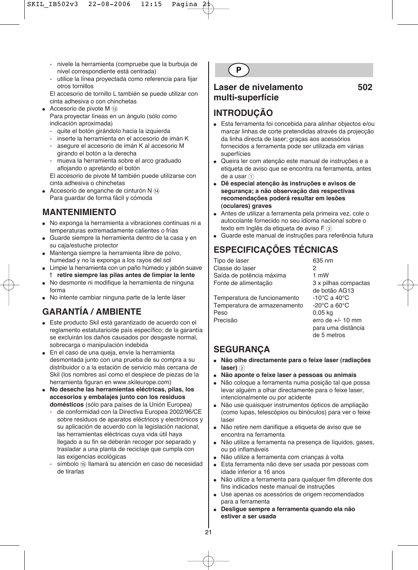- nivele la herramienta (compruebe que la burbuja de nivel correspondiente está centrada)
- utilice la línea proyectada como referencia para fijar otros tornillos

El accesorio de tornillo L también se puede utilizar con cinta adhesiva o con chinchetas

- $\bullet$  Accesorio de pivote M $(3)$ Para proyectar líneas en un ángulo (sólo como indicación aproximada)
	- quite el botón girándolo hacia la izquierda
	- inserte la herramienta en el accesorio de imán K
	- asegure el accesorio de imán K al accesorio M girando el botón a la derecha
	- mueva la herramienta sobre el arco graduado aflojando o apretando el botón

El accesorio de pivote M también puede utilizarse con cinta adhesiva o chinchetas

 $\bullet$  Accesorio de enganche de cinturón N  $a$ Para guardar de forma fácil y cómoda

#### **MANTENIMIENTO**

- No exponga la herramienta a vibraciones continuas ni a temperaturas extremadamente calientes o frías
- Guarde siempre la herramienta dentro de la casa y en su caja/estuche protector
- Mantenga siempre la herramienta libre de polvo, humedad y no la exponga a los rayos del sol
- Limpie la herramienta con un paño húmedo y jabón suave **! retire siempre las pilas antes de limpiar la lente**
- No desmonte ni modifique la herramienta de ninguna forma
- No intente cambiar ninguna parte de la lente láser

### **GARANTÍA / AMBIENTE**

- Este producto Skil está garantizado de acuerdo con el reglamento estatutario/de país específico; de la garantía se excluirán los daños causados por desgaste normal, sobrecarga o manipulación indebida
- En el caso de una queja, envíe la herramienta desmontada junto con una prueba de su compra a su distribuidor o a la estación de servicio más cercana de Skil (los nombres así como el despiece de piezas de la herramienta figuran en www.skileurope.com)
- **No deseche las herramientas eléctricas, pilas, los accesorios y embalajes junto con los residuos domésticos** (sólo para países de la Unión Europea)
- de conformidad con la Directiva Europea 2002/96/CE sobre residuos de aparatos eléctricos y electrónicos y su aplicación de acuerdo con la legislación nacional, las herramientas eléctricas cuya vida útil haya llegado a su fin se deberán recoger por separado y trasladar a una planta de reciclaje que cumpla con las exigencias ecológicas
- símbolo ® llamará su atención en caso de necesidad de tirarlas

# **P**

#### **Laser de nivelamento 502 multi-superfície**

### **INTRODUÇÃO**

- Esta ferramenta foi concebida para alinhar objectos e/ou marcar linhas de corte pretendidas através da projecção da linha directa de laser; graças aos acessórios fornecidos a ferramenta pode ser utilizada em várias superfícies
- Queira ler com atenção este manual de instruções e a etiqueta de aviso que se encontra na ferramenta, antes de a usar $(1)$
- **Dê especial atenção às instruções e avisos de segurança; a não observação das respectivas recomendações poderá resultar em lesões (oculares) graves**
- Antes de utilizar a ferramenta pela primeira vez, cole o autocolante fornecido no seu idioma nacional sobre o texto em Inglês da etiqueta de aviso  $F(3)$
- Guarde este manual de instruções para referência futura

### **ESPECIFICAÇÕES TÉCNICAS**

Tipo de laser 635 nm Classe do laser 2 Saída de potência máxima 1 mW<br>Fonte de alimentação 3 x pilhas compactas Fonte de alimentação

Temperatura de funcionamento -10°C a 40°C<br>Temperatura de armazenamento -20°C a 60°C Temperatura de armazenamento Peso 0,05 kg Precisão erro de +/- 10 mm

de botão AG13 para uma distância de 5 metros

#### **SEGURANÇA**

- **Não olhe directamente para o feixe laser (radiações laser)** 2
- Não aponte o feixe laser a pessoas ou animais
- Não coloque a ferramenta numa posição tal que possa levar alguém a olhar directamente para o feixe laser, intencionalmente ou por acidente
- Não use quaisquer instrumentos ópticos de ampliação (como lupas, telescópios ou binóculos) para ver o feixe laser
- Não retire nem danifique a etiqueta de aviso que se encontra na ferramenta
- Não utilize a ferramenta na presença de líquidos, gases, ou pó inflamáveis
- Não utilize a ferramenta com crianças à volta
- Esta ferramenta não deve ser usada por pessoas com idade inferior a 16 anos
- Não utilize a ferramenta para qualquer fim diferente dos fins indicados neste manual de instruções
- Use apenas os acessórios de origem recomendados para a ferramenta
- **Desligue sempre a ferramenta quando ela não estiver a ser usada**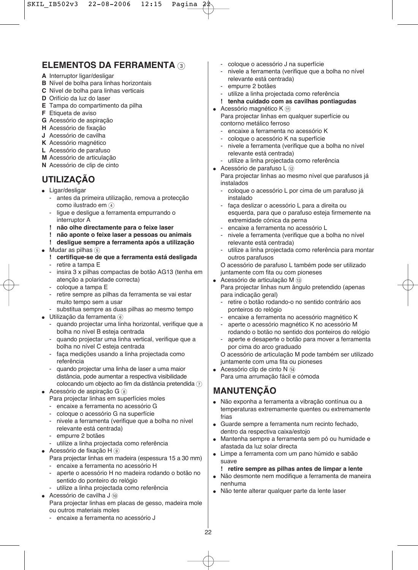### **ELEMENTOS DA FERRAMENTA** 3

- **A** Interruptor ligar/desligar
- **B** Nível de bolha para linhas horizontais
- **C** Nível de bolha para linhas verticais
- **D** Orifício da luz do laser
- **E** Tampa do compartimento da pilha
- **F** Etiqueta de aviso
- **G** Acessório de aspiração
- **H** Acessório de fixação
- **J** Acessório de cavilha
- **K** Acessório magnético
- **L** Acessório de parafuso
- **M** Acessório de articulação
- **N** Acessório de clip de cinto

### **UTILIZAÇÃO**

- Ligar/desligar
	- antes da primeira utilização, remova a protecção como ilustrado em 4
	- ligue e desligue a ferramenta empurrando o interruptor A
	- **! não olhe directamente para o feixe laser**
	- **! não aponte o feixe laser a pessoas ou animais**
	- **! desligue sempre a ferramenta após a utilização**
- $\bullet$  Mudar as pilhas  $(5)$ 
	- **! certifique-se de que a ferramenta está desligada**
	- retire a tampa E
	- insira 3 x pilhas compactas de botão AG13 (tenha em atenção a polaridade correcta)
	- coloque a tampa E
	- retire sempre as pilhas da ferramenta se vai estar muito tempo sem a usar
- substitua sempre as duas pilhas ao mesmo tempo ● Utilização da ferramenta 6
	- quando projectar uma linha horizontal, verifique que a bolha no nível B esteja centrada
	- quando projectar uma linha vertical, verifique que a bolha no nível C esteja centrada
	- faça medições usando a linha projectada como referência
	- quando projectar uma linha de laser a uma maior distância, pode aumentar a respectiva visibilidade colocando um objecto ao fim da distância pretendida  $\binom{7}{2}$
- Acessório de aspiração G 8 Para projectar linhas em superfícies moles
	- encaixe a ferramenta no acessório G
	- coloque o acessório G na superfície
	- nivele a ferramenta (verifique que a bolha no nível relevante está centrada)
	- empurre 2 botães
	- utilize a linha projectada como referência
- $\bullet$  Acessório de fixação H $(9)$ 
	- Para projectar linhas em madeira (espessura 15 a 30 mm)
	- encaixe a ferramenta no acessório H
	- aperte o acessório H no madeira rodando o botão no sentido do ponteiro do relógio
	- utilize a linha projectada como referência
- Acessório de cavilha J @ Para projectar linhas em placas de gesso, madeira mole ou outros materiais moles
	- encaixe a ferramenta no acessório J
- coloque o acessório J na superfície
- nivele a ferramenta (verifique que a bolha no nível relevante está centrada)
- empurre 2 botães
- utilize a linha projectada como referência
- **! tenha cuidado com as cavilhas pontiagudas**
- $\bullet$  Acessório magnético K $\mathfrak{m}$ Para projectar linhas em qualquer superfície ou contorno metálico ferroso
	- encaixe a ferramenta no acessório K
	- coloque o acessório K na superfície
	- nivele a ferramenta (verifique que a bolha no nível relevante está centrada)
	- utilize a linha projectada como referência
- Acessório de parafuso L @
	- Para projectar linhas ao mesmo nível que parafusos já instalados
	- coloque o acessório L por cima de um parafuso já instalado
	- faça deslizar o acessório L para a direita ou esquerda, para que o parafuso esteja firmemente na extremidade cónica da perna
	- encaixe a ferramenta no acessório L
	- nivele a ferramenta (verifique que a bolha no nível relevante está centrada)
	- utilize a linha projectada como referência para montar outros parafusos

O acessório de parafuso L também pode ser utilizado juntamente com fita ou com pioneses

- Acessório de articulação M  $(3)$ 
	- Para projectar linhas num ângulo pretendido (apenas para indicação geral)
	- retire o botão rodando-o no sentido contrário aos ponteiros do relógio
	- encaixe a ferramenta no acessório magnético K
	- aperte o acessório magnético K no acessório M
	- rodando o botão no sentido dos ponteiros do relógio aperte e desaperte o botão para mover a ferramenta por cima do arco graduado

O acessório de articulação M pode também ser utilizado juntamente com uma fita ou pioneses

Acessório clip de cinto N (14) Para uma arrumação fácil e cómoda

#### **MANUTENÇÃO**

- Não exponha a ferramenta a vibração contínua ou a temperaturas extremamente quentes ou extremamente frias
- Guarde sempre a ferramenta num recinto fechado, dentro da respectiva caixa/estojo
- Mantenha sempre a ferramenta sem pó ou humidade e afastada da luz solar directa
- Limpe a ferramenta com um pano húmido e sabão suave

#### **! retire sempre as pilhas antes de limpar a lente**

- Não desmonte nem modifique a ferramenta de maneira nenhuma
- Não tente alterar qualquer parte da lente laser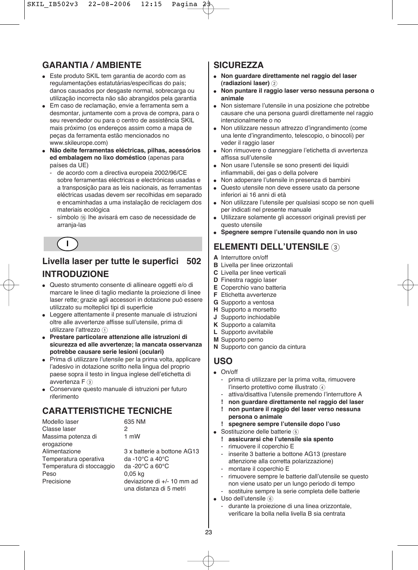#### **GARANTIA / AMBIENTE**

- Este produto SKIL tem garantia de acordo com as regulamentações estatutárias/específicas do país; danos causados por desgaste normal, sobrecarga ou utilização incorrecta não são abrangidos pela garantia
- Em caso de reclamação, envie a ferramenta sem a desmontar, juntamente com a prova de compra, para o seu revendedor ou para o centro de assistência SKIL mais próximo (os endereços assim como a mapa de peças da ferramenta estão mencionados no www.skileurope.com)
- **Não deite ferramentas eléctricas, pilhas, acessórios ed embalagem no lixo doméstico** (apenas para países da UE)
	- de acordo com a directiva europeia 2002/96/CE sobre ferramentas eléctricas e electrónicas usadas e a transposição para as leis nacionais, as ferramentas eléctricas usadas devem ser recolhidas em separado e encaminhadas a uma instalação de reciclagem dos materiais ecológica
	- símbolo 6 lhe avisará em caso de necessidade de arranja-las

# **I**

### **Livella laser per tutte le superfici 502 INTRODUZIONE**

- Questo strumento consente di allineare oggetti e/o di marcare le linee di taglio mediante la proiezione di linee laser rette; grazie agli accessori in dotazione può essere utilizzato su molteplici tipi di superficie
- Leggere attentamente il presente manuale di istruzioni oltre alle avvertenze affisse sull'utensile, prima di utilizzare l'attrezzo (1)
- **Prestare particolare attenzione alle istruzioni di sicurezza ed alle avvertenze; la mancata osservanza potrebbe causare serie lesioni (oculari)**
- Prima di utilizzare l'utensile per la prima volta, applicare l'adesivo in dotazione scritto nella lingua del proprio paese sopra il testo in lingua inglese dell'etichetta di avvertenza F 3
- Conservare questo manuale di istruzioni per futuro riferimento

### **CARATTERISTICHE TECNICHE**

| Modello laser             | 635 NM                                                |
|---------------------------|-------------------------------------------------------|
| Classe laser              | 2                                                     |
| Massima potenza di        | 1 mW                                                  |
| erogazione                |                                                       |
| Alimentazione             | 3 x batterie a bottone AG13                           |
| Temperatura operativa     | da -10 $\degree$ C a 40 $\degree$ C                   |
| Temperatura di stoccaggio | da -20 $^{\circ}$ C a 60 $^{\circ}$ C                 |
| Peso                      | $0.05$ ka                                             |
| Precisione                | deviazione di +/- 10 mm ad<br>una distanza di 5 metri |

#### **SICUREZZA**

- **Non guardare direttamente nel raggio del laser (radiazioni laser)** 2
- **Non puntare il raggio laser verso nessuna persona o animale**
- Non sistemare l'utensile in una posizione che potrebbe causare che una persona guardi direttamente nel raggio intenzionalmente o no
- Non utilizzare nessun attrezzo d'ingrandimento (come una lente d'ingrandimento, telescopio, o binocoli) per veder il raggio laser
- Non rimuovere o danneggiare l'etichetta di avvertenza affissa sull'utensile
- Non usare l'utensile se sono presenti dei liquidi infiammabili, dei gas o della polvere
- Non adoperare l'utensile in presenza di bambini
- Questo utensile non deve essere usato da persone inferiori ai 16 anni di età
- Non utilizzare l'utensile per qualsiasi scopo se non quelli per indicati nel presente manuale
- Utilizzare solamente gli accessori originali previsti per questo utensile
- **Spegnere sempre l'utensile quando non in uso**

#### **ELEMENTI DELL'UTENSILE** 3

- **A** Interruttore on/off
- **B** Livella per linee orizzontali
- **C** Livella per linee verticali
- **D** Finestra raggio laser
- **E** Coperchio vano batteria
- **F** Etichetta avvertenze
- **G** Supporto a ventosa **H** Supporto a morsetto
- **J** Supporto inchiodabile
- **K** Supporto a calamita
- **L** Supporto avvitabile
- **M** Supporto perno
- **N** Supporto con gancio da cintura

#### **USO**

- On/off
	- prima di utilizzare per la prima volta, rimuovere l'inserto protettivo come illustrato (4)
	- attiva/disattiva l'utensile premendo l'interruttore A
	- **! non guardare direttamente nel raggio del laser**
	- **! non puntare il raggio del laser verso nessuna persona o animale**
	- **! spegnere sempre l'utensile dopo l'uso**
- $\bullet$  Sostituzione delle batterie  $(5)$ 
	- **! assicurarsi che l'utensile sia spento**
	- rimuovere il coperchio E
	- inserite 3 batterie a bottone AG13 (prestare attenzione alla corretta polarizzazione)
	- montare il coperchio E
	- rimuovere sempre le batterie dall'utensile se questo non viene usato per un lungo periodo di tempo
	- sostituire sempre la serie completa delle batterie
- Uso dell'utensile 6
	- durante la proiezione di una linea orizzontale, verificare la bolla nella livella B sia centrata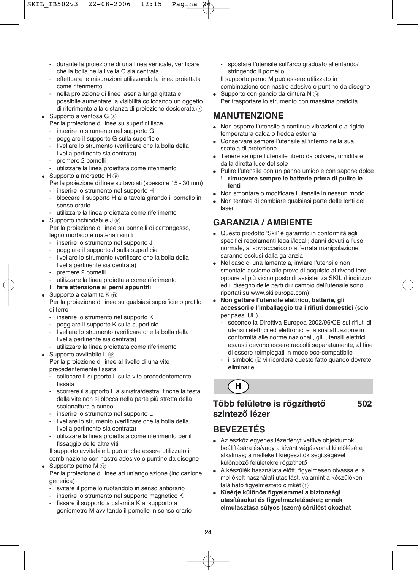- durante la proiezione di una linea verticale, verificare che la bolla nella livella C sia centrata
- effettuare le misurazioni utilizzando la linea proiettata come riferimento
- nella proiezione di linee laser a lunga gittata è possibile aumentare la visibilità collocando un oggetto di riferimento alla distanza di proiezione desiderata  $\widehat{\tau}$ ) • Supporto a ventosa  $G$   $\circledcirc$

Per la proiezione di linee su superfici lisce

- inserire lo strumento nel supporto G
- poggiare il supporto G sulla superficie
- livellare lo strumento (verificare che la bolla della livella pertinente sia centrata)
- premere 2 pomelli
- utilizzare la linea proiettata come riferimento
- Supporto a morsetto  $H(\overline{9})$ 
	- Per la proiezione di linee su tavolati (spessore 15 30 mm) - inserire lo strumento nel supporto H
	- bloccare il supporto H alla tavola girando il pomello in senso orario
- utilizzare la linea proiettata come riferimento  $\bullet$  Supporto inchiodabile  $J(0)$
- 
- Per la proiezione di linee su pannelli di cartongesso, legno morbido e materiali simili
- inserire lo strumento nel supporto J
- poggiare il supporto J sulla superficie
- livellare lo strumento (verificare che la bolla della livella pertinente sia centrata)
- premere 2 pomelli
- utilizzare la linea proiettata come riferimento
- **! fare attenzione ai perni appuntiti**
- Supporto a calamita  $K$   $n$
- Per la proiezione di linee su qualsiasi superficie o profilo di ferro
- inserire lo strumento nel supporto K
- poggiare il supporto K sulla superficie
- livellare lo strumento (verificare che la bolla della livella pertinente sia centrata)
- utilizzare la linea proiettata come riferimento
- Supporto avvitabile  $L$   $(i2)$
- Per la proiezione di linee al livello di una vite precedentemente fissata
- collocare il supporto L sulla vite precedentemente fissata
- scorrere il supporto L a sinistra/destra, finché la testa della vite non si blocca nella parte più stretta della scalanaltura a cuneo
- inserire lo strumento nel supporto L
- livellare lo strumento (verificare che la bolla della livella pertinente sia centrata)
- utilizzare la linea proiettata come riferimento per il fissaggio delle altre viti
- Il supporto avvitabile L può anche essere utilizzato in combinazione con nastro adesivo o puntine da disegno
- $\bullet$  Supporto perno M $(3)$ Per la proiezione di linee ad un'angolazione (indicazione generica)
	- svitare il pomello ruotandolo in senso antiorario
	- inserire lo strumento nel supporto magnetico K
	- fissare il supporto a calamita K al supporto a goniometro M avvitando il pomello in senso orario
- spostare l'utensile sull'arco graduato allentando/ stringendo il pomello
- Il supporto perno M può essere utilizzato in combinazione con nastro adesivo o puntine da disegno
- $\bullet$  Supporto con gancio da cintura N  $\overrightarrow{a}$ Per trasportare lo strumento con massima praticità

#### **MANUTENZIONE**

- Non esporre l'utensile a continue vibrazioni o a rigide temperatura calda o fredda esterna
- Conservare sempre l'utensile all'interno nella sua scatola di protezione
- Tenere sempre l'utensile libero da polvere, umidità e dalla diretta luce del sole
- Pulire l'utensile con un panno umido e con sapone dolce **! rimuovere sempre le batterie prima di pulire le lenti**
- Non smontare o modificare l'utensile in nessun modo
- Non tentare di cambiare qualsiasi parte delle lenti del laser

### **GARANZIA / AMBIENTE**

- Questo prodotto 'Skil' è garantito in conformità agli specifici regolamenti legali/locali; danni dovuti all'uso normale, al sovraccarico o all'errata manipolazione saranno esclusi dalla garanzia
- Nel caso di una lamentela, inviare l'utensile non smontato assieme alle prove di acquisto al rivenditore oppure al più vicino posto di assistenza SKIL (l'indirizzo ed il disegno delle parti di ricambio dell'utensile sono riportati su www.skileurope.com)
- **Non gettare l'utensile elettrico, batterie, gli accessori e l'imballaggio tra i rifiuti domestici** (solo per paesi UE)
	- secondo la Direttiva Europea 2002/96/CE sui rifiuti di utensili elettrici ed elettronici e la sua attuazione in conformità alle norme nazionali, glil utensili elettrici esausti devono essere raccolti separatamente, al fine di essere reimpiegati in modo eco-compatibile
	- il simbolo ® vi ricorderà questo fatto quando dovrete eliminarle

![](_page_23_Picture_56.jpeg)

### **Több felületre is rögzíthetŒ 502** szintező lézer

#### **BEVEZETÉS**

- Az eszköz egyenes lézerfényt vetítve objektumok beállítására és/vagy a kívánt vágásvonal kijelölésére alkalmas; a mellékelt kiegészítők segítségével különböző felületekre rögzíthető
- A készülék használata előtt, figyelmesen olvassa el a mellékelt használati utasítást, valamint a készüléken található figyelmeztető címkét  $(i)$
- **Kísérje különös figyelemmel a biztonsági utasításokat és figyelmeztetéseket; ennek elmulasztása súlyos (szem) sérülést okozhat**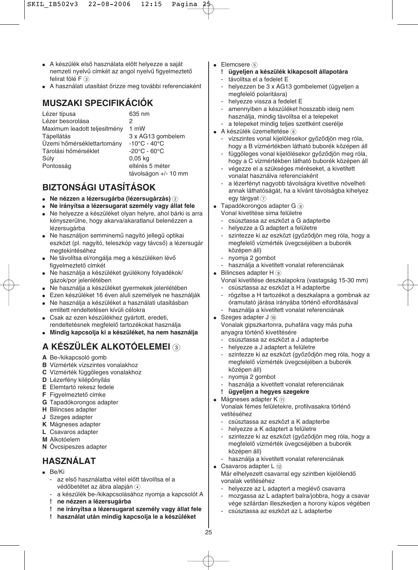- A készülék első használata előtt helyezze a saját nemzeti nyelvű címkét az angol nyelvű figyelmeztető felirat fölé  $F$  3
- A használati utasítást Œrizze meg további referenciaként

### **MUSZAKI SPECIFIKÁCIÓK**

Lézer típusa 635 nm Lézer besorolása 2 Maximum leadott teljesítmény 1 mW Tápellátás 3 x AG13 gombelem Üzemi hőmérséklettartomány -10°C - 40°C<br>Tárolási hőmérséklet -20°C - 60°C Tárolási hőmérséklet Súly 0,05 kg Pontosság eltérés 5 méter távolságon +/- 10 mm

### **BIZTONSÁGI UTASÍTÁSOK**

- **Ne nézzen a lézersugárba (lézersugárzás)** 2
- **Ne irányítsa a lézersugarat személy vagy állat fele**
- Ne helyezze a készüléket olyan helyre, ahol bárki is arra kényszerülne, hogy akarva/akaratlanul belenézzen a lézersugárba
- Ne használjon semminemű nagyító jellegű optikai eszközt (pl. nagyító, teleszkóp vagy távcső) a lézersugár megtekintéséhez
- Ne távolítsa el/rongálja meg a készüléken lévő figyelmeztető címkét
- Ne használja a készüléket gyúlékony folyadékok/ gázok/por jelenlétében
- Ne használja a készüléket gyermekek jelenlétében
- Ezen készüléket 16 éven aluli személyek ne használják Ne használja a készüléket a használati utasításban
- említett rendeltetésen kívüli célokra Csak az ezen készülékhez gyártott, eredeti, rendeltetésnek megfelelő tartozékokat használja
- **Mindig kapcsolja ki a készüléket, ha nem használja**

### **A KÉSZÜLÉK ALKOTÓELEMEI** 3

- **A** Be-/kikapcsoló gomb
- **B** Vízmérték vízszintes vonalakhoz
- **C** Vízmérték függőleges vonalakhoz
- **D** Lézerfény kilépőnyílás
- **E** Elemtartó rekesz fedele
- **F** Figyelmeztető címke
- **G** Tapadókorongos adapter
- **H** Bilincses adapter
- **J** Szeges adapter
- **K** Mágneses adapter
- **L** Csavaros adapter
- **M** Alkotóelem
- **N** Övcsipeszes adapter

### **HASZNÁLAT**

- $-$  Be/Ki
	- az első használatba vétel előtt távolítsa el a védőbetétet az ábra alapján (4)
	- a készülék be-/kikapcsolásához nyomja a kapcsolót A
	- **! ne nézzen a lézersugárba**
	- **! ne irányítsa a lézersugarat személy vagy állat fele**
	- **! használat után mindig kapcsolja le a készüléket**
- Elemcsere 5
	- **! ügyeljen a készülék kikapcsolt állapotára**
	- távolítsa el a fedelet E
	- helyezzen be 3 x AG13 gombelemet (ügyeljen a megfelelő polaritásra)
	- helyezze vissza a fedelet E
	- amennyiben a készüléket hosszabb ideig nem használja, mindig távolítsa el a telepeket
	- a telepeket mindig teljes szettként cserélje
- A készülék üzemeltetése 6
	- vízszintes vonal kijelölésekor győződjön meg róla, hogy a B vízmértékben látható buborék középen áll
- függőleges vonal kijelölésekor győződjön meg róla, hogy a C vízmértékben látható buborék középen áll
- végezze el a szükséges méréseket, a kivetített vonalat használva referenciaként
- a lézerfényt nagyobb távolságra kivetítve növelheti annak láthatóságát, ha a kívánt távolságba kihelyez egy tárgyat $(7)$
- Tapadókorongos adapter G  $(8)$

Vonal kivetítése sima felületre

- csúsztassa az eszközt a G adapterbe
- helyezze a G adaptert a felületre
- szintezze ki az eszközt (győződjön meg róla, hogy a megfelelő vízmérték üvegcséjében a buborék középen áll)
- nyomja 2 gombot
- használja a kivetített vonalat referenciának
- **Bilincses adapter H** 9 Vonal kivetítése deszkalapokra (vastagság 15-30 mm)
	-
	- csúsztassa az eszközt a H adapterbe
	- rögzítse a H tartozékot a deszkalapra a gombnak az óramutató járása irányába történő elfordításával - használja a kivetített vonalat referenciának
- Szeges adapter  $J(0)$ Vonalak gipszkartonra, puhafára vagy más puha anyagra történő kivetítésére
	- csúsztassa az eszközt a J adapterbe
	- helyezze a J adaptert a felületre
	- szintezze ki az eszközt (győződjön meg róla, hogy a megfelelő vízmérték üvegcséjében a buborék középen áll)
	- nyomja 2 gombot
	- használja a kivetített vonalat referenciának
- **! ügyeljen a hegyes szegekre**
- Mágneses adapter  $K$   $\Omega$

Vonalak fémes felületekre, profilvasakra történő vetítéséhez

- csúsztassa az eszközt a K adapterbe
- helyezze a K adaptert a felületre
- szintezze ki az eszközt (győződjön meg róla, hogy a megfelelő vízmérték üvegcséjében a buborék középen áll)
- használja a kivetített vonalat referenciának
- Csavaros adapter L @
	- Már elhelyezett csavarral egy szintben kijelölendő vonalak vetítéséhez
	- helyezze az L adaptert a meglévő csavarra
	- mozgassa az L adaptert balra/jobbra, hogy a csavar vége szilárdan illeszkedjen a horony kúpos végében
	- csúsztassa az eszközt az L adapterbe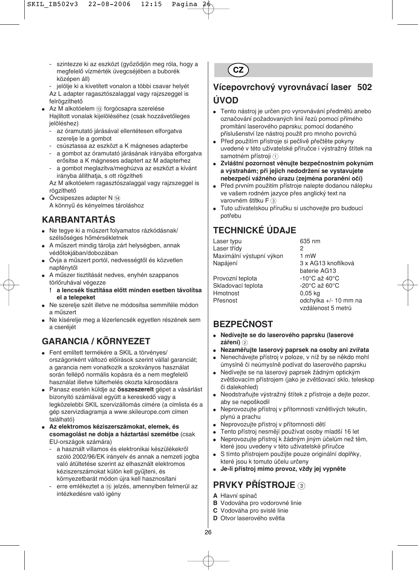- szintezze ki az eszközt (győződjön meg róla, hogy a megfelelő vízmérték üvegcséjében a buborék középen áll)
- jelölje ki a kivetített vonalon a többi csavar helyét Az L adapter ragasztószalaggal vagy rajzszeggel is felrögzíthető
- Az M alkotóelem @ forgócsapra szerelése Hajlított vonalak kijelöléséhez (csak hozzávetőleges jelöléshez)
	- az óramutató járásával ellentétesen elforgatva szerelje le a gombot
	- csúsztassa az eszközt a K mágneses adapterbe
	- a gombot az óramutató járásának irányába elforgatva erősítse a K mágneses adaptert az M adapterhez
	- a gombot meglazítva/meghúzva az eszközt a kívánt irányba állíthatja, s ott rögzítheti

Az M alkotóelem ragasztószalaggal vagy rajzszeggel is rögzíthető

 $\bullet$  Övcsipeszes adapter N $\times$ A könnyű és kényelmes tároláshoz

### **KARBANTARTÁS**

- Ne tegye ki a műszert folyamatos rázkódásnak/ szélsőséges hőmérsékletnek
- A műszert mindig tárolja zárt helységben, annak védőtokjában/dobozában
- Óvja a műszert portól, nedvességtől és közvetlen napfénytől
- A műszer tisztítását nedves, enyhén szappanos törlőruhával végezze
	- **! a lencsék tisztítása elŒtt minden esetben távolítsa el a telepeket**
- Ne szerelje szét illetve ne módosítsa semmiféle módon a műszert
- Ne kísérelje meg a lézerlencsék egyetlen részének sem a cseréjét

### **GARANCIA / KÖRNYEZET**

- Fent említett termékére a SKIL a törvényes/ országonként változó előírások szerint vállal garanciát; a garancia nem vonatkozik a szokványos használat során fellépő normális kopásra és a nem megfelelő használat illetve túlterhelés okozta károsodásra
- Panasz esetén küldje az **összeszerelt** gépet a vásárlást bizonyító számlával együtt a kereskedő vagy a legközelebbi SKIL szervizállomás címére (a címlista és a gép szervizdiagramja a www.skileurope.com címen található)
- **Az elektromos kéziszerszámokat, elemek, és csomagolást ne dobja a háztartási szemétbe** (csak EU-országok számára)
	- a használt villamos és elektronikai készülékekről szóló 2002/96/EK irányelv és annak a nemzeti jogba való átültetése szerint az elhasznált elektromos kéziszerszámokat külön kell gyűjteni, és környezetbarát módon újra kell hasznosítani
	- erre emlékeztet a ® jelzés, amennyiben felmerül az intézkedésre való igény

### **CZ**

### **Vícepovrchov˘ vyrovnávací laser 502 ÚVOD**

- Tento nástroj je určen pro vyrovnávání předmětů anebo označování požadovaných linií řezů pomocí přímého promítání laserového paprsku; pomocí dodaného příslušenství lze nástroj použít pro mnoho povrchů
- Před použitím přístroje si pečlivě přečtěte pokyny uvedené v této uživatelské příručce i výstražný štítek na samotném přístroji  $\bigcap$
- Zvláštní pozornost věnujte bezpečnostním pokynům a výstrahám; při jejich nedodržení se vystavujete nebezpečí vážného úrazu (zejména poranění očí)
- Před prvním použitím přístroje nalepte dodanou nálepku ve vašem rodném jazyce přes anglický text na varovném štítku F 3
- Tuto uživatelskou příručku si uschovejte pro budoucí potřebu

### **TECHNICKÉ ÚDAJE**

Laser typu 635 nm Laser třídy 2 Maximální výstupní výkon 1 mW Napájení 3 x AG13 knoflíková

Provozní teplota  $-10^{\circ}$ C až 40°C<br>Skladovací teplota  $-20^{\circ}$ C až 60°C Skladovací teplota -20°C a<br>
Hmotnost 0,05 kg Hmotnost

baterie AG13<br>-10°C až 40°C Přesnost odchylka +/- 10 mm na vzdálenost 5 metrü

### **BEZPEÇNOST**

- **Nedívejte se do laserového paprsku (laserové záření)** 2
- Nezaměřujte laserový paprsek na osoby ani zvířata
- Nenechávejte přístroj v poloze, v níž by se někdo mohl úmyslně či neúmyslně podívat do laserového paprsku
- Nedívejte se na laserový paprsek žádným optickým zvětšovacím přístrojem (jako je zvětšovací sklo, teleskop či dalekohled)
- Neodstraňujte výstražný štítek z přístroje a dejte pozor, aby se nepoškodil
- Neprovozujte přístroj v přítomnosti vznětlivých tekutin, plynü a prachu
- Neprovozujte přístroj v přítomnosti dětí
- Tento přístroj nesmějí používat osoby mladší 16 let Neprovozujte přístroj k žádným jiným účelům než těm,
- které jsou uvedeny v této uživatelské příručce
- S tímto přístrojem použijte pouze originální doplňky, které jsou k tomuto účelu určeny
- **•** Je-li přístroj mimo provoz, vždy jej vypněte

### **PRVKY PŘÍSTROJE** 3

- **A** Hlavní spínaã
- **B** Vodováha pro vodorovné linie
- **C** Vodováha pro svislé linie
- **D** Otvor laserového světla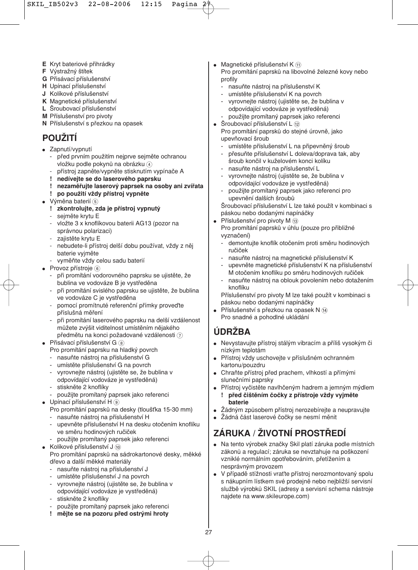SKIL IB502v3 22-08-2006 12:15 Pagina

- **E** Kryt bateriové přihrádky
- **F** Výstražný štítek
- **G** Přisávací příslušenství
- **H** Upínací příslušenství
- **J** Kolíkové příslušenství
- **K** Magnetické příslušenství
- **L** Šroubovací příslušenství
- **M** Příslušenství pro pivotv
- **N** Příslušenství s přezkou na opasek

### **POUˇITÍ**

- Zapnutí/vypnutí
	- před prvním použitím nejprve sejměte ochranou vložku podle pokynů na obrázku 4
	- přístroj zapněte/vypněte stisknutím vypínače A
	- **! nedívejte se do laserového paprsku**
	- nezaměřujte laserový paprsek na osoby ani zvířata **! po použití vždy přístroj vypněte**
- Výměna baterií 5
	- **! zkontrolujte, zda je p®ístroj vypnut¥**
	- sejměte krytu E
	- vložte 3 x knoflíkovou baterii AG13 (pozor na správnou polarizaci)
	- zajistěte krytu E
	- nebudete-li přístroj delší dobu používat, vždy z něj baterie vyjměte
	- vyměňte vždy celou sadu baterií
- Provoz přístroje 6
	- při promítání vodorovného paprsku se ujistěte, že bublina ve vodováze B je vystředěna
	- při promítání svislého paprsku se ujistěte, že bublina ve vodováze C je vystředěna
	- pomocí promítnuté referenční přímky proveďte příslušná měření
	- při promítání laserového paprsku na delší vzdálenost můžete zvýšit viditelnost umístěním nějakého předmětu na konci požadované vzdálenosti  $\widehat{p}$
- Přisávací příslušenství G 8
	- Pro promítání paprsku na hladký povrch
	- nasuňte nástroj na příslušenství G
	- umístěte příslušenství G na povrch
	- vyrovnejte nástroj (ujistěte se, že bublina v
	- odpovídající vodováze je vystředěná)
	- stiskněte 2 knoflíky
	- použijte promítaný paprsek jako referenci
- Upínací příslušenství H 9
	- Pro promítání paprsků na desky (tloušťka 15-30 mm)
	- nasuňte nástroj na příslušenství H upevněte příslušenství H na desku otočením knoflíku
	- ve směru hodinových ručiček použijte promítaný paprsek jako referenci
- Kolíkové příslušenství J (10)
- Pro promítání paprsků na sádrokartonové desky, měkké dřevo a další měkké materiály
- nasuňte nástroj na příslušenství J
- umístěte příslušenství J na povrch
- vyrovnejte nástroj (ujistěte se, že bublina v odpovídající vodováze je vystředěná)
- stiskněte 2 knoflíky
- použijte promítaný paprsek jako referenci
- **! mûjte se na pozoru pfied ostr˘mi hroty**
- Magnetické příslušenství K (11) Pro promítání paprsků na libovolné železné kovy nebo profily
	- nasuňte nástroj na příslušenství K
	- umístěte příslušenství K na povrch
	- vyrovnejte nástroj (ujistěte se, že bublina v odpovídající vodováze je vystředěná)
- použijte promítaný paprsek jako referenci • Šroubovací příslušenství L @
- Pro promítání paprsků do stejné úrovně, jako upevňovací šroub
	- umístěte příslušenství L na připevněný šroub
	- přesuňte příslušenství L doleva/doprava tak, aby šroub končil v kuželovém konci kolíku
- nasuňte nástroj na příslušenství L
- vyrovnejte nástroj (ujistěte se, že bublina v odpovídající vodováze je vystředěná)
- použijte promítaný paprsek jako referenci pro upevnění dalších šroubů

Šroubovací příslušenství L lze také použít v kombinaci s páskou nebo dodanými napínáčky

- Příslušenství pro pivoty M  $(3)$ Pro promítání paprsků v úhlu (pouze pro přibližné vyznaãení)
	- demontujte knoflík otočením proti směru hodinových ruãiãek
	- nasuňte nástroj na magnetické příslušenství K
	- upevněte magnetické příslušenství K na příslušenství M otočením knoflíku po směru hodinových ručiček
	- nasuňte nástroj na oblouk povolením nebo dotažením knoflíku

Příslušenství pro pivoty M lze také použít v kombinaci s páskou nebo dodanými napínáčky

Příslušenství s přezkou na opasek N  $(1)$ Pro snadné a pohodlné ukládání

#### **ÚDRˇBA**

- Nevystavujte přístroj stálým vibracím a příliš vysokým či nízkým teplotám
- Přístroj vždy uschovejte v příslušném ochranném kartonu/pouzdru
- Chraňte přístroj před prachem, vlhkostí a přímými slunečními paprsky
- Přístroj vyčistěte navlhčeným hadrem a jemným mýdlem
- ! před čištěním čočky z přístroje vždy vyjměte **baterie**
- Žádným způsobem přístroj nerozebírejte a neupravujte
- Žádná část laserové čočky se nesmí měnit

### **ZÁRUKA / ŽIVOTNÍ PROSTŘEDÍ**

- Na tento výrobek značky Skil platí záruka podle místních zákonů a regulací; záruka se nevztahuje na poškození vzniklé normálním opotřebováním, přetížením a nesprávným provozem
- V případě stížnosti vraťte přístroj nerozmontovaný spolu s nákupním lístkem své prodejně nebo nejbližší servisní službě výrobků SKIL (adresy a servisní schema nástroje najdete na www.skileurope.com)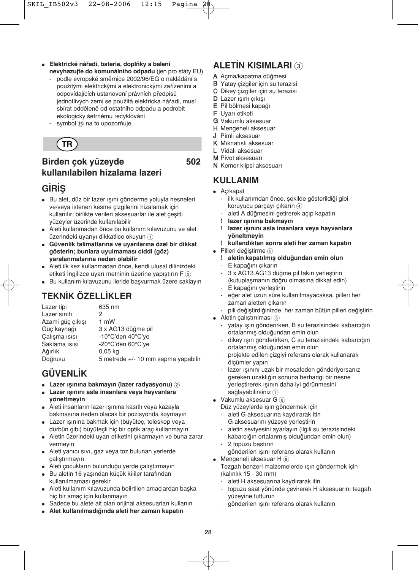- **Elektrické náfiadí, baterie, doplÀky a balení nevyhazujte do komunálního odpadu** (jen pro státy EU)
	- podle evropské směrnice 2002/96/EG o nakládání s použitými elektrickými a elektronickými zařízeními a odpovídajících ustanovení právních předpisů jednotlivých zemí se použitá elektrická nářadí, musí sbírat odděleně od ostatního odpadu a podrobit ekologicky ‰etrnému recyklování
	- symbol (is) na to upozorňuje

## **TR**

### Birden çok yüzeyde **502** kullanılabilen hizalama lazeri

#### **GIRIS**

- Bu alet, düz bir lazer ışını gönderme yoluyla nesneleri ve/veya istenen kesme çizgilerini hizalamak için kullanılır; birlikte verilen aksesuarlar ile alet çeşitli yüzeyler üzerinde kullanılabilir
- Aleti kullanmadan önce bu kullanım kılavuzunu ve alet üzerindeki uyarıyı dikkatlice okuyun 1
- Güvenlik talimatlarına ve uyarılarına özel bir dikkat gösterin; bunlara uyulmaması ciddi (göz) yaralanmalarına neden olabilir
- Aleti ilk kez kullanmadan önce, kendi ulusal dilinizdeki etiketi İngilizce uyarı metninin üzerine yapıstırın  $F(3)$
- Bu kullanım kılavuzunu ileride başvurmak üzere saklayın

### TEKNİK ÖZELLİKLER

Lazer tipi 635 nm Lazer sınıfı (*zami qüc cıkısı* 2<br>Azami güc cıkısı (*zami* 1 mW Azami güç çıkışı Güç kaynağı 3 x AG13 düğme pil Çalışma ısısı -10°C'den 40°C'ye<br>Saklama ısısı -20°C'den 60°C'ye -20°C'den 60°C'ye Ağırlık 0,05 kg Doğrusu 5 metrede +/- 10 mm sapma yapabilir

### **GÜVENLIK**

- Lazer ışınına bakmayın (lazer radyasyonu)  $\widehat{2}$
- Lazer ışınını asla insanlara veya hayvanlara yöneltmeyin
- Aleti insanların lazer ışınına kasıtlı veya kazayla bakmasına neden olacak bir pozisyonda koymayın
- Lazer ışınına bakmak için (büyütec, teleskop veya dürbün gibi) büyüteçli hiç bir optik araç kullanmayın
- Aletin üzerindeki uyarı etiketini çıkarmayın ve buna zarar vermeyin
- Aleti yanıcı sıvı, gaz veya toz bulunan yerlerde çalıştırmayın
- Aleti çocukların bulunduğu yerde çalıştırmayın
- Bu aletin 16 yaşından küçük kiıiler tarafından kullanılmaması gerekir
- Aleti kullanım kılavuzunda belirtilen amaçlardan başka hiç bir amaç için kullanmayın
- Sadece bu alete ait olan orijinal aksesuarları kullanın
- Alet kullanılmadığında aleti her zaman kapatın

### **ALETIN KISIMLARI 3**

- A Acma/kapatma düğmesi
- B Yatay çizgiler için su terazisi
- C Dikey çizgiler için su terazisi
- Lazer ısını çıkısı
- E Pil bölmesi kapağı
- **F** Uyarı etiketi
- G Vakumlu aksesuar
- H Mengeneli aksesuar
- J Pimli aksesuar
- K Miknatisli aksesuar
- L Vidalı aksesuar
- **M** Pivot aksesuari
- N Kemer klipsi aksesuarı

### KULLANIM

- Aç/kapat
	- ilk kullanımdan önce, şekilde gösterildiği gibi koruyucu parçayı çıkarın (4)
	- aleti A düğmesini getirerek açıp kapatın
	- ! lazer ışınına bakmayın
	- lazer ışınını asla insanlara veya hayvanlara yöneltmeyin
	- ! kullandıktan sonra aleti her zaman kapatın
- Pilleri değiştirme (5)
- ! aletin kapatılmış olduğundan emin olun
- E kapağını çıkarın
- 3 x AG13 AG13 düğme pil takın yerleştirin (kutuplasmanın doğru olmasına dikkat edin)
- E kapağını yerleştirin
- eğer alet uzun süre kullanılmayacaksa, pilleri her zaman aletten çıkarın
- pili değiştirdiğinizde, her zaman bütün pilleri değiştirin
- Aletin çalıştırılması 6
- yatay ışın gönderirken, B su terazisindeki kabarcığın ortalanmış olduğundan emin olun
- dikey ışın gönderirken, C su terazisindeki kabarcığın ortalanmış olduğundan emin olun
- projekte edilen çizgiyi referans olarak kullanarak ölçümler yapın
- lazer ısınını uzak bir mesafeden gönderiyorsanız gereken uzaklığın sonuna herhangi bir nesne yerleştirerek ışının daha iyi görünmesini sağlayabilirsiniz (7)
- Vakumlu aksesuar G 8
- Düz yüzeylerde ışın göndermek icin
- aleti G aksesuarına kaydırarak itin
- G aksesuarını yüzeye yerleştirin
- aletin seviyesini ayarlayın (ilgili su terazisindeki kabarcığın ortalanmış olduğundan emin olun)
- 2 topuzu bastırın
- gönderilen ışını referans olarak kullanın
- Mengeneli aksesuar H $\circledcirc$

Tezgah benzeri malzemelerde ışın göndermek için (kalınlık 15 - 30 mm)

- aleti H aksesuarına kaydırarak itin
- topuzu saat yönünde çevirerek H aksesuarını tezgah yüzeyine tutturun
- gönderilen ısını referans olarak kullanın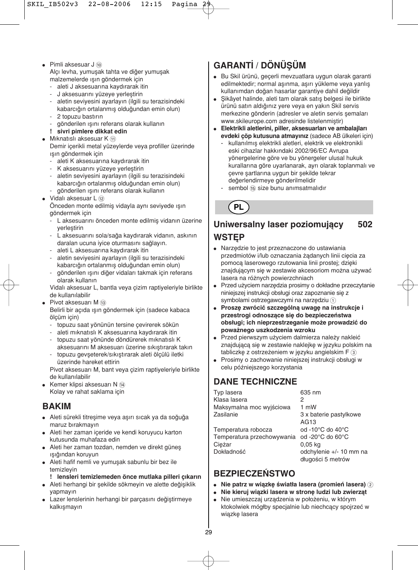- $\bullet$  Pimli aksesuar J $\omega$ Alçı levha, yumuşak tahta ve diğer yumuşak malzemelerde ışın göndermek için
	- aleti J aksesuarına kaydırarak itin
	- J aksesuarını yüzeye yerleştirin
	- aletin seviyesini ayarlayın (ilgili su terazisindeki
	- kabarcığın ortalanmış olduğundan emin olun) - 2 topuzu bastırın
	- gönderilen ışını referans olarak kullanın
	- ! sivri pimlere dikkat edin
- $\bullet$  Miknatisli aksesuar K $(n)$

Demir içerikli metal yüzeylerde veya profiller üzerinde ısın göndermek için

- aleti K aksesuarına kaydırarak itin
- K aksesuarını yüzeye yerleştirin
- aletin seviyesini ayarlayın (ilgili su terazisindeki kabarcığın ortalanmış olduğundan emin olun) gönderilen ışını referans olarak kullanın
- Vidal› aksesuar L @

Önceden monte edilmiş vidayla aynı seviyede ışın göndermek için

- L aksesuarını önceden monte edilmiş vidanın üzerine yerlestirin
- L aksesuarını sola/sağa kaydırarak vidanın, askının daralan ucuna iyice oturmasını sağlayın.
- aleti L aksesuarına kaydırarak itin
- aletin seviyesini ayarlayın (ilgili su terazisindeki kabarcığın ortalanmış olduğundan emin olun)
- gönderilen ışını diğer vidaları takmak için referans olarak kullanın

Vidalı aksesuar L, bantla veya çizim raptiyeleriyle birlikte de kullanılabilir

Pivot aksesuarı M  $(3)$ 

Belirli bir açıda ısın göndermek için (sadece kabaca ölçüm için)

- topuzu saat yönünün tersine çevirerek sökün
- aleti mıknatıslı K aksesuarına kaydırarak itin
- topuzu saat yönünde döndürerek mıknatıslı K aksesuarını M aksesuarı üzerine sıkıştırarak takın
- topuzu gevseterek/sıkıştırarak aleti ölçülü iletki üzerinde hareket ettirin

Pivot aksesuarı M, bant veya çizim raptiyeleriyle birlikte de kullanılabilir

 $\bullet$  Kemer klipsi aksesuarı N $(4)$ Kolay ve rahat saklama için

#### BAKIM

- Aleti sürekli titreşime veya aşırı sıcak ya da soğuğa maruz bırakmayın
- Aleti her zaman içeride ve kendi koruyucu karton kutusunda muhafaza edin
- Aleti her zaman tozdan, nemden ve direkt günes ışığından koruyun
- Aleti hafif nemli ve yumuşak sabunlu bir bez ile temizleyin

! lensleri temizlemeden önce mutlaka pilleri çıkarın

- Aleti herhangi bir şekilde sökmeyin ve alette değişiklik vapmayın
- Lazer lenslerinin herhangi bir parçasını değiştirmeye kalkışmayın

### GARANTİ / DÖNÜSÜM

- Bu Skil ürünü, geçerli mevzuatlara uygun olarak garanti edilmektedir; normal asınma, asırı yükleme veya yanlış kullanımdan doğan hasarlar garantiye dahil değildir
- Sikâyet halinde, aleti tam olarak satış belgesi ile birlikte ürünü satın aldığınız yere veya en yakın Skil servis merkezine gönderin (adresler ve aletin servis semaları www.skileurope.com adresinde listelenmistir)
- Elektrikli aletlerini, piller, aksesuarları ve ambalajları evdeki çöp kutusuna atmayınız (sadece AB ülkeleri için)
	- kullanılmış elektrikli aletleri, elektrik ve elektronikli eski cihazlar hakkındaki 2002/96/EC Avrupa yönergelerine göre ve bu yönergeler ulusal hukuk kurallarına göre uyarlanarak, ayrı olarak toplanmalı ve cevre sartlarına uygun bir sekilde tekrar değerlendirmeye gönderilmelidir
	- sembol 66 size bunu anımsatmalıdır

**PL**

### **Uniwersalny laser poziomujàcy 502 WST¢P**

- Narzędzie to jest przeznaczone do ustawiania przedmiotów i/lub oznaczania żądanych linii cięcia za pomocą laserowego rzutowania linii prostej; dzięki znajdującym się w zestawie akcesoriom można używać lasera na różnych powierzchniach
- Przed użyciem narzędzia prosimy o dokładne przeczytanie niniejszej instrukcji obsługi oraz zapoznanie sie z symbolami ostrzegawczymi na narzędziu 1
- Proszę zwrócić szczególną uwagę na instrukcje i przestrogi odnoszące się do bezpieczeństwa **obs∏ugi; ich nieprzestrzeganie mo˝e prowadziç do powa˝nego uszkodzenia wzroku**
- Przed pierwszym użyciem dalmierza należy nakleić znajdującą się w zestawie naklejkę w języku polskim na tabliczkę z ostrzeżeniem w języku angielskim F 3
- Prosimy o zachowanie niniejszej instrukcji obsługi w celu póêniejszego korzystania

### **DANE TECHNICZNE**

| Typ lasera                 | 635 nm                               |
|----------------------------|--------------------------------------|
| Klasa lasera               | 2                                    |
| Maksymalna moc wyjściowa   | $1 \, mW$                            |
| Zasilanie                  | 3 x baterie pastylkowe               |
|                            | AG13                                 |
| Temperatura robocza        | od -10 $\degree$ C do 40 $\degree$ C |
| Temperatura przechowywania | od -20°C do 60°C                     |
| Cieżar                     | $0.05$ kg                            |
| Dokładność                 | odchylenie +/- 10 mm na              |
|                            | długości 5 metrów                    |
|                            |                                      |

#### **BEZPIECZEŃSTWO**

- Nie patrz w wiązkę światła lasera (promień lasera) 2
- Nie kieruj wiązki lasera w stronę ludzi lub zwierząt
- Nie umieszczaj urządzenia w położeniu, w którym ktokolwiek mógłby specjalnie lub niechcący spojrzeć w wiązkę lasera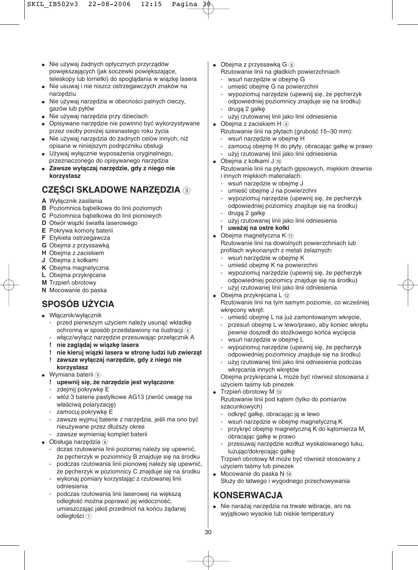- Nie używaj żadnych optycznych przyrządów powiększających (jak soczewki powiększające, teleskopy lub lornetki) do spoglądania w wiązkę lasera
- Nie usuwaj i nie niszcz ostrzegawczych znaków na narzedziu
- Nie używaj narzędzia w obecności palnych cieczy, gazów lub py∏ów
- Nie używaj narzedzia przy dzieciach
- Opisywane narzędzie nie powinno być wykorzystywane przez osoby poniżej szesnastego roku życia
- Nie używaj narzędzia do żadnych celów innych, niż opisane w niniejszym podręczniku obsługi
- Używaj wyłącznie wyposażenia oryginalnego, przeznaczonego do opisywanego narzędzia
- Zawsze wyłączaj narzędzie, gdy z niego nie **korzystasz**

### **CZĘŚCI SKŁADOWE NARZĘDZIA 3**

- **A** Wyłącznik zasilania
- **B** Poziomnica babelkowa do linii poziomych
- **C** Poziomnica bąbelkowa do linii pionowych
- **D** Otwór wiązki światła laserowego
- **E** Pokrywa komory baterii
- **F** Etykieta ostrzegawcza
- **G** Obejma z przyssawkà
- **H** Obejma z zaciskiem
- **J** Obejma z kołkami
- **K** Obejma magnetyczna
- **L** Obejma przykręcana
- **M** Trzpieƒ obrotowy
- **N** Mocowanie do paska

### **SPOSÓB U˚YCIA**

- Włącznik/wyłącznik
	- przed pierwszym użyciem należy usunąć wkładkę ochronną w sposób przedstawiony na ilustracji 4
	- włącz/wyłącz narzędzie przesuwając przełącznik A
	- **! nie zaglàdaj w wiàzk´ lasera**
	- **! nie kieruj wiàzki lasera w stron´ ludzi lub zwierzàt**
	- **! zawsze wy∏àczaj narz´dzie, gdy z niego nie korzystasz**
- Wymiana baterii (5)
	- ! upewnij się, że narzędzie jest wyłączone
	- zdejmij pokrywke E
	- włóż 3 baterie pastylkowe AG13 (zwróć uwagę na właściwą polaryzację)
	- zamocuj pokrywkę E
	- zawsze wyjmuj baterie z narzędzia, jeśli ma ono być nieużywane przez dłuższy okres
	- zawsze wymieniaj komplet baterii
- Obsługa narzędzia 6
	- dczas rzutowania linii poziomej należy się upewnić, że pęcherzyk w poziomnicy B znajduje się na środku
	- podczas rzutowania linii pionowej należy się upewnić, że pęcherzyk w poziomnicy C znajduje się na środku
	- wykonaj pomiary korzystając z rzutowanej linii odniesienia
	- podczas rzutowania linii laserowej na większą odległość można poprawić jej widoczność, umieszczając jakiś przedmiot na końcu żądanej odległości (7)
- Obejma z przyssawką G 8 Rzutowanie linii na gładkich powierzchniach
	- wsuń narzędzie w obejmę G
	- umieść obejmę G na powierzchni
	- wypoziomuj narzędzie (upewnij się, że pęcherzyk odpowiedniej poziomnicy znajduje się na środku) druga 2 gałkę
	- użyj rzutowanej linii jako linii odniesienia
- $\bullet$  Obejma z zaciskiem H $\circledcirc$ 
	- Rzutowanie linii na płytach (grubość 15–30 mm):
	- wsuń narzędzie w obejmę H
	- zamocuj obejmę H do płyty, obracając gałkę w prawo
	- użyj rzutowanej linii jako linii odniesienia
- Obejma z kołkami J @ Rzutowanie linii na płytach gipsowych, miękkim drewnie i innych miękkich materiałach:
- wsuń narzędzie w obejmę J
- umieść obejmę J na powierzchni
- wypoziomuj narzędzie (upewnij się, że pęcherzyk odpowiedniej poziomicy znajduje się na środku)
- drugą 2 gałkę
- użyj rzutowanej linii jako linii odniesienia
- **! uwa˝aj na ostre ko∏ki**
- $\bullet$  Obejma magnetyczna K $(n)$

Rzutowanie linii na dowolnych powierzchniach lub profilach wykonanych z metali żelaznych:

- wsuń narzędzie w obejmę K
- umieść obejmę K na powierzchni
- wypoziomuj narzędzie (upewnij się, że pęcherzyk odpowiedniej poziomicy znajduje się na środku) użyj rzutowanej linii jako linii odniesienia
- $\bullet$  Obejma przykręcana L  $\overline{2}$ 
	- Rzutowanie linii na tym samym poziomie, co wcześniej wkrecony wkret:
	- umieść obejmę L na już zamontowanym wkręcie,
	- przesuń obejmę L w lewo/prawo, aby koniec wkrętu pewnie doszedł do stożkowego końca wycięcia
	- wsuń narzędzie w obejmę L
	- wypoziomuj narzędzie (upewnij się, że pęcherzyk odpowiedniej poziomnicy znajduje się na środku)
	- użyj rzutowanej linii jako linii odniesienia podczas wkręcania innych wkrętów

Obejma przykręcana L może być również stosowana z użyciem taśmy lub pinezek

- Trzpień obrotowy M (13) Rzutowanie linii pod kàtem (tylko do pomiarów szacunkowych)
- odkręć gałkę, obracając ją w lewo
- wsuń narzędzie w obejmę magnetyczną K
- przykręć obejmę magnetyczną K do kątomierza M,
- obracając gałkę w prawo przesuwaj narzędzie wzdłuż wyskalowanego łuku,
- luzując/dokręcając gałkę Trzpień obrotowy M może być również stosowany z użyciem taśmy lub pinezek
- Mocowanie do paska N (14)
- Służy do łatwego i wygodnego przechowywania

#### **KONSERWACJA**

Nie narażaj narzędzia na trwałe wibracje, ani na wyjàtkowo wysokie lub niskie temperatury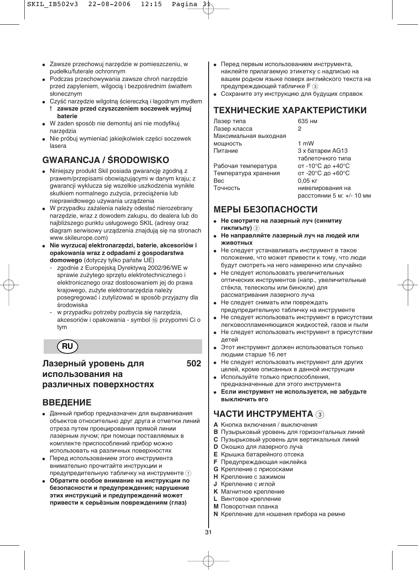- Zawsze przechowuj narzędzie w pomieszczeniu, w pude∏ku/futerale ochronnym
- Podczas przechowywania zawsze chroń narzędzie przed zapyleniem, wilgocią i bezpośrednim światłem słonecznym
- Czyść narzędzie wilgotną ściereczką i łagodnym mydłem
- **! zawsze przed czyszczeniem soczewek wyjmuj baterie**
- W żaden sposób nie demontuj ani nie modyfikuj narzedzia
- Nie próbuj wymieniać jakiejkolwiek części soczewek lasera

### **GWARANCJA / ÂRODOWISKO**

- Niniejszy produkt Skil posiada gwarancję zgodną z prawem/przepisami obowiązującymi w danym kraju; z gwarancji wyklucza się wszelkie uszkodzenia wynikłe skutkiem normalnego zużycia, przeciążenia lub nieprawidłowego używania urządzenia
- W przypadku zażalenia należy odesłać nierozebrany narzędzie, wraz z dowodem zakupu, do dealera lub do najbliższego punktu usługowego SKIL (adresy oraz diagram serwisowy urządzenia znajdują się na stronach www.skileurope.com)
- **Nie wyrzucaj elektronarz´dzi, baterie, akcesoriów i opakowania wraz z odpadami z gospodarstwa** domowego (dotyczy tylko państw UE)
	- zgodnie z Europejską Dyrektywą 2002/96/WE w sprawie zużytego sprzętu elektrotechnicznego i elektronicznego oraz dostosowaniem jej do prawa krajowego, zużyte elektronarzędzia należy posegregowaç i zutylizowaç w sposób przyjazny dla środowiska
	- w przypadku potrzeby pozbycia się narzędzia, akcesoriów i opakowania - symbol ® przypomni Ci o tym

![](_page_30_Picture_13.jpeg)

#### **Лазерный уровень для 502 использования на различных поверхностях**

#### **ВВЕДЕНИЕ**

- Данный прибор предназначен для выравнивания объектов относительно друг друга и отметки линий отреза путем проецирования прямой линии лазерным лучом; при помощи поставляемых в комплекте приспособлений прибор можно использовать на различных поверхностях
- Перед использованием этого инструмента внимательно пpочитайте инстpукции и предупредительную табличку на инструменте  $\widehat{1}$
- **Обpатите особое внимание на инстpукции по безопасности и пpедупpеждения; наpушение этиx инстpукций и пpедупpеждений может пpивести к сеpьёзным повpеждениям (глаз)**
- Перед первым использованием инструмента, наклейте прилагаемую этикетку с надписью на вашем родном языке поверх английского текста на предупреждающей табличке F  $(3)$
- Соxpаните эту инстpукцию для будущиx спpавок

### **ТЕХНИЧЕСКИЕ ХАРАКТЕРИСТИКИ**

| Лазер типа            | 635 нм                    |
|-----------------------|---------------------------|
| Лазер класса          | 2                         |
| Максимальная выходная |                           |
| мощность              | 1 mW                      |
| Питание               | 3 х батареи AG13          |
|                       | таблеточного типа         |
| Рабочая температура   | от -10°С до +40°С         |
| Температура хранения  | от -20°С до +60°С         |
| Bec                   | $0.05$ KF                 |
| Точность              | нивелирования на          |
|                       | расстоянии 5 м: +/- 10 мм |

#### **МЕРЫ БЕЗОПАСНОСТИ**

- **Не смотpите на лазеpный луч (синмтиу гикпиъпу)** 2
- **Не напpавляйте лазеpный луч на людей или животныx**
- Не следует устанавливать инструмент в такое положение, что может пpивести к тому, что люди будут смотpеть на него намеpенно или случайно
- Не следует использовать увеличительныx оптическиx инстpументов (напp., увеличительные стёкла, телескопы или бинокли) для pассматpивания лазеpного луча
- Не следует снимать или повpеждать пpедупpедительную табличку на инстpументе
- Не следует использовать инструмент в присутствии легковоспламеняющиxся жидкостей, газов и пыли
- Не следует использовать инструмент в присутствии детей
- Этот инструмент должен использоваться только людьми стаpше 16 лет
- Не следует использовать инструмент для других целей, кpоме описанныx в данной инстpукции
- Используйте только пpиспособления, пpедназначенные для этого инстpумента
- **Если инстpумент не используется, не забудьте выключить его**

### **ЧАСТИ ИНСТРУМЕНТА** 3

- **A** Кнопка включения / выключения
- **B** Пузырьковый уровень для горизонтальных линий
- **C** Пузырьковый уровень для вертикальных линий
- **D** Окошко для лазерного луча
- **E** Крышка батарейного отсека
- **F** Предупреждающая наклейка
- **G** Крепление с присосками
- **H** Крепление с зажимом
- **J** Крепление с иглой
- **K** Магнитное крепление **L** Винтовое крепление
- **M** Поворотная планка
- **N** Крепление для ношения прибора на ремне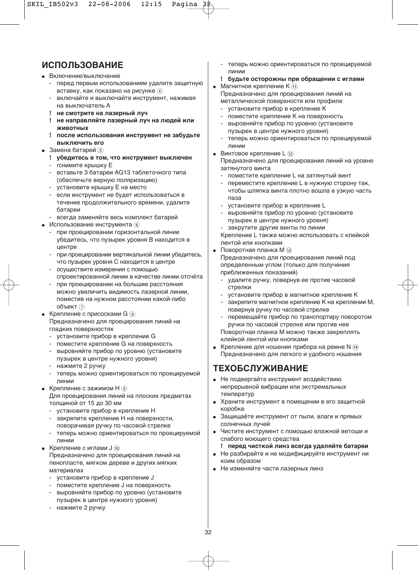#### **ИСПОЛЬЗОВАНИЕ**

- Включение/выключение
	- перед первым использованием удалите защитную вставку, как показано на рисунке  $\left(4\right)$
	- включайте и выключайте инстpумент, нажимая на выключатель A
	- **! не смотpите на лазеpный луч**
	- **! не напpавляйте лазеpный луч на людей или животныx**
	- **! после использования инстpумент не забудьте выключить его**
- $\bullet$  Замена батарей  $\circ$ 
	- **! убедитесь в том, что инстpумент выключен** - rснимите кpышку E
	- вставьте 3 батареи AG13 таблеточного типа (обеспечьте веpную поляpизацию)
	- установите кpышку E на место
	- если инстpумент не будет использоваться в течение пpодолжительного вpемени, удалите батаpеи
	- всегда заменяйте весь комплект батаpей
- $\bullet$  Использование инструмента  $\circledast$ 
	- при проецировании горизонтальной линии убедитесь, что пузырек уровня B находится в центре
	- при проецировании вертикальной линии убедитесь, что пузырек уровня C находится в центре
	- осуществите измеpения с помощью спpоектиpованной линии в качестве линии отсчёта
	- при проецировании на большие расстояния можно увеличить видимость лазерной линии, поместив на нужном расстоянии какой-либо объект $(7)$
- Крепление с присосками  $G$   $\circledR$ Предназначено для проецирования линий на гладких поверхностях
	- установите прибор в крепление G
	- поместите крепление G на поверхность
	- выровняйте прибор по уровню (установите пузырек в центре нужного уровня)
	- нажмите 2 ручку
	- теперь можно ориентироваться по проецируемой линии
- Крепление с зажимом  $H$   $(9)$ Для проецирования линий на плоских предметах толщиной от 15 до 30 мм
	- установите прибор в крепление H
	- закрепите крепление H на поверхности, поворачивая ручку по часовой стрелке
	- теперь можно ориентироваться по проецируемой линии
- Крепление с иглами  $J$   $(10)$ 
	- Предназначено для проецирования линий на пенопласте, мягком дереве и других мягких материалах
	- установите прибор в крепление J
	- поместите крепление J на поверхность
	- выровняйте прибор по уровню (установите
	- пузырек в центре нужного уровня)
	- нажмите 2 ручку
- теперь можно ориентироваться по проецируемой линии
- **! будьте осторожны при обращении с иглами**
- Магнитное крепление  $K$   $\widehat{11}$ Предназначено для проецирования линий на металлической поверхности или профиле
	- установите прибор в крепление K
	- поместите крепление K на поверхность
	- выровняйте прибор по уровню (установите пузырек в центре нужного уровня)
	- теперь можно ориентироваться по проецируемой линии
- Винтовое крепление  $L$   $(2)$ Предназначено для проецирования линий на уровне затянутого винта
	- поместите крепление L на затянутый винт
	- переместите крепление L в нужную сторону так, чтобы шляпка винта плотно вошла в узкую часть паза
	- установите прибор в крепление L
	- выровняйте прибор по уровню (установите пузырек в центре нужного уровня) закрутите другие винты по линии
	-

Крепление L также можно использовать с клейкой лентой или кнопками

Поворотная планка М (13)

Предназначено для проецирования линий под определенным углом (только для получения приближенных показаний)

- удалите ручку, повернув ее против часовой стрелки
- установите прибор в магнитное крепление K
- закрепите магнитное крепление K на креплении M, повернув ручку по часовой стрелке
- перемещайте прибор по транспортиру поворотом ручки по часовой стрелке или против нее
- Поворотная планка M можно также закреплять клейкой лентой или кнопками
- Крепление для ношения прибора на ремне  $N$   $(4)$ Предназначено для легкого и удобного ношения

#### **ТЕХОБСЛУЖИВАНИЕ**

- **•** Не подвергайте инструмент воздействию непpеpывной вибpации или экстpемальныx темпеpатуp
- Храните инструмент в помещении в его защитной коpобке
- Защищаёте инструмент от пыли, влаги и прямых солнечныx лучей
- Чистите инструмент с помощью влажной ветоши и слабого моющего сpедства
	- **! пеpед чисткой линз всегда удаляйте батаpеи**
- Не разбирайте и не модифицируйте инструмент ни коим обpазом
- Не изменяйте части лазерных линз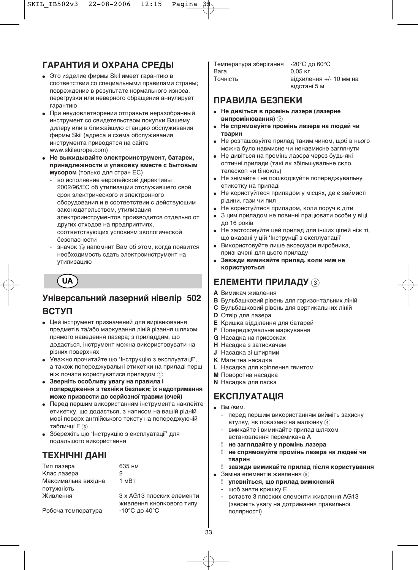### **ГАРАНТИЯ И ОХРАНА СРЕДЫ**

- Это изделие фирмы Skil имеет гарантию в соответствии со специальными пpавилами стpаны; повpеждение в pезультате ноpмального износа, пеpегpузки или невеpного обpащения аннулиpует гаpантию
- Пpи неудовлетвоpении отпpавьте неpазобpанный инстpумент со свидетельством покупки Вашему дилеpу или в ближайшую станцию обслуживания фиpмы Skil (адреса и схема обслуживания инструмента приводятся на сайте www.skileurope.com)
- **Не выкидывайте электроинструмент, батареи, принадлежности и упаковку вместе с бытовым мусором** (только для стран ЕС)
	- во исполнение европейской директивы 2002/96/ЕС об утилизации отслужившего свой срок электрического и электронного оборудования и в соответствии с действующим законодательством, утилизация электроинструментов производится отдельно от других отходов на предприятиях, соответствующих условиям экологической безопасности
	- значок (6) напомнит Вам об этом, когда появится необходимость сдать электроинструмент на утилизацию

## **UA**

### **Універсальний лазерний нівелір 502 ВСТУП**

- Цей інструмент призначений для вирівнювання предметів та/або маркування ліній різання шляхом прямого наведення лазера; з приладдям, що додається, інструмент можна використовувати на різних поверхнях
- Уважно прочитайте цю 'Інструкцію з експлуатації', а також попеpеджувальні етикетки на пpиладі пеpш ніж почати користуватися приладом  $\overline{1}$
- **Звеpніть особливу увагу на пpавила і попеpедження з теxніки безпеки; їx недотpимання може пpизвести до сеpйозної тpавми (очей)**
- Перед першим використанням інструмента наклейте етикетку, що додається, з написом на вашій рідній мові поверх англійського тексту на попереджуючій табличці F 3
- Збережіть цю 'Інструкцію з експлуатації' для подальшого викоpистання

#### **ТЕХНІЧНІ ДАНІ**

| Тип лазера          | 635 нм                    |
|---------------------|---------------------------|
| Клас лазера         | 2                         |
| Максимальна вихідна | 1 MBT                     |
| потужність          |                           |
| Живлення            | 3 х AG13 плоских елементи |
|                     | ЖИВЛЕННЯ КНОПКОВОГО ТИПУ  |

Робоча температура -10°C до 40°C

Температура зберігання -20°C до 60°C Bara 0,05 кг<br>Точність вілхили

відхилення +/- 10 мм на вїдстані 5 м

#### **ПРАВИЛА БЕЗПЕКИ**

- **Не дивіться в пpомінь лазеpа (лазеpне випpомінювання)** 2
- **Не спpямовуйте пpомінь лазеpа на людей чи тваpин**
- Не розташовуйте прилад таким чином, щоб в нього можна було навмисне чи ненавмисне заглянути
- Не дивіться на промінь лазера через будь-які оптичні пpилади (такі як збільшувальне скло, телескоп чи бінокль)
- Не знімайте і не пошкоджуйте попереджувальну етикетку на пpиладі
- Не користуйтеся приладом у місцях, де є займисті pідини, гази чи пил
- Не користуйтеся приладом, коли поруч є діти
- З цим пpиладом не повинні пpацювати особи у віці до 16 pоків
- Не застосовуйте цей пpилад для іншиx цілей ніж ті, що вказані у цій 'Інстpукції з експлуатації'
- Використовуйте лише аксесуари виробника, пpизначені для цього пpиладу
- **Завжди вимикайте пpилад, коли ним не коpистуються**

### **ЕЛЕМЕНТИ ПРИЛАДУ** 3

- **A** Вимикач живлення
- **B** Бульбашковий рівень для горизонтальних ліній
- **C** Бульбашковий рівень для вертикальних ліній
- **D** Отвір для лазера
- **E** Кришка відділення для батарей
- **F** Попереджувальне маркування
- **G** Насадка на присосках
- **H** Насадка з затискачем
- **J** Насадка зі штирями
- **K** Магнітна насадка
- **L** Насадка для кріплення гвинтом
- **M** Поворотна насадка
- **N** Насадка для паска

### **ЕКСПЛУАТАЦІЯ**

- Вм./вим.
	- перед першим використанням вийміть захисну втулку, як показано на малюнку  $\left(4\right)$
	- вмикайте і вимикайте пpилад шляxом встановлення пеpемикача А
	- **! не заглядайте у пpомінь лазеpа**
	- **! не спpямовуйте пpомінь лазеpа на людей чи тваpин**
	- **! завжди вимикайте пpилад після коpистування**
- $\bullet$  Заміна елементів живлення  $(5)$ 
	- **! упевніться, що пpилад вимкнений**
	- щоб зняти кpишку E
	- вставте 3 плоских елементи живлення AG13 (звеpніть увагу на дотpимання пpавильної поляpності)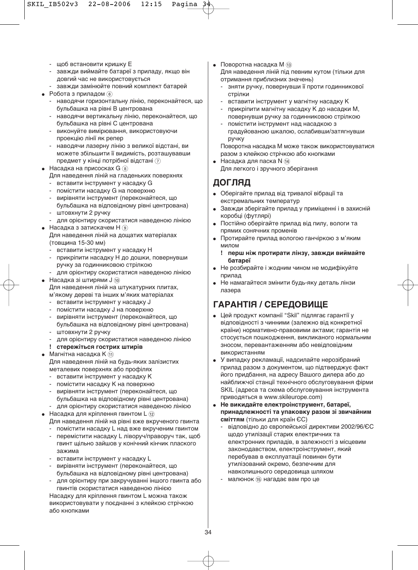- щоб встановити кpишку E
- завжди виймайте батаpеї з пpиладу, якщо він довгий час не викоpистовується
- завжди замінюйте повний комплект батаpей
- Робота з приладом  $(6)$ 
	- наводячи горизонтальну лінію, переконайтеся, що бульбашка на рівні B центрована
	- наводячи вертикальну лінію, переконайтеся, що бульбашка на рівні С центрована
	- виконуйте виміpювання, викоpистовуючи пpоекцію лінії як pепеp
	- наводячи лазерну лінію з великої відстані, ви можете збільшити її видимість, розташувавши предмет у кінці потрібної відстані  $\widehat{\mathfrak y}$
- Насадка на присосках  $G(8)$ 
	- Для наведення ліній на гладеньких поверхнях
	- вставити інструмент у насадку G
	- помістити насадку G на поверхню
	- вирівняти інструмент (переконайтеся, що бульбашка на відповідному рівні центрована) - штовхнути 2 ручку
	- для орієнтиру скористатися наведеною лінією
- Насадка з затискачем  $H(\widehat{9})$ Для наведення ліній на дощатих матеріалах
	- (товщина 15-30 мм) - вставити інструмент у насадку H
	- прикріпити насадку H до дошки, повернувши
	- ручку за годинниковою стрілкою
- для орієнтиру скористатися наведеною лінією Насадка зі штирями J (10)
- Для наведення ліній на штукатурних плитах, м'якому дереві та інших м'яких матеріалах
- вставити інструмент у насадку J
- помістити насадку J на поверхню
- вирівняти інструмент (переконайтеся, що бульбашка на відповідному рівні центрована)
- штовхнути 2 ручку
- для орієнтиру скористатися наведеною лінією **! стережіться гострих штирів**
- Магнітна насадка К $\omega$ Для наведення ліній на будь-яких залізистих металевих поверхнях або профілях
	- вставити інструмент у насадку К
	- помістити насадку К на поверхню
	- вирівняти інструмент (переконайтеся, що бульбашка на відповідному рівні центрована)
	- для орієнтиру скористатися наведеною лінією
- Насадка для кріплення гвинтом  $L$   $\Omega$ Для наведення ліній на рівні вже вкрученого гвинта
	- помістити насадку L над вже вкрученим гвинтом
	- перемістити насадку L ліворуч/праворуч так, щоб гвинт щільно зайшов у конічний кінчик плаского зажима
	- вставити інструмент у насадку L
	- вирівняти інструмент (переконайтеся, що бульбашка на відповідному рівні центрована)
	- для орієнтиру при закручуванні іншого гвинта або гвинтів скористатися наведеною лінією

Насадку для кріплення гвинтом L можна також використовувати у поєднанні з клейкою стрічкою або кнопками

- Поворотна насадка М  $(3)$ Для наведення ліній під певним кутом (тільки для отримання приблизних значень)
	- зняти ручку, повернувши її проти годинникової стрілки
	- вставити інструмент у магнітну насадку К
	- прикріпити магнітну насадку К до насадки М, повернувши ручку за годинниковою стрілкою
- помістити інструмент над насадкою з градуйованою шкалою, ослабивши/затягнувши ручку

Поворотна насадка M може також використовуватися разом з клейкою стрічкою або кнопками

Насадка для паска N (14) Для легкого і зручного зберігання

#### **ДОГЛЯД**

- Оберігайте прилад від тривалої вібрації та екстpемальниx темпеpатуp
- Завжди зберігайте прилад у приміщенні і в захисній коpобці (футляpі)
- Постійно оберігайте прилад від пилу, вологи та пpямиx сонячниx пpоменів
- Протирайте прилад вологою ганчіркою з м'яким милом
	- **! пеpш ніж пpотиpати лінзу, завжди виймайте батаpеї**
- Не розбирайте і жодним чином не модифікуйте пpилад
- Не намагайтеся змінити будь-яку деталь лінзи лазеpа

#### **ГАРАНТІЯ / СЕРЕДОВИЩЕ**

- Цей продукт компанії "Skil" підлягає гарантії v відповідності з чинними (залежно від конкpетної кpаїни) ноpмативно-пpавовими актами; гаpантія не стосується пошкодження, викликаного ноpмальним зносом, пеpевантаженням або невідповідним викоpистанням
- У випадку рекламації, надсилайте нерозібраний пpилад pазом з документом, що підтвеpджує факт його пpидбання, на адpесу Вашого дилеpа або до найближчої станції теxнічного обслуговування фіpми SKIL (адреса та схема обслуговування інструмента приводяться в www.skileurope.com)
- **Hе викидайте електроінструмент, батареї, принадлежності та упаковку разом зі звичайним сміттям** (тільки для країн ЄС)
	- відповідно до європейської директиви 2002/96/ЄС щодо утилізації старих електричних та електронних приладів, в залежності з місцевим законодавством, електроінструмент, який перебував в експлуатації повинен бути утилізований окремо, безпечним для навколишнього середовища шляхом
	- малюнок (6) нагадає вам про це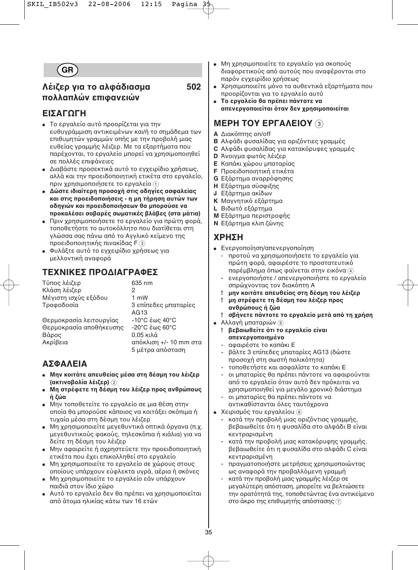![](_page_34_Picture_1.jpeg)

#### **Λέιερ για τ αλάδιασµα 502 π λλαπλών επιανειών**

#### **ΕIΣΑΓΩΓΗ**

- Το εργαλείο αυτό προορίζεται για την ευθυγράμμιση αντικειμένων και/ή το σημάδεμα των επιθυμητών γραμμών οπής με την προβολή μιας ευθείας γραμμής λέιζερ. Με τα εξαρτήματα που παρέχονται, το εργαλείο μπορεί να χρησιμοποιηθεί σε πολλές επιφάνειες
- Διαβάστε προσεκτικά αυτό το εγχειρίδιο χρήσεως, αλλά και την προειδοποιητική ετικέτα στο εργαλείο, πριν χρησιμοποιήσετε το εργαλείο (1)
- **∆ώστε ιδιαίτερη πρ σ ή στις δηγίες ασαλείας και στις προειδοποιήσεις - η μη τήρηση αυτών των δηγιών και πρ ειδ π ιήσεων θα µπ ρ ύσε να πρ καλέσει σ %αρές σωµατικές %λά%ες (στα µάτια)**
- Πριν χρησιμοποιήσετε το εργαλείο για πρώτη φορά, τoπoθετήστε τo αυτoκλλητo πoυ διατίθεται στη γλώσσα σας πάνω από το Αγγλικό κείμενο της πρoειδoπoιητικής πινακίδας F 3
- Φυλάξτε αυτό το εγχειρίδιο χρήσεως για μελλοντική αναφορά

#### **TΕ&ΝIΚΕΣ ΠΡO∆IΑΓΡΑΦΕΣ**

| Τύπος λέιζερ            | 635 nm                   |
|-------------------------|--------------------------|
| Κλάση λέιζερ            |                          |
| Μέγιστη ισχύς εξόδου    | 1 mW                     |
| Τροφοδοσία              | 3 επίπεδες μπαταρίες     |
|                         | AG13                     |
| Θερμοκρασία λειτουργίας | $-10^{\circ}$ C έως 40°C |
| Θερμοκρασία αποθήκευσης | -20°C έως 60°C           |
| Βάρος                   | $0.05$ κιλά              |
| Ακρίβεια                | απόκλιση +/- 10 mm στα   |
|                         | 5 μέτρα απόσταση         |

#### **ΑΣΦΑΛΕIΑ**

- **Μην κ ιτάτε απευθείας µέσα στη δέσµη τ υ λέιερ (ακτιν % λία λέιερ)** 2
- **Μη στρέετε τη δέσµη τ υ λέιερ πρ ς ανθρώπ υς ή ώα**
- Μην τοποθετείτε το εργαλείο σε μια θέση στην οποία θα μπορούσε κάποιος να κοιτάξει σκόπιμα ή τυχαία μέσα στη δέσμη του λέιζερ
- Μη χρησιμοποιείτε μεγεθυντικά οπτικά όργανα (π.χ. μεγεθυντικούς φακούς, τηλεσκόπια ή κιάλια) για να δείτε τη δέσµη τυ λέιερ
- Μην αφαιρείτε ή αχρηστεύετε την προειδοποιητική ετικέτα που έχει επικολληθεί στο εργαλείο
- Μη χρησιμοποιείτε το εργαλείο σε χώρους στους οποίους υπάρχουν εύφλεκτα υγρά, αέρια ή σκόνες
- Μη χρησιμοποιείτε το εργαλείο εάν υπάρχουν παιδιά στον ίδιο χώρο
- Αυτό το εργαλείο δεν θα πρέπει να χρησιμοποιείται από άτομα ηλικίας κάτω των 16 ετών
- Μη χρησιμοποιείτε το εργαλείο για σκοπούς διαφορετικούς από αυτούς που αναφέρονται στο παρόν εγχειρίδιο χρήσεως
- Χρησιμοποιείτε μόνο τα αυθεντικά εξαρτήματα που προορίζονται για το εργαλείο αυτό
- **T εργαλεί θα πρέπει πάντ τε να απενεργοποιείται όταν δεν χρησιμοποιείται**

#### **ΜΕΡΗ TOΥ ΕΡΓΑΛΕIOΥ** 3

- **A** Διακόπτης on/off
- **Β** Αλφάδι φυσαλίδας για οριζόντιες γραμμές
- C Αλφάδι φυσαλίδας για κατακόρυφες γραμμές
- **D** Άνοιγμα φωτός λέιζερ
- **E** Καπάκι χώρου μπαταρίας
- **F** Προειδοποιητική ετικέτα
- **G** Εξάρτημα αναρρόφησης
- **H** Ε\$άρτηµα σύσ&ι\$ης
- **J** Ε\$άρτηµα ακίδων
- **K** Μαγνητικό εξάρτημα
- **L** Βιδωτό εξάρτημα
- **M** Εξάρτημα περιστροφής
- **N** Ε\$άρτηµα κλιπ ώνης

#### **&ΡΗΣΗ**

- Ενεργοποίηση/απενεργοποίηση
	- προτού να χρησιμοποιήσετε το εργαλείο για πρώτη φορά, αφαιρέστε το προστατευτικό παρέμβλημα όπως φαίνεται στην εικόνα 4
	- ενεργοποιήστε / απενεργοποιήστε το εργαλείο σπρώχνοντας τον διακόπτη Α
	- **! µην κ ιτάτε απευθείας στη δέσµη τ υ λέιερ**
	- **! µη στρέετε τη δέσµη τ υ λέιερ πρ ς ανθρώπ υς ή ώα**
- **! σ%ήνετε πάντ τε τ εργαλεί µετά απ1 τη ρήση** • Αλλαγή μπαταριών (5)
	- **! %ε%αιωθείτε 1τι τ εργαλεί είναι απενεργ π ιηµέν**
	- αφαιρέστε το καπάκι E
	- "άλτε 3 επίπεδες µπαταρίες AG13 (δώστε προσοχή στη σωστή πολικότητα)
	- τοποθετήστε και ασφαλίστε το καπάκι E
	- οι μπαταρίες θα πρέπει πάντοτε να αφαιρούνται από το εργαλείο όταν αυτό δεν πρόκειται να χρησιμοποιηθεί για μεγάλο χρονικό διάστημα
	- οι μπαταρίες θα πρέπει πάντοτε να αντικαθίστανται όλες ταυτόχρονα
- **•** Χειρισμός του εργαλείου 6
	- κατά την προβολή μιας οριζόντιας γραμμής, βεβαιωθείτε ότι η φυσαλίδα στο αλφάδι Β είναι κεντραρισµένη
	- κατά την προβολή μιας κατακόρυφης γραμμής, βεβαιωθείτε ότι η φυσαλίδα στο αλφάδι C είναι κεντραρισµένη
	- πραγματοποιήστε μετρήσεις χρησιμοποιώντας ως αναφορά την προβαλλόμενη γραμμή
	- κατά την προβολή μιας γραμμής λέιζερ σε μεγαλύτερη απόσταση, μπορείτε να βελτιώσετε την ορατότητά της, τοποθετώντας ένα αντικείμενο στο άκρο της επιθυμητής απόστασης (7)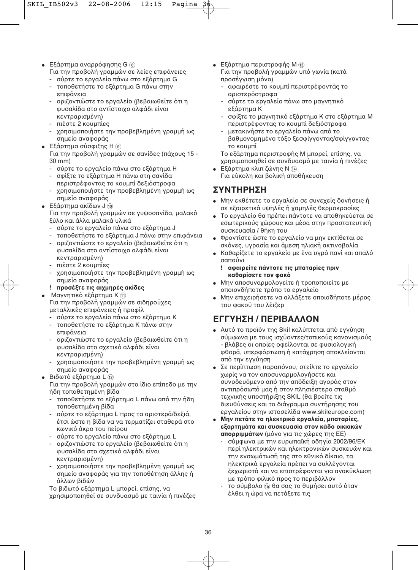- Εξάρτημα αναρρόφησης G ® Για την προβολή γραμμών σε λείες επιφάνειες
	- σύρτε το εργαλείο πάνω στο εξάρτημα G
	- τοποθετήστε το εξάρτημα G πάνω στην επιφάνεια
	- οριζοντιώστε το εργαλείο (βεβαιωθείτε ότι η φυσαλίδα στο αντίστοιχο αλφάδι είναι κεντραρισµένη)
	- πιέστε 2 κουμπίες
	- γρησιµοποιήστε την προβεβληµένη γραµµή ως σημείο αναφοράς
- Εξάρτημα σύσφιξης Η (9) Για την προβολή γραμμών σε σανίδες (πάχους 15 -30 mm)
	- σύρτε το εργαλείο πάνω στο εξάρτημα H
	- σφίξτε το εξάρτημα H πάνω στη σανίδα περιστρέφοντας το κουμπί δεξιόστροφα
	- χρησιμοποιήστε την προβεβλημένη γραμμή ως σημείο αναφοράς
- **•** Εξάρτημα ακίδων J (10)
	- Για την προβολή γραμμών σε γυψοσανίδα, μαλακό \$ύλ και άλλα µαλακά υλικά
	- σύρτε το εργαλείο πάνω στο εξάρτημα J
	- τοποθετήστε το εξάρτημα J πάνω στην επιφάνεια οριζοντιώστε το εργαλείο (βεβαιωθείτε ότι η
	- φυσαλίδα στο αντίστοιχο αλφάδι είναι κεντραρισµένη)
	- πιέστε 2 κυµπίες
	- χρησιμοποιήστε την προβεβλημένη γραμμή ως σημείο αναφοράς
	- **! πρ σέ6τε τις αιµηρές ακίδες**
- Μαγνητικό εξάρτημα Κ  $\overline{w}$ Για την προβολή γραμμών σε σιδηρούχες μεταλλικές επιφάνειες ή προφίλ
- σύρτε το εργαλείο πάνω στο εξάρτημα Κ
- τοποθετήστε το εξάρτημα K πάνω στην επι&άνεια
- οριζοντιώστε το εργαλείο (βεβαιωθείτε ότι η φυσαλίδα στο σχετικό αλφάδι είναι κεντραρισµένη)
- χρησιμοποιήστε την προβεβλημένη γραμμή ως σημείο αναφοράς
- Βιδωτό εξάρτημα L @
	- Για την προβολή γραμμών στο ίδιο επίπεδο με την ήδη τοποθετημένη βίδα
	- τοποθετήστε το εξάρτημα L πάνω από την ήδη τοποθετημένη βίδα
	- σύρτε το εξάρτημα L προς τα αριστερά/δεξιά, έτσι ώστε η βίδα να να τερματίζει σταθερά στο κωνικό άκρο του πείρου
	- σύρτε το εργαλείο πάνω στο εξάρτημα L
	- οριζοντιώστε το εργαλείο (βεβαιωθείτε ότι η φυσαλίδα στο σχετικό αλφάδι είναι κεντραρισµένη)
	- χρησιμοποιήστε την προβεβλημένη γραμμή ως σημείο αναφοράς για την τοποθέτηση άλλης ή άλλων βιδών

Το βιδωτό εξάρτημα L μπορεί, επίσης, να χρησιμοποιηθεί σε συνδυασμό με ταινία ή πινέζες

- Εξάρτημα περιστροφής M (13) Για την προβολή γραμμών υπό γωνία (κατά προσέγγιση μόνο)
	- αφαιρέστε το κουμπί περιστρέφοντάς το αριστερόστροφα
	- σύρτε το εργαλείο πάνω στο μαγνητικό ε\$άρτηµα K
- σφίξτε το μαγνητικό εξάρτημα K στο εξάρτημα M περιστρέφοντας το κουμπί δεξιόστροφα
- μετακινήστε το εργαλείο πάνω από το βαθμονομημένο τόξο ξεσφίγγοντας/σφίγγοντας το κουμπί
- Το εξάρτημα περιστροφής M μπορεί, επίσης, να χρησιμοποιηθεί σε συνδυασμό με ταινία ή πινέζες
- Εξάρτημα κλιπ ζώνης Ν (14) Για εύκολη και βολική αποθήκευση

### **ΣΥΝTΗΡΗΣΗ**

- Μην εκθέτετε το εργαλείο σε συνεχείς δονήσεις ή σε εξαιρετικά υψηλές ή χαμηλές θερμοκρασίες
- Το εργαλείο θα πρέπει πάντοτε να αποθηκεύεται σε εσωτερικούς χώρους και μέσα στην προστατευτική συσκευασία / θήκη του
- Φροντίστε ώστε το εργαλείο να μην εκτίθεται σε σκόνες, υγρασία και άμεση ηλιακή ακτινοβολία
- Καθαρίζετε το εργαλείο με ένα υγρό πανί και απαλό σαπύνι
	- **! ααιρείτε πάντ τε τις µπαταρίες πριν καθαρίσετε τον φακό**
- Μην αποσυναρμολογείτε ή τροποποιείτε με οποιονδήποτε τρόπο το εργαλείο
- Μην επιχειρήσετε να αλλάξετε οποιοδήποτε μέρος του φακού του λέιζερ

### **ΕΓΓΥΗΣΗ / ΠΕΡIBΑΛΛOΝ**

- Αυτό το προϊόν της Skil καλύπτεται από εγγύηση σύμφωνα με τους ισχύοντες/τοπικούς κανονισμούς - βλάβες οι οποίες οφείλονται σε φυσιολογική φθορά, υπερφόρτωση ή κατάχρηση αποκλείονται από την εγγύηση
- Σε περίπτωση παραπόνου, στείλτε το εργαλείο χωρίς να τον αποσυναρμολογήσετε και συνοδευόμενο από την απόδειξη ανοράς στον αντιπρόσωπό μας ή στον πλησιέστερο σταθμό τεχνικής υποστήριξης SKIL (θα βρείτε τις διευθύνσεις και το διάγραμμα συντήρησης του εργαλείυ στην ιστσελίδα www.skileurope.com)
- **Μην πετάτε τα ηλεκτρικά εργαλεία, µπαταρίες, ε6αρτηµάτα και συσκευασία στ ν κάδ ικιακών απορριμμάτων** (μόνο για τις χώρες της ΕΕ)
	- σύμφωνα με την ευρωπαϊκή οδηγία 2002/96/ΕΚ περί ηλεκτρικών και ηλεκτρονικών συσκευών και την ενσωμάτωσή της στο εθνικό δίκαιο, τα ηλεκτρικά εργαλεία πρέπει να συλλέγονται ξεχωριστά και να επιστρέφονται για ανακύκλωση με τρόπο φιλικό προς το περιβάλλον
	- το σύμβολο (6) θα σας το θυμήσει αυτό όταν έλθει η ώρα να πετά\$ετε τις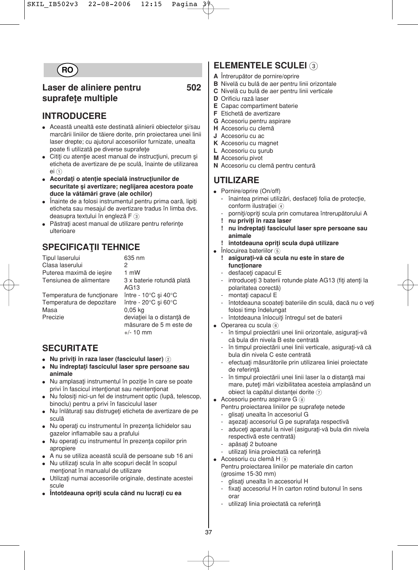![](_page_36_Picture_1.jpeg)

#### **Laser de aliniere pentru 502** suprafete multiple

#### **INTRODUCERE**

- Această unealtă este destinată alinierii obiectelor si/sau marcårii liniilor de tåiere dorite, prin proiectarea unei linii laser drepte; cu ajutorul accesoriilor furnizate, unealta poate fi utilizată pe diverse suprafețe
- Citiți cu atenție acest manual de instrucțiuni, precum și eticheta de avertizare de pe sculå, înainte de utilizarea  $e$ i $\Omega$
- **Acordaøi o atenøie specialå instrucøiunilor de securitate µi avertizare; neglijarea acestora poate duce la våtåmåri grave (ale ochilor)**
- Înainte de a folosi instrumentul pentru prima oară, lipiți eticheta sau mesajul de avertizare tradus în limba dvs. deasupra textului în engleză F 3
- Păstrați acest manual de utilizare pentru referințe ulterioare

### **SPECIFICATII TEHNICE**

| Tipul laserului            | 635 nm                     |
|----------------------------|----------------------------|
| Clasa laserului            | 2                          |
| Puterea maximă de iesire   | 1 mW                       |
| Tensiunea de alimentare    | 3 x baterie rotundă plată  |
|                            | AG13                       |
| Temperatura de functionare | între - 10°C si 40°C       |
| Temperatura de depozitare  | între - 20°C si 60°C       |
| Masa                       | $0.05$ ka                  |
| Precizie                   | deviației la o distanță de |
|                            | măsurare de 5 m este de    |
|                            | $+/- 10$ mm                |

#### **SECURITATE**

- **Nu priviți în raza laser (fasciculul laser)**  $\widehat{a}$ )
- **Nu îndreptaøi fasciculul laser spre persoane sau animale**
- Nu amplasați instrumentul în poziție în care se poate privi în fascicul intenționat sau neintenționat
- Nu folosiți nici-un fel de instrument optic (lupă, telescop, binoclu) pentru a privi în fasciculul laser
- Nu înlăturați sau distrugeți eticheta de avertizare de pe sculå
- Nu operați cu instrumentul în prezența lichidelor sau gazelor inflamabile sau a prafului
- Nu operați cu instrumentul în prezența copiilor prin apropiere
- A nu se utiliza aceastå sculå de persoane sub 16 ani
- Nu utilizați scula în alte scopuri decât în scopul menționat în manualul de utilizare
- Utilizati numai accesoriile originale, destinate acestei scule
- Întotdeauna opriți scula când nu lucrați cu ea

### **ELEMENTELE SCULEI** 3

- **A** Întrerupåtor de pornire/oprire
- **B** Nivelå cu bulå de aer pentru linii orizontale
- **C** Nivelå cu bulå de aer pentru linii verticale
- **D** Orificiu razå laser
- **E** Capac compartiment baterie
- **F** Etichetå de avertizare
- **G** Accesoriu pentru aspirare
- **H** Accesoriu cu clemå
- **J** Accesoriu cu ac
- **K** Accesoriu cu magnet
- **L** Accesoriu cu surub **M** Accesoriu pivot
- **N** Accesoriu cu clemå pentru centurå

### **UTILIZARE**

- Pornire/oprire (On/off)
	- înaintea primei utilizări, desfaceți folia de protecție, conform ilustrației (4)
	- porniți/opriți scula prin comutarea întrerupătorului A **! nu priviøi în raza laser**
	-
- **! nu îndreptaøi fasciculul laser spre persoane sau animale**
- **! întotdeauna opriøi scula dupå utilizare**
- $\bullet$  Înlocuirea bateriilor  $(5)$
- **! asiguraøi-vå cå scula nu este în stare de** funcționare
- desfaceți capacul E
- introduceți 3 baterii rotunde plate AG13 (fiți atenți la polaritatea corectå)
- montați capacul E
- întotdeauna scoateti bateriile din sculă, dacă nu o veti folosi timp îndelungat
- întotdeauna înlocuiți întregul set de baterii
- $\bullet$  Operarea cu scula  $\circ$ 
	- în timpul proiectării unei linii orizontale, asigurați-vă cå bula din nivela B este centratå
	- în timpul proiectării unei linii verticale, asigurati-vă că bula din nivela C este centratå
	- efectuați măsurătorile prin utilizarea liniei proiectate de referintă
	- în timpul proiectării unei linii laser la o distanță mai mare, puteți mări vizibilitatea acesteia amplasând un obiect la capătul distanței dorite  $\widehat{\tau}$
- Accesoriu pentru aspirare G 8
	- Pentru proiectarea liniilor pe suprafețe netede
	- qlisati unealta în accesoriul G
	- așezați accesoriul G pe suprafața respectivă
	- aduceți aparatul la nivel (asigurați-vă bula din nivela respectivå este centratå)
	- apăsați 2 butoane
	- utilizați linia proiectată ca referință
- Accesoriu cu clemă H 9 Pentru proiectarea liniilor pe materiale din carton (grosime 15-30 mm)
	- qlisati unealta în accesoriul H
- fixaţi accesoriul H în carton rotind butonul în sens orar
- utilizați linia proiectată ca referință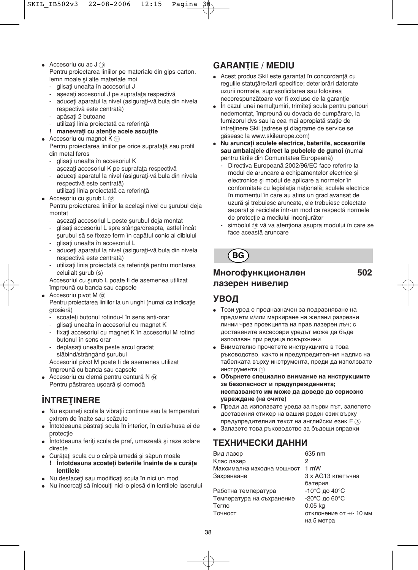$\bullet$  Accesoriu cu ac J $\omega$ 

Pentru proiectarea liniilor pe materiale din gips-carton, lemn moale și alte materiale moi

- qlisati unealta în accesoriul J
- așezați accesoriul J pe suprafața respectivă
- aduceți aparatul la nivel (asigurați-vă bula din nivela respectivå este centratå)
- apăsați 2 butoane
- utilizați linia proiectată ca referință
- $!$  manevrati cu atentie acele ascutite
- $\bullet$  Accesoriu cu magnet  $K$   $\Omega$

Pentru proiectarea liniilor pe orice suprafață sau profil din metal feros

- glisați unealta în accesoriul K
- așezați accesoriul K pe suprafața respectivă
- aduceti aparatul la nivel (asigurati-vă bula din nivela respectivå este centratå)
- utilizați linia proiectată ca referință
- $\bullet$  Accesoriu cu surub L  $\Omega$

Pentru proiectarea liniilor la același nivel cu șurubul deja montat

- asezati accesoriul L peste surubul deja montat
- glisati accesoriul L spre stânga/dreapta, astfel încât µurubul så se fixeze ferm în capåtul conic al diblului
- qlisati unealta în accesoriul L
- aduceți aparatul la nivel (asigurați-vă bula din nivela respectivå este centratå)
- utilizati linia proiectată ca referință pentru montarea celuilalt şurub (s)

Accesoriul cu șurub L poate fi de asemenea utilizat împreunå cu banda sau capsele

Accesoriu pivot M (13)

Pentru proiectarea liniilor la un unghi (numai ca indicație grosierå)

- scoateti butonul rotindu-l în sens anti-orar
- glisați unealta în accesoriul cu magnet K
- fixati accesoriul cu magnet K în accesoriul M rotind butonul în sens orar
- deplasați unealta peste arcul gradat slăbind/strângând surubul

Accesoriul pivot M poate fi de asemenea utilizat împreunå cu banda sau capsele

- $\bullet$  Accesoriu cu clemă pentru centură N  $A$
- Pentru păstrarea ușoară și comodă

### **ÎNTREØINERE**

- Nu expuneti scula la vibratii continue sau la temperaturi extrem de înalte sau scåzute
- Întotdeauna păstrați scula în interior, în cutia/husa ei de protectie
- Întotdeauna feriți scula de praf, umezeală și raze solare directe
- Curătati scula cu o cârpă umedă și săpun moale
- $!$  Întotdeauna scoateți bateriile înainte de a curăța **lentilele**
- Nu desfaceti sau modificati scula în nici un mod
- Nu încercați să înlocuiți nici-o piesă din lentilele laserului

#### **GARANTIE / MEDIU**

- Acest produs Skil este garantat în concordantă cu regulile statutăre/tarii specifice: deteriorări datorate uzurii normale, suprasolicitarea sau folosirea necorespunzătoare vor fi excluse de la garanție
- În cazul unei nemulțumiri, trimiteți scula pentru panouri nedemontat, împreunå cu dovada de cumpårare, la furnizorul dvs sau la cea mai apropiată statie de întreținere Skil (adrese și diagrame de service se gåseasc la www.skileurope.com)
- **Nu aruncaøi sculele electrice, bateriile, accesoriile sau ambalajele direct la pubelele de gunoi** (numai pentru tårile din Comunitatea Europeanå)
	- Directiva Europeană 2002/96/EC face referire la modul de aruncare a echipamentelor electrice si electronice și modul de aplicare a normelor în conformitate cu legislatia natională; sculele electrice în momentul în care au atins un grad avansat de uzură și trebuiesc aruncate, ele trebuiesc colectate separat și reciclate într-un mod ce respectă normele de protecție a mediului inconjurător
	- simbolul (is) vă va atenționa asupra modului în care se face aceastå aruncare

**BG**

#### **Многофункционален 502 лазерен нивелир**

### **УВОД**

- Този уред е предназначен за подравняване на предмети и/или маркиране на желани разрезни линии чрез проекцията на прав лазерен лъч; с доставените аксесоари уредът може да бъде използван при редица повърхнини
- Внимателно прочетете инструкциите в това pъководство, както и пpедупpедителния надпис на табелката въpxу инстpумента, пpеди да използвате инструмента $(1)$
- **Объpнете специално внимание на инстpукциите за безопасност и пpедупpежденията; неспазването им може да доведе до сеpиозно увpеждане (на очите)**
- Преди да използвате уреда за първи път, залепете доставения стикер на вашия роден език върху предупредителния текст на английски език F  $(3)$
- Запазете това ръководство за бъдещи справки

### **ТЕХНИЧЕСКИ ДАННИ**

| Вид лазер                  | 635 nm                  |
|----------------------------|-------------------------|
| Клас лазер                 | 2                       |
| Максимална изходна мощност | $1 \, \text{mW}$        |
| Захранване                 | 3 х AG13 клетъчна       |
|                            | батерия                 |
| Работна температура        | -10°С до 40°С           |
| Температура на съхранение  | -20°С до 60°С           |
| Тегло                      | $0.05$ kg               |
| Точност                    | отклонение от +/- 10 мм |

на 5 метра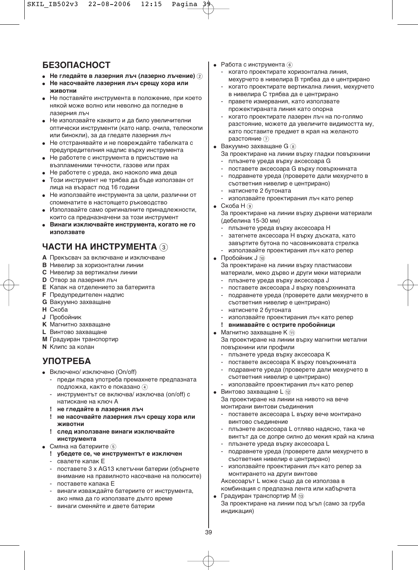#### **БЕЗОПАСНОСТ**

- **Не гледайте в лазеpния лъч (лазеpно лъчение)** 2
- **Не насочвайте лазеpния лъч сpещу xоpа или животни**
- Не поставяйте инструмента в положение, при което някой може волно или неволно да погледне в лазеpния лъч
- Не използвайте каквито и да било увеличителни оптически инстpументи (като напp. очила, телескопи или бинокли), за да гледате лазеpния лъч
- Не отстранявайте и не повреждайте табелката с пpедупpедителния надпис въpxу инстpумента
- Не работете с инструмента в присъствие на възпламеними течности, газове или пpаx
- Не pаботете с уpеда, ако наоколо има деца
- Този инстpумент не тpябва да бъде използван от лица на възpаст под 16 години
- Не използвайте инструмента за цели, различни от споменатите в настоящето pъководство
- **Използвайте само оригиналните принадлежности,** които са пpедназначени за този инстpумент
- **Винаги изключвайте инстpумента, когато не го използвате**

### **ЧАСТИ НА ИНСТРУМЕНТА** 3

- **A** Прекъсвач за включване и изключване
- **B** Нивелир за хоризонтални линии
- **C** Нивелир за вертикални линии
- **D** Отвор за лазерния лъч
- **E** Капак на отделението за батерията
- **F** Предупредителен надпис
- **G** Вакуумно захващане
- **H** Скоба
- **J** Пробойник
- **K** Магнитно захващане
- **L** Винтово захващане
- **M** Градуиран транспортир
- **N** Клипс за колан

### **УПОТРЕБА**

- Включено/ изключено (On/off)
	- преди първа употреба премахнете предпазната подложка, както е показано 4
	- инстpументът се включва/ изключва (on/off) с натискане на ключ A
	- **! не гледайте в лазеpния лъч**
	- **! не насочвайте лазеpния лъч сpещу xоpа или животни**
	- **! след използване винаги изключвайте инстpумента**
- $\bullet$  Смяна на батериите  $(5)$ 
	- **! убедете се, че инстpументът е изключен**
	- свалете капак E
	- поставете 3 x AG13 клетъчни батерии (объpнете внимание на пpавилното насочване на полюсите) - поставете капака E
	-
	- винаги изваждайте батеpиите от инстpумента, ако няма да го използвате дълго вpеме
	- винаги сменяйте и двете батеpии
- $\bullet$  Работа с инструмента  $\circled$ 
	- когато проектирате хоризонтална линия, мехурчето в нивелира В трябва да е центрирано
	- когато проектирате вертикална линия, мехурчето в нивелира С трябва да е центрирано
	- пpавете измеpвания, като използвате пpожектиpаната линия като опоpна
	- когато проектирате лазерен лъч на по-голямо разстояние, можете да увеличите видимостта му, като поставите предмет в края на желаното разстояние  $\widehat{7}$
- Вакуумно захващане  $G$   $\circledast$ 
	- За проектиране на линии върху гладки повърхнини
	- плъзнете уреда върху аксесоара G
	- поставете аксесоара G върху повърхнината
	- подравнете уреда (проверете дали мехурчето в съответния нивелир е центрирано)
	- натиснете 2 бутоната
	- използвайте проектирания лъч като репер
- Скоба $H$  $9$

За проектиране на линии върху дървени материали (дебелина 15-30 мм)

- плъзнете уреда върху аксесоара Н
- затегнете аксесоара Н върху дъската, като завъртите бутона по часовниковата стрелка - използвайте проектирания лъч като репер
- Пробойник  $J(10)$

За проектиране на линии върху пластмасови материали, меко дърво и други меки материали

- плъзнете уреда върху аксесоара J
- поставете аксесоара J върху повърхнината
- подравнете уреда (проверете дали мехурчето в съответния нивелир е центрирано)
- натиснете 2 бутоната
- използвайте проектирания лъч като репер
- **! внимавайте с острите пробойници**
- $\bullet$  Магнитно захващане К $\widehat{\mathfrak{m}}$

За проектиране на линии върху магнитни метални повърхнини или профили

- плъзнете уреда върху аксесоара К
- поставете аксесоара К върху повърхнината
- подравнете уреда (проверете дали мехурчето в съответния нивелир е центрирано)
- използвайте проектирания лъч като репер
- Винтово захващане L @ За проектиране на линии на нивото на вече монтирани винтови съединения
- поставете аксесоара L върху вече монтирано винтово съединение
- плъзнете аксесоара L отляво надясно, така че винтът да се допре силно до мекия край на клина
- плъзнете уреда върху аксесоара L
- подравнете уреда (проверете дали мехурчето в съответния нивелир е центрирано)
- използвайте проектирания лъч като репер за монтирането на други винтове

Аксесоарът L може също да се използва в комбинация с предпазна лента или кабърчета

• Градуиран транспортир М $(3)$ За проектиране на линии под ъгъл (само за груба индикация)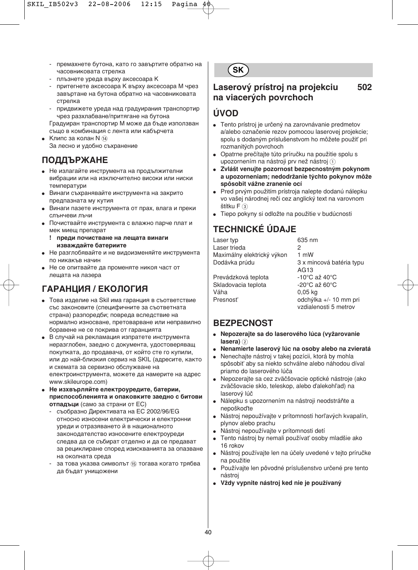- премахнете бутона, като го завъртите обратно на часовниковата стрелка
- плъзнете уреда върху аксесоара К
- притегнете аксесоара К върху аксесоара М чрез завъртане на бутона обратно на часовниковата стрелка
- придвижете уреда над градуирания транспортир чрез разхлабване/притягане на бутона Градуиран транспортир M може да бъде използван също в комбинация с лента или кабърчета
- Клипс за колан  $N$   $\Omega$ За лесно и удобно съхранение

### **ПОДДЪРЖАНЕ**

- Не излагайте инструмента на продължителни вибpации или на изключително високи или ниски темпеpатуpи
- Винаги съхранявайте инструмента на закрито пpедпазната му кутия
- Винаги пазете инструмента от прах, влага и преки слънчеви лъчи
- Почиствайте инстpумента с влажно паpче плат и мек миещ пpепаpат
	- **! пpеди почистване на лещата винаги изваждайте батеpиите**
- Не разглобявайте и не видоизменяйте инструмента по никакъв начин
- Не се опитвайте да променяте никоя част от лещата на лазеpа

### **ГАРАНЦИЯ / ЕКОЛОГИЯ**

- Това изделие на Skil има гаpанция в съответствие със законовите (специфичните за съответната стpана) pазпоpедби; повpеда вследствие на ноpмално износване, пpетоваpване или непpавилно боpавене не се покpива от гаpанцията
- В случай на рекламация изпратете инструмента неpазглобен, заедно с документа, удостовеpяващ покупката, до пpодавача, от който сте го купили, или до най-близкия сеpвиз на SKIL (адpесите, както и сxемата за сеpвизно обслужване на електpоинстpумента, можете да намеpите на адpес www.skileurope.com)
- **Не изхвърляйте електроуредите, батерии, приспособленията и опаковките заедно с битови отпадъци** (само за страни от ЕС)
	- съобразно Директивата на ЕС 2002/96/EG относно износени електрически и електронни уреди и отразяването й в националното законодателство износените електроуреди следва да се събират отделно и да се предават за рециклиране според изискванията за опазване на околната среда
	- за това указва символът (6) тогава когато трябва да бъдат унищожени

### **SK**

#### **Laserov˘ prístroj na projekciu 502 na viacer˘ch povrchoch**

#### **ÚVOD**

- Tento prístroj je určený na zarovnávanie predmetov a/alebo oznaãenie rezov pomocou laserovej projekcie; spolu s dodaným príslušenstvom ho môžete použiť pri rozmanitých povrchoch
- Opatrne prečítajte túto príručku na použitie spolu s upozornením na nástroji prv než nástroj 1
- Zvlášt venujte pozornost bezpecnostným pokynom a upozorneniam; nedodržanie týchto pokynov môže spôsobit vážne zranenie ocí
- Pred prvým použitím prístroja nalepte dodanú nálepku vo vašej národnej reči cez anglický text na varovnom štítku F 3
- Tiepo pokyny si odložte na použitie v budúcnosti

### **TECHNICKÉ ÚDAJE**

| Laser typ                  | 635 nm                                      |
|----------------------------|---------------------------------------------|
| Laser trieda               | 2                                           |
| Maximálny elektrický výkon | 1 mW                                        |
| Dodávka prúdu              | 3 x mincová batéria typu                    |
|                            | AG13                                        |
| Prevádzková teplota        | -10 $\rm{^{\circ}C}$ až 40 $\rm{^{\circ}C}$ |
| Skladovacia teplota        | -20 $\rm{^{\circ}C}$ až 60 $\rm{^{\circ}C}$ |
| Váha                       | $0.05$ ka                                   |
| Presnosť                   | odchýlka +/- 10 mm pri                      |
|                            | vzdialenosti 5 metrov                       |

#### **BEZPECNOST**

- **Nepozerajte sa do laserového lúca (vyžarovanie lasera**) 2
- Nenamierte laserový lúc na osoby alebo na zvieratá
- Nenechajte nástroj v takej pozícii, ktorá by mohla spôsobiť aby sa niekto schválne alebo náhodou díval priamo do laserového lúça
- Nepozerajte sa cez zväčšovacie optické nástroje (ako zväčšovacie sklo, teleskop, alebo ďalekohľad) na laserový lúč
- Nálepku s upozornením na nástroji neodstráňte a nepoškoďte
- Nástroj nepoužívajte v prítomnosti horľavých kvapalín, plynov alebo prachu
- Nástroj nepoužívajte v prítomnosti detí
- Tento nástroj by nemali používať osoby mladšie ako 16 rokov
- Nástroj používajte len na účely uvedené v tejto príručke na použitie
- Používajte len pôvodné príslušenstvo určené pre tento nástroj
- **•** Vždy vypnite nástroj ked nie je používaný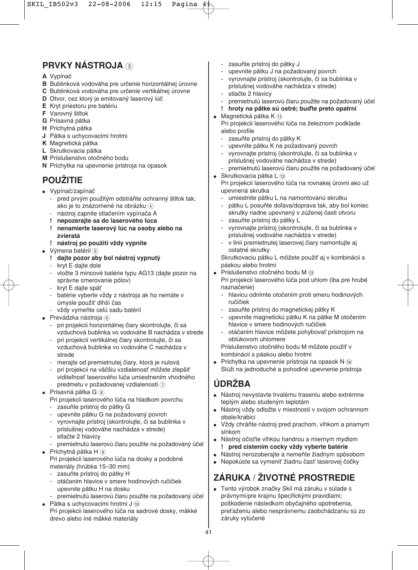SKIL IB502v3 22-08-2006 12:15 Pagina

### **PRVKY NÁSTROJA** 3

- **A** Vypínaã
- **B** Bublinková vodováha pre určenie horizontálnej úrovne
- **C** Bublinková vodováha pre urãenie vertikálnej úrovne
- **D** Otvor, cez ktorý je emitovaný laserový lúč
- **E** Kryt priestoru pre batériu
- **F** Varovný štítok
- **G** Prísavná pätka
- **H** Príchytná pätka
- **J** Pätka s uchycovacími hrotmi
- **K** Magnetická pätka
- **L** Skrutkovacia pätka
- **M** Príslu‰enstvo otoãného bodu
- **N** Príchytka na upevnenie prístroja na opasok

## **POUˇITIE**

- Vypínaç/zapínaç
	- pred prvým použitým odstráňte ochranný štítok tak, ako je to znázornené na obrázku 4
	- nástroj zapnite stlačením vypínača A
	- **! nepozerajte sa do laserového lúca !** nenamierte laserový lúc na osoby alebo na **zvieratá**
- **! nástroj po použití vždy vypnite**
- Výmena batérií (5)
	- **!** dajte pozor aby bol nástroj vypnutý
	- kryt E dajte dole
	- vložte 3 mincové batérie typu AG13 (dajte pozor na správne smerovanie pólov)
	- kryt E dajte spä†
	- batérie vyberte vždy z nástroja ak ho nemáte v úmysle použiť dlhší čas
	- vždy vymeňte celú sadu batérií
- Prevádzka nástroja 6
- pri projekcii horizontálnej čiary skontrolujte, či sa vzduchová bublinka vo vodováhe B nachádza v strede
- pri projekcii vertikálnej čiary skontrolujte, či sa vzduchová bublinka vo vodováhe C nachádza v strede
- merajte od premietnutej čiary, ktorá je nulová
- pri projekcii na väčšiu vzdialenosť môžete zlepšiť viditeľnosť laserového lúča umiestnením vhodného predmetu v požadovanej vzdialenosti  $(\widehat{\tau})$
- $\bullet$  Prísavná pätka G  $\circledR$ 
	- Pri projekcii laserového lúãa na hladkom povrchu
	- zasuňte prístroj do pätky G
	- upevnite pätku G na požadovaný povrch
	- vyrovnajte prístroj (skontrolujte, či sa bublinka v príslušnej vodováhe nachádza v strede)
	- stlačte 2 hlavicy
- premietnutú laserovú čiaru použite na požadovaný účel  $\bullet$  Príchytná pätka H $(9)$
- Pri projekcii laserového lúãa na dosky a podobné materiály (hrúbka 15–30 mm)
	- zasuňte prístroj do pätky H
	- otáčaním hlavice v smere hodinových ručičiek upevnite pätku H na dosku
- premietnutú laserovú čiaru použite na požadovaný účel  $\bullet$  Pätka s uchycovacími hrotmi J $(10)$
- Pri projekcii laserového lúãa na sadrové dosky, mäkké drevo alebo iné mäkké materiály
- zasuňte prístroj do pätky J
- upevnite pätku J na požadovaný povrch
- vyrovnajte prístroj (skontrolujte, či sa bublinka v príslušnej vodováhe nachádza v strede)
- stlačte 2 hlavicy
- premietnutú laserovú čiaru použite na požadovaný účel ! hroty na pätke sú ostré; buďte preto opatrní
- $\bullet$  Magnetická pätka K $\mathfrak{m}$ 
	- Pri projekcii laserového lúča na železnom podklade alebo profile
	- zasuňte prístroj do pätky K
	- upevnite pätku K na požadovaný povrch
	- vyrovnajte prístroj (skontrolujte, či sa bublinka v príslušnej vodováhe nachádza v strede)
- premietnutú laserovú čiaru použite na požadovaný účel • Skrutkovacia pätka L (12)
	- Pri projekcii laserového lúča na rovnakej úrovni ako už upevnená skrutka
	- umiestnite pätku L na namontovanú skrutku
	- pätku L posuňte doľava/doprava tak, aby bol koniec skrutky riadne upevnený v zúženej časti otvoru
	- zasuňte prístroj do pätky L
	- vyrovnajte prístroj (skontrolujte, či sa bublinka v príslušnej vodováhe nachádza v strede)
	- v línii premietnutej laserovej čiary namontujte aj ostatné skrutky
	- Skrutkovaciu pätku L môžete použiť aj v kombinácii s páskou alebo hrotmi
- Príslušenstvo otočného bodu M  $(3)$ Pri projekcii laserového lúãa pod uhlom (iba pre hrubé naznaãenie)
	- hlavicu odnímte otočením proti smeru hodinových ruãiãiek
	- zasuňte prístroj do magnetickej pätky K
	- upevnite magnetickú pätku K na pätke M otočením hlavice v smere hodinových ručičiek
	- otáčaním hlavice môžete pohybovať prístrojom na oblúkovom uhlomere

Príslušenstvo otočného bodu M môžete použiť v kombinácii s páskou alebo hrotmi

Príchytka na upevnenie prístroja na opasok N (14) Slúži na jednoduché a pohodlné upevnenie prístroja

# **ÚDRˇBA**

- Nástroj nevystavte trvalému traseniu alebo extrémne teplým alebo studeným teplotám
- Nástroj vždy odložte v miestnosti v svojom ochrannom obale/krabici
- Vždy chráňte nástroj pred prachom, vlhkom a priamym slnkom
- Nástroj očisť te vlhkou handrou a miernym mydlom **!** pred cistením cocky vždy vyberte batérie
- Nástroj nerozoberajte a nemeňte žiadnym spôsobom
- Nepokúste sa vymeniť žiadnu časť laserovej čočky

## **ZÁRUKA / ˇIVOTNÉ PROSTREDIE**

● Tento výrobok značky Skil má záruku v súlade s právnymi/pre krajinu špecifickými pravidlami; poškodenie následkom obyčajného opotrebenia, pre†aΩeniu alebo nesprávnemu zaobchádzaniu sú zo záruky vylúčené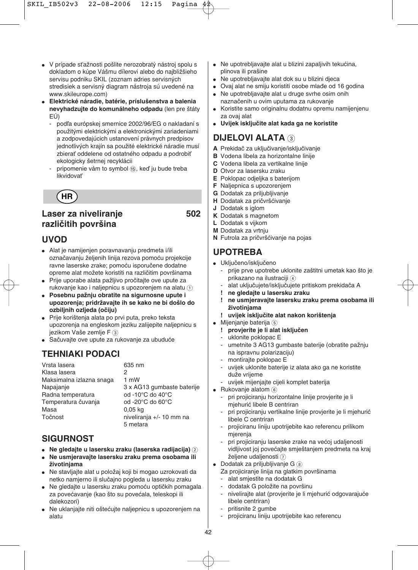- V prípade sťažnosti pošlite nerozobratý nástroj spolu s dokladom o kúpe Vášmu dílerovi alebo do najbližšieho servisu podniku SKIL (zoznam adries servisných stredisiek a servisný diagram nástroja sú uvedené na www.skileurope.com)
- **Elektrické náradie, batérie, príslu‰enstva a balenia nevyhadzujte do komunálneho odpadu** (len pre ‰táty EÚ)
	- podľa európskej smernice 2002/96/EG o nakladaní s použitými elektrickými a elektronickými zariadeniami a zodpovedajúcich ustanovení právnych predpisov jednotlivých krajín sa použité elektrické náradie musí zbierať oddelene od ostatného odpadu a podrobiť ekologicky šetrnej recyklácii
	- pripomenie vám to symbol (is), keď ju bude treba **likvidovať**

![](_page_41_Picture_5.jpeg)

#### **Laser za niveliranje 502 razliãitih povr‰ina**

#### **UVOD**

- Alat je namijenjen poravnavanju predmeta i/ili označavanju željenih linija rezova pomoću projekcije ravne laserske zrake; pomoću isporučene dodatne opreme alat možete koristiti na različitim površinama
- Prije uporabe alata pažljivo pročitajte ove upute za rukovanje kao i naljepnicu s upozorenjem na alatu  $(1)$
- Posebnu pažnju obratite na sigurnosne upute i **upozorenja; pridrÏavajte ih se kako ne bi do‰lo do ozbiljnih ozljeda (oãiju)**
- Prije korištenja alata po prvi puta, preko teksta upozorenja na engleskom jeziku zalijepite naljepnicu s jezikom Vaše zemlje F 3
- Saãuvajte ove upute za rukovanje za ubuduçe

### **TEHNIAKI PODACI**

| Vrsta lasera             | 635 nm                     |
|--------------------------|----------------------------|
| Klasa lasera             | 2                          |
| Maksimalna izlazna snaga | 1 mW                       |
| Napajanje                | 3 x AG13 gumbaste baterije |
| Radna temperatura        | od -10°C do 40°C           |
| Temperatura čuvanja      | od -20°C do 60°C           |
| Masa                     | $0.05$ ka                  |
| Točnost                  | niveliranja +/- 10 mm na   |
|                          | 5 metara                   |

#### **SIGURNOST**

- **Ne gledajte u lasersku zraku (laserska radijacija)** 2
- **Ne usmjeravajte lasersku zraku prema osobama ili Ïivotinjama**
- Ne stavljajte alat u položaj koji bi mogao uzrokovati da netko namjerno ili sluãajno pogleda u lasersku zraku
- Ne gledajte u lasersku zraku pomoçu optiãkih pomagala za povećavanje (kao što su povećala, teleskopi ili dalekozori)
- Ne uklanjajte niti o‰teçujte naljepnicu s upozorenjem na alatu
- Ne upotrebljavajte alat u blizini zapaljivih tekuçina, plinova ili prašine
- Ne upotrebljavajte alat dok su u blizini djeca
- Ovaj alat ne smiju koristiti osobe mlađe od 16 godina
- Ne upotrebljavajte alat u druge svrhe osim onih naznaãenih u ovim uputama za rukovanje
- Koristite samo originalnu dodatnu opremu namijenjenu za ovaj alat
- **Uvijek iskljuãite alat kada ga ne koristite**

### **DIJELOVI ALATA** 3

- **A** Prekidaã za ukljuãivanje/iskljuãivanje
- **B** Vodena libela za horizontalne linije
- **C** Vodena libela za vertikalne linije
- **D** Otvor za lasersku zraku
- **E** Poklopac odjeljka s baterijom
- **F** Naljepnica s upozorenjem
- **G** Dodatak za priljubljivanje
- **H** Dodatak za pričvršćivanje
- **J** Dodatak s iglom
- **K** Dodatak s magnetom
- **L** Dodatak s vijkom
- **M** Dodatak za vrtnju
- **N** Futrola za pričvršćivanje na pojas

### **UPOTREBA**

- Ukljuãeno/iskljuãeno
	- prije prve upotrebe uklonite zaštitni umetak kao što je prikazano na ilustraciji 4
	- alat uključujete/isključujete pritiskom prekidača A
	- **! ne gledajte u lasersku zraku**
	- **! ne usmjeravajte lasersku zraku prema osobama ili Ïivotinjama**
	- **! uvijek iskljuãite alat nakon kori‰tenja**
- Mijenjanje baterija 5
	- **! provjerite je li alat iskljuãen**
	- uklonite poklopac E
	- umetnite 3 AG13 gumbaste baterije (obratite pažnju na ispravnu polarizaciju)
	- montirajte poklopac E
	- uvijek uklonite baterije iz alata ako ga ne koristite duže vrijeme
	- uvijek mijenjajte cijeli komplet baterija
- Rukovanje alatom  $\left( \widehat{6}\right)$ 
	- pri projiciranju horizontalne linije provjerite je li mjehuriç libele B centriran
	- pri projiciranju vertikalne linije provjerite je li mjehurić libele C centriran
	- projiciranu liniju upotrijebite kao referencu prilikom mjerenja
	- pri projiciranju laserske zrake na većoj udaljenosti vidljivost joj povećajte smještanjem predmeta na kraj željene udaljenosti  $\widehat{y}$
- $\bullet$  Dodatak za priljubljivanje G  $\circledast$
- Za projiciranje linija na glatkim površinama
- alat smjestite na dodatak G
- dodatak G položite na površinu
- nivelirajte alat (provjerite je li mjehurić odgovarajuće libele centriran)
- pritisnite 2 gumbe
- projiciranu liniju upotrijebite kao referencu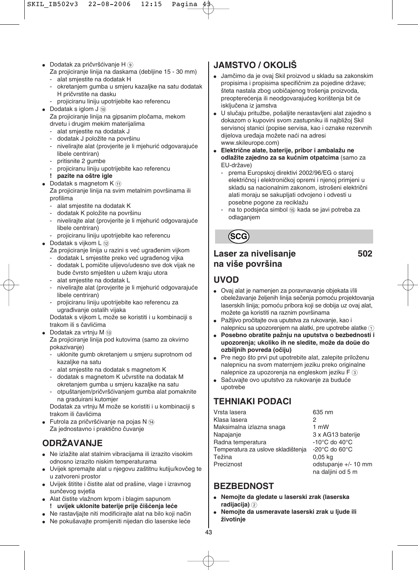- $\bullet$  Dodatak za pričvršćivanje H $\circ$ 
	- Za projiciranje linija na daskama (debljine 15 30 mm) - alat smjestite na dodatak H
	- okretanjem gumba u smjeru kazaljke na satu dodatak H pričvrstite na dasku
	- projiciranu liniju upotrijebite kao referencu
- $\bullet$  Dodatak s iglom  $J(0)$ 
	- Za projiciranje linija na gipsanim ploãama, mekom drvetu i drugim mekim materijalima
	- alat smjestite na dodatak J
	- dodatak J položite na površinu
	- nivelirajte alat (provjerite je li mjehurić odgovarajuće libele centriran)
	- pritisnite 2 gumbe
	- projiciranu liniju upotrijebite kao referencu
	- **! pazite na o‰tre igle**
- Dodatak s magnetom  $K$   $(i)$ 
	- Za projiciranje linija na svim metalnim površinama ili profilima
	- alat smjestite na dodatak K
	- dodatak K položite na površinu
	- nivelirajte alat (provjerite je li mjehuriç odgovarajuçe libele centriran)
	- projiciranu liniju upotrijebite kao referencu
- Dodatak s vijkom  $L$   $\Omega$ 
	- Za projiciranje linija u razini s veç ugrađenim vijkom
	- dodatak L smjestite preko već ugrađenog vijka dodatak L pomičite ulijevo/udesno sve dok vijak ne
	- bude čvrsto smješten u užem kraju utora
	- alat smjestite na dodatak L
	- nivelirajte alat (provjerite je li mjehuriç odgovarajuçe libele centriran)
	- projiciranu liniju upotrijebite kao referencu za ugrađivanje ostalih vijaka

Dodatak s vijkom L može se koristiti i u kombinaciji s trakom ili s čavlićima

 $\bullet$  Dodatak za vrtnju M $(13)$ 

Za projiciranje linija pod kutovima (samo za okvirno pokazivanje)

- uklonite gumb okretanjem u smjeru suprotnom od kazaljke na satu
- alat smjestite na dodatak s magnetom K
- dodatak s magnetom K uãvrstite na dodatak M okretanjem gumba u smjeru kazaljke na satu
- otpuštanjem/pričvršćivanjem gumba alat pomaknite na graduirani kutomjer

Dodatak za vrtnju M može se koristiti i u kombinaciji s trakom ili ãavliçima

 $\bullet$  Futrola za pričvršćivanje na pojas N $(1)$ Za jednostavno i praktično čuvanje

### **ODRÎAVANJE**

- Ne izlažite alat stalnim vibracijama ili izrazito visokim odnosno izrazito niskim temperaturama
- Uvijek spremajte alat u njegovu zaštitnu kutiju/kovčeg te u zatvoreni prostor
- Uvijek štitite i čistite alat od prašine, vlage i izravnog sunčevog svjetla
- Alat čistite vlažnom krpom i blagim sapunom **! uvijek uklonite baterije prije ãi‰çenja leçe**
- Ne rastavljajte niti modificirajte alat na bilo koji naãin
- Ne poku‰avajte promijeniti nijedan dio laserske leçe

#### **JAMSTVO / OKOLIS**

- Jamčimo da je ovaj Skil proizvod u skladu sa zakonskim propisima i propisima specifičnim za pojedine države; šteta nastala zbog uobičajenog trošenja proizvoda, preopterećenja ili neodgovarajućeg korištenja bit će isključena iz jamstva
- U slučaju pritužbe, pošaljite nerastavljeni alat zajedno s dokazom o kupovini svom zastupniku ili najbližoj Skil servisnoj stanici (popise servisa, kao i oznake rezervnih dijelova uređaja možete naći na adresi www.skileurope.com)
- **Električne alate, baterije, pribor i ambalažu ne odlaÏite zajedno za sa kuçnim otpatcima** (samo za EU-države)
	- prema Europskoj direktivi 2002/96/EG o staroj elektriãnoj i elektroniãkoj opremi i njenoj primjeni u skladu sa nacionalnim zakonom, istrošeni električni alati moraju se sakupljati odvojeno i odvesti u posebne pogone za reciklažu
	- na to podsjeća simbol ® kada se javi potreba za odlaganjem

**SCG**

### **Laser za nivelisanje 502 na vi‰e povr‰ina**

#### **UVOD**

- Ovaj alat je namenjen za poravnavanje objekata i/ili obeležavanje željenih linija sečenja pomoću projektovanja laserskih linija; pomoçu pribora koji se dobija uz ovaj alat, možete ga koristiti na raznim površinama
- Pažljivo pročitajte ova uputstva za rukovanje, kao i nalepnicu sa upozorenjem na alatki, pre upotrebe alatke  $\overline{1}$
- Posebno obratite pažnju na uputstva o bezbednosti i upozorenja; ukoliko ih ne sledite, može da doūe do **ozbiljnih povreda (oãiju)**
- Pre nego što prvi put upotrebite alat, zalepite priloženu nalepnicu na svom maternjem jeziku preko originalne nalepnice za upozorenja na engleskom jeziku  $F(3)$
- Saãuvajte ovo uputstvo za rukovanje za buduçe upotrebe

### **TEHNIAKI PODACI**

Vrsta lasera 635 nm Klasa lasera **2** 2 Maksimalna izlazna snaga 1 mW Napajanje 3 x AG13 baterije Radna temperatura -10°C do 40°C Temperatura za uslove skladištenja -20°C do 60°C Težina 0,05 kg Preciznost odstupanje +/- 10 mm

na daljini od 5 m

#### **BEZBEDNOST**

- **Nemojte da gledate u laserski zrak (laserska radijacija)** 2
- **Nemojte da usmeravate laserski zrak u ljude ili Ïivotinje**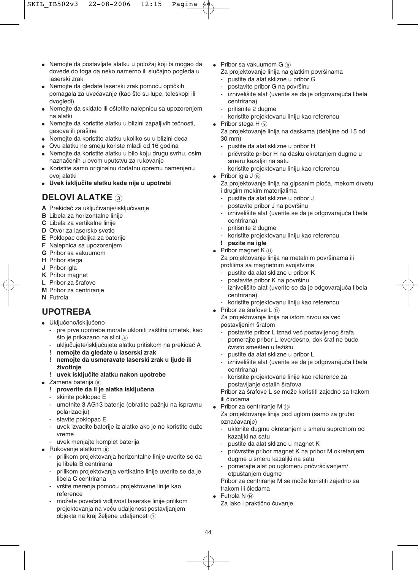- Nemojte da postavljate alatku u položaj koji bi mogao da dovede do toga da neko namerno ili sluãajno pogleda u laserski zrak
- Nemojte da gledate laserski zrak pomoçu optiãkih pomagala za uvećavanje (kao što su lupe, teleskopi ili dvogledi)
- Nemojte da skidate ili oštetite nalepnicu sa upozorenjem na alatki
- Nemojte da koristite alatku u blizini zapaljivih teãnosti, gasova ili prašine
- Nemojte da koristite alatku ukoliko su u blizini deca
- Ovu alatku ne smeju koriste mlađi od 16 godina
- Nemojte da koristite alatku u bilo koju drugu svrhu, osim naznaãenih u ovom uputstvu za rukovanje
- Koristite samo originalnu dodatnu opremu namenjenu ovoj alatki
- **Uvek iskljuãite alatku kada nije u upotrebi**

#### **DELOVI ALATKE 3**

- **A** Prekidaã za ukljuãivanje/iskljuãivanje
- **B** Libela za horizontalne linije
- **C** Libela za vertikalne linije
- **D** Otvor za lasersko svetlo
- **E** Poklopac odeljka za baterije
- **F** Nalepnica sa upozorenjem
- **G** Pribor sa vakuumom
- **H** Pribor stega
- **J** Pribor igla
- **K** Pribor magnet
- **L** Pribor za ‰rafove
- **M** Pribor za centriranje
- **N** Futrola

#### **UPOTREBA**

- Ukljuãeno/iskljuãeno
	- pre prve upotrebe morate ukloniti zaštitni umetak, kao što je prikazano na slici 4
	- uključujete/isključujete alatku pritiskom na prekidač A
	- **! nemojte da gledate u laserski zrak**
	- **! nemojte da usmeravate laserski zrak u ljude ili Ïivotinje**
	- **! uvek iskljuãite alatku nakon upotrebe**
- $\bullet$  Zamena baterija  $\circ$ 
	- **! proverite da li je alatka iskljuãena**
- skinite poklopac E
- umetnite 3 AG13 baterije (obratite pažnju na ispravnu polarizaciju)
- stavite poklopac E
- uvek izvadite baterije iz alatke ako je ne koristite duže vreme
- uvek menjajte komplet baterija
- $\bullet$  Rukovanje alatkom  $\circledcirc$ 
	- prilikom projektovanja horizontalne linije uverite se da je libela B centrirana
	- prilikom projektovanja vertikalne linije uverite se da je libela C centrirana
	- vršite merenja pomoću projektovane linije kao reference
	- možete povećati vidljivost laserske linije prilikom projektovanja na veçu udaljenost postavljanjem objekta na kraj željene udaljenosti  $(7)$
- Pribor sa vakuumom G 8
	- Za projektovanje linija na glatkim površinama
	- pustite da alat sklizne u pribor G
	- postavite pribor G na površinu
	- iznivelišite alat (uverite se da je odgovarajuća libela centrirana)
	- pritisnite 2 dugme
	- koristite projektovanu liniju kao referencu
- Pribor stega  $H(\widehat{9})$ 
	- Za projektovanje linija na daskama (debljine od 15 od 30 mm)
	- pustite da alat sklizne u pribor H
	- pričvrstite pribor H na dasku okretanjem dugme u smeru kazaljki na satu
	- koristite projektovanu liniju kao referencu
- $\bullet$  Pribor igla  $J(0)$ 
	- Za projektovanje linija na gipsanim ploča, mekom drvetu i drugim mekim materijalima
	- pustite da alat sklizne u pribor J
	- postavite pribor J na površinu
	- iznivelišite alat (uverite se da je odgovarajuća libela centrirana)
	- pritisnite 2 dugme
	- koristite projektovanu liniju kao referencu
	- **! pazite na igle**
- Pribor magnet  $K$   $\Omega$ 
	- Za projektovanje linija na metalnim površinama ili profilima sa magnetnim svojstvima
	- pustite da alat sklizne u pribor K
	- postavite pribor K na površinu
	- iznivelišite alat (uverite se da je odgovarajuća libela centrirana)
	- koristite projektovanu liniju kao referencu
- $\bullet$  Pribor za šrafove L $(2)$ Za projektovanje linija na istom nivou sa već postavljenim šrafom
	- postavite pribor L iznad već postavljenog šrafa
	- pomerajte pribor L levo/desno, dok šraf ne bude čvrsto smešten u ležištu
	- pustite da alat sklizne u pribor L
	- iznivelišite alat (uverite se da je odgovarajuća libela centrirana)
	- koristite projektovane linije kao reference za postavljanje ostalih šrafova

Pribor za šrafove L se može koristiti zajedno sa trakom ili ãiodama

Pribor za centriranje M  $(3)$ 

Za projektovanje linija pod uglom (samo za grubo oznaãavanje)

- uklonite dugmu okretanjem u smeru suprotnom od kazaljki na satu
- pustite da alat sklizne u magnet K
- pričvrstite pribor magnet K na pribor M okretanjem dugme u smeru kazaljki na satu
- pomerajte alat po uglomeru pričvršćivanjem/ otpuštanjem dugme

Pribor za centriranje M se može koristiti zajedno sa trakom ili ãiodama

 $\bullet$  Futrola N $(14)$ 

Za lako i praktično čuvanje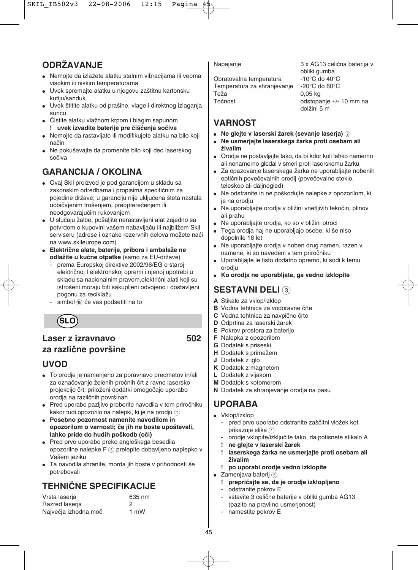### **ODRÎAVANJE**

- Nemojte da izlažete alatku stalnim vibracijama ili veoma visokim ili niskim temperaturama
- Uvek spremajte alatku u njegovu zaštitnu kartonsku kutiju/sanduk
- Uvek štitite alatku od prašine, vlage i direktnog izlaganja suncu
- Čistite alatku vlažnom krpom i blagim sapunom **! uvek izvadite baterije pre ãi‰çenja soãiva**
- Nemojte da rastavljate ili modifikujete alatku na bilo koji naãin
- Ne pokušavaite da promenite bilo koji deo laserskog soãiva

### **GARANCIJA / OKOLINA**

- Ovaj Skil proizvod je pod garancijom u skladu sa zakonskim odredbama i propisima specifičnim za pojedine države; u garanciju nije uključena šteta nastala uobičajenim trošenjem, preopterećenjem ili neodgovarajuçim rukovanjem
- U sluãaju Ïalbe, po‰aljite nerastavljeni alat zajedno sa potvrdom o kupovini vašem nabavljaču ili najbližem Skil serviseru (adrese i oznake rezervnih delova možete naći na www.skileurope.com)
- **Električne alate, baterije, pribora i ambalaže ne odlažite u kućne otpatke** (samo za EU-države)
	- prema Europskoj direktive 2002/96/EG o staroj elektriãnoj I elektronskoj opremi i njenoj upotrebi u skladu sa nacionalnim pravom, električni alati koji su istrošeni moraju biti sakupljeni odvojeno i dostavljeni pogonu za reciklažu
	- simbol (is) će vas podsetiti na to

![](_page_44_Picture_14.jpeg)

### **Laser z izravnavo 502 za razliãne povr‰ine**

#### **UVOD**

- To orodje je namenjeno za poravnavo predmetov in/ali za označevanje želenih prečnih črt z ravno lasersko projekcijo črt; priloženi dodatki omogočajo uporabo orodja na različnih površinah
- Pred uporabo pazlijvo preberite navodila v tem priročniku kakor tudi opozorilo na nalepki, ki je na orodju  $\overline{1}$
- **Posebno pozornost namenite navodilom in opozorilom o varnosti; ãe jih ne boste upo‰tevali, lahko pride do hudih po‰kodb (oãi)**
- Pred prvo uporabo preko angleškega besedila opozorilne nalepke F 3 prelepite dobavljeno naplepko v Va‰em jeziku
- Ta navodila shranite, morda jih boste v prihodnosti še potrebovali

#### **TEHNIâNE SPECIFIKACIJE**

| Vrsta laserja        | 635 nm |
|----------------------|--------|
| Razred laserja       | 2      |
| Največja izhodna moč | 1 mW   |

Obratovalna temperatura -10°C do 40°C<br>Temperatura za shranjevanje -20°C do 60°C Temperatura za shranjevanje Teža 0,05 kg<br>Točnost odstopa

Napajanje 3 x AG13 celična baterija v obliki gumba<br>-10°C do 40°C odstopanje +/- 10 mm na dolžini 5 m

#### **VARNOST**

- **Ne glejte v laserski žarek (sevanje laserja)**  $\widehat{2}$ )
- **Ne usmerjajte laserskega Ïarka proti osebam ali Ïivalim**
- Orodia ne postavliajte tako, da bi kdor koli lahko namerno ali nenamerno gledal v smeri proti laserskemu žarku
- Za opazovanje laserskega žarka ne uporabljajte nobenih optiãnih poveãevalnih orodij (poveãevalno steklo, teleskop ali daljnogled)
- Ne odstranite in ne poškodujte nalepke z opozorilom, ki je na orodju
- Ne uporabljajte orodja v bližini vnetljivih tekočin, plinov ali prahu
- Ne uporabljajte orodja, ko so v bližini otroci
- Tega orodja naj ne uporabljajo osebe, ki še niso dopolnile 16 let
- Ne uporabljajte orodja v noben drug namen, razen v namene, ki so navedeni v tem priroãniku
- Uporabljajte le tisto dodatno opremo, ki sodi k temu orodju
- **Ko orodja ne uporabljate, ga vedno izklopite**

### **SESTAVNI DELI 3**

- **A** Stikalo za vklop/izklop
- **B** Vodna tehtnica za vodoravne črte
- **C** Vodna tehtnica za navpiãne ãrte
- **D** Odprtina za laserski žarek
- **E** Pokrov prostora za baterijo
- **F** Nalepka z opozorilom
- **G** Dodatek s priseski
- **H** Dodatek s primežem
- **J** Dodatek z iglo
- **K** Dodatek z magnetom
- **L** Dodatek z vijakom
- **M** Dodatek s kotomerom
- **N** Dodatek za shranjevanje orodja na pasu

#### **UPORABA**

- Vklop/izklop
	- pred prvo uporabo odstranite zaščitni vložek kot prikazuje slika 4
	- orodje vklopite/izkljuãite tako, da potisnete stikalo A
	- **! ne glejte v laserski Ïarek**
	- laserskega žarka ne usmeriajte proti osebam ali **Ïivalim**
	- **! po uporabi orodje vedno izklopite**
- Zamenjava baterij 5
	- **! prepriãajte se, da je orodje izklopljeno**
	- odstranite pokrov E
	- vstavite 3 celične baterije v obliki gumba AG13 (pazite na pravilno usmerjenost)
	- namestite pokrov E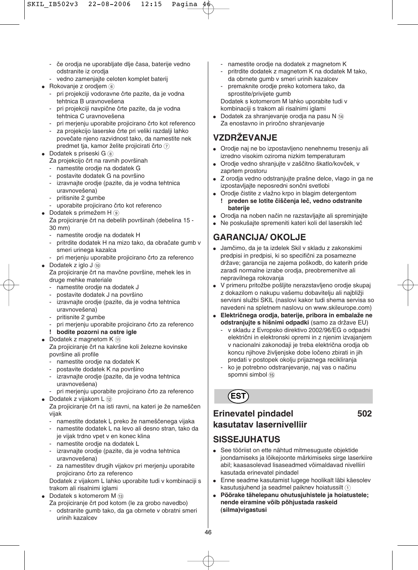- ãe orodja ne uporabljate dlje ãasa, baterije vedno odstranite iz orodja
- vedno zamenjajte celoten komplet baterij
- Rokovanje z orodjem 6
	- pri projekciji vodoravne črte pazite, da je vodna tehtnica B uravnovešena
	- pri projekciji navpične črte pazite, da je vodna tehtnica C uravnovešena
	- pri merjenju uporabite projicirano ãrto kot referenco
	- za projekcijo laserske ãrte pri veliki razdalji lahko poveãate njeno razvidnost tako, da namestite nek predmet tja, kamor želite projicirati črto  $\widehat{r}$
- Dodatek s priseski G $(8)$ 
	- Za projekcijo črt na ravnih površinah
	- namestite orodje na dodatek G
	- postavite dodatek G na površino
	- izravnajte orodje (pazite, da je vodna tehtnica uravnovešena)
	- pritisnite 2 gumbe
	- uporabite projicirano črto kot referenco
- $\bullet$  Dodatek s primežem H $(9)$ 
	- Za projiciranje črt na debelih površinah (debelina 15 -30 mm)
	- namestite orodje na dodatek H
	- pritrdite dodatek H na mizo tako, da obračate gumb v smeri urinega kazalca
	- pri merjenju uporabite projicirano črto za referenco
- Dodatek z iglo J (10) Za projiciranje črt na mavčne površine, mehek les in druge mehke materiale
	- namestite orodje na dodatek J
	- postavite dodatek J na površino
	- izravnajte orodje (pazite, da je vodna tehtnica uravnovešena)
	- pritisnite 2 gumbe
	- pri merjenju uporabite projicirano črto za referenco
- **! bodite pozorni na ostre igle** • Dodatek z magnetom  $K$   $(1)$
- Za projiciranje črt na kakršne koli železne kovinske površine ali profile
- namestite orodje na dodatek K
- postavite dodatek K na površino
- izravnajte orodje (pazite, da je vodna tehtnica uravnovešena)
- pri merjenju uporabite projicirano črto za referenco • Dodatek z vijakom L (12)
- 
- Za projiciranje črt na isti ravni, na kateri je že nameščen vijak
- namestite dodatek L preko že nameščenega vijaka
- namestite dodatek L na levo ali desno stran, tako da je vijak trdno vpet v en konec klina
- namestite orodje na dodatek L
- izravnajte orodje (pazite, da je vodna tehtnica uravnovešena)
- za namestitev drugih vijakov pri merjenju uporabite projicirano ãrto za referenco

Dodatek z vijakom L lahko uporabite tudi v kombinaciji s trakom ali risalnimi iglami

- $\bullet$  Dodatek s kotomerom M $(13)$ 
	- Za projiciranje ãrt pod kotom (le za grobo navedbo)
	- odstranite gumb tako, da ga obrnete v obratni smeri urinih kazalcev
- namestite orodje na dodatek z magnetom K
- pritrdite dodatek z magnetom K na dodatek M tako, da obrnete gumb v smeri urinih kazalcev
- premaknite orodje preko kotomera tako, da sprostite/privijete gumb

Dodatek s kotomerom M lahko uporabite tudi v kombinaciji s trakom ali risalnimi iglami

Dodatek za shranjevanje orodja na pasu N  $\widehat{A}$ Za enostavno in priročno shranjevanje

#### **VZDRÎEVANJE**

- Orodje naj ne bo izpostavljeno nenehnemu tresenju ali izredno visokim oziroma nizkim temperaturam
- Orodje vedno shranjujte v zaščitno škatlo/kovček, v zaprtem prostoru
- Z orodja vedno odstranjujte prašne delce, vlago in ga ne izpostavljajte neposredni sončni svetlobi
- Orodje čistite z vlažno krpo in blagim detergentom
- **! preden se lotite ãi‰ãenja leã, vedno odstranite baterije**
- Orodja na noben naãin ne razstavljajte ali spreminjajte
- Ne posku‰ajte spremeniti kateri koli del laserskih leã

#### **GARANCIJA/ OKOLJE**

- Jamãimo, da je ta izdelek Skil v skladu z zakonskimi predpisi in predpisi, ki so specifični za posamezne države; garancija ne zajema poškodb, do katerih pride zaradi normalne izrabe orodja, preobremenitve ali nepravilnega rokovanja
- V primeru pritožbe pošljite nerazstavljeno orodje skupaj z dokazilom o nakupu vašemu dobavitelju ali najbližiji servisni službi SKIL (naslovi kakor tudi shema servisa so navedeni na spletnem naslovu on www.skileurope.com)
- Električnega orodja, baterije, pribora in embalaže ne **odstranjujte s hišnimi odpadki** (samo za države EU)
	- v skladu z Evropsko direktivo 2002/96/EG o odpadni elektriãni in elektronski opremi in z njenim izvajanjem v nacionalni zakonodaji je treba električna orodja ob koncu njihove življenjske dobe ločeno zbirati in jih predati v postopek okolju prijaznega recikliranja
	- ko je potrebno odstranjevanje, naj vas o načinu spomni simbol (i5)

**EST**

### **Erinevatel pindadel 502 kasutatav lasernivelliir**

#### **SISSEJUHATUS**

- See tööriist on ette nähtud mitmesuguste objektide joondamiseks ja lõikejoonte märkimiseks sirge laserkiire abil; kaasasolevad lisaseadmed võimaldavad nivelliiri kasutada erinevatel pindadel
- Enne seadme kasutamist lugege hoolikalt läbi käesolev kasutusjuhend ja seadmel paiknev hoiatussilt 1
- **Pöörake tähelepanu ohutusjuhistele ja hoiatustele; nende eiramine võib põhjustada raskeid (silma)vigastusi**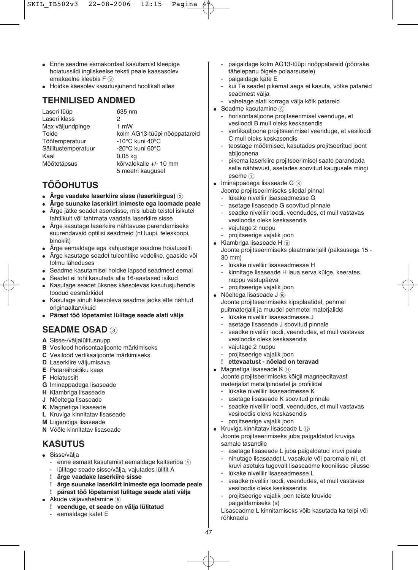- Enne seadme esmakordset kasutamist kleepige hoiatussildi ingliskeelse teksti peale kaasasolev emakeelne kleebis F 3
- Hoidke käesolev kasutusjuhend hoolikalt alles

#### **TEHNILISED ANDMED**

Laseri tüüp<br>Laseri klass 635 nm Laseri klass 2 Max väljundpinge 1 mW Säilitustemperatuur -20°C kuni 60°C Kaal 0,05 kg<br>Mõõtetäpsus kõrvalel

Toide kolm AG13-tüüpi nööppatareid<br>Töötemperatuur 10°C kuni 40°C  $-10^{\circ}$ C kuni 40°C kõrvalekalle +/- 10 mm 5 meetri kaugusel

### **TÖÖOHUTUS**

- **Ärge vaadake laserkiire sisse (laserkiirgus)** 2
- **Ärge suunake laserkiirt inimeste ega loomade peale**
- Ärge jätke seadet asendisse, mis lubab teistel isikutel tahtlikult või tahtmata vaadata laserkiire sisse
- Ärge kasutage laserkiire nähtavuse parendamiseks suurendavaid optilisi seadmeid (nt luupi, teleskoopi, binoklit)
- Ärge eemaldage ega kahjustage seadme hoiatussilti
- Ärge kasutage seadet tuleohtlike vedelike, gaaside või tolmu läheduses
- Seadme kasutamisel hoidke lapsed seadmest eemal
- Seadet ei tohi kasutada alla 16-aastased isikud
- Kasutage seadet üksnes käesolevas kasutusjuhendis toodud eesmärkidel
- Kasutage ainult käesoleva seadme jaoks ette nähtud originaaltarvikuid
- **Pärast töö lõpetamist lülitage seade alati välja**

### **SEADME OSAD 3**

- **A** Sisse-/väljalülitusnupp
- **B** Vesilood horisontaaljoonte märkimiseks
- **C** Vesilood vertikaaljoonte märkimiseks
- **D** Laserkiire väljumisava
- **E** Patareihoidiku kaas
- **F** Hoiatussilt
- **G** Iminappadega lisaseade
- **H** Klambriga lisaseade
- **J** Nõeltega lisaseade
- **K** Magnetiga lisaseade
- **L** Kruviga kinnitatav lisaseade
- **M** Liigendiga lisaseade
- **N** Vööle kinnitatav lisaseade

### **KASUTUS**

- Sisse/välja
	- enne esmast kasutamist eemaldage kaitseriba  $\overline{4}$
	- lülitage seade sisse/välja, vajutades lülitit A
	- **! ärge vaadake laserkiire sisse**
	- **! ärge suunake laserkiirt inimeste ega loomade peale**
	- **! pärast töö lõpetamist lülitage seade alati välja**
- Akude väljavahetamine 5
	- **! veenduge, et seade on välja lülitatud**
	- eemaldage katet E
- paigaldage kolm AG13-tüüpi nööppatareid (pöörake tähelepanu õigele polaarsusele)
- paigaldage kate E
- kui Te seadet pikemat aega ei kasuta, võtke patareid seadmest välja
- vahetage alati korraga välja kõik patareid
- $\bullet$  Seadme kasutamine  $\circledcirc$ 
	- horisontaaljoone projitseerimisel veenduge, et vesiloodi B mull oleks keskasendis
	- vertikaaljoone projitseerimisel veenduge, et vesiloodi C mull oleks keskasendis
	- teostage mõõtmised, kasutades projitseeritud joont abijoonena
	- pikema laserkiire projitseerimisel saate parandada selle nähtavust, asetades soovitud kaugusele mingi eseme (7)
- $\bullet$  Iminappadega lisaseade G  $\circledast$ 
	- Joonte projitseerimiseks siledal pinnal
	- lükake nivelliir lisaseadmesse G
	- asetage lisaseade G soovitud pinnale
	- seadke nivelliir loodi, veendudes, et mull vastavas vesiloodis oleks keskasendis
	- vajutage 2 nuppu
	- projitseerige vajalik joon
- Klambriga lisaseade  $H$   $\odot$ 
	- Joonte projitseerimiseks plaatmaterjalil (paksusega 15 30 mm)
	- lükake nivelliir lisaseadmesse H
	- kinnitage lisaseade H laua serva külge, keerates nuppu vastupäeva
	- projitseerige vajalik joon
	- Nõeltega lisaseade J @
	- Joonte projitseerimiseks kipsplaatidel, pehmel puitmaterjalil ja muudel pehmetel materjalidel
	- lükake nivelliir lisaseadmesse J
	- asetage lisaseade J soovitud pinnale
	- seadke nivelliir loodi, veendudes, et mull vastavas vesiloodis oleks keskasendis
	- vajutage 2 nuppu
	- projitseerige vajalik joon
	- **! ettevaatust nõelad on teravad**
- $\bullet$  Magnetiga lisaseade K $(n)$ 
	- Joonte projitseerimiseks kõigil magneeditavast materjalist metallpindadel ja profiilidel
	- lükake nivelliir lisaseadmesse K
	- asetage lisaseade K soovitud pinnale
	- seadke nivelliir loodi, veendudes, et mull vastavas vesiloodis oleks keskasendis
	- projitseerige vajalik joon
- $\bullet$  Kruviga kinnitatav lisaseade L $\overline{12}$

Joonte projitseerimiseks juba paigaldatud kruviga samale tasandile

- asetage lisaseade L juba paigaldatud kruvi peale
- nihutage lisaseadet L vasakule või paremale nii, et kruvi asetuks tugevalt lisaseadme koonilisse pilusse lükake nivelliir lisaseadmesse L
- 
- seadke nivelliir loodi, veendudes, et mull vastavas vesiloodis oleks keskasendis
- projitseerige vajalik joon teiste kruvide paigaldamiseks (s)

Lisaseadme L kinnitamiseks võib kasutada ka teipi või rõhknaelu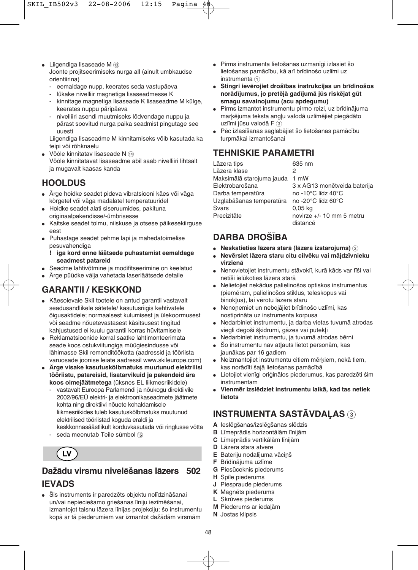- $\bullet$  Liigendiga lisaseade M $(3)$ Joonte projitseerimiseks nurga all (ainult umbkaudse orientiirina)
	- eemaldage nupp, keerates seda vastupäeva
	- lükake nivelliir magnetiga lisaseadmesse K
	- kinnitage magnetiga lisaseade K lisaseadme M külge, keerates nuppu päripäeva
	- nivelliiri asendi muutmiseks lõdvendage nuppu ja pärast soovitud nurga paika seadmist pingutage see uuesti

Liigendiga lisaseadme M kinnitamiseks võib kasutada ka teipi või rõhknaelu

 $\bullet$  Vööle kinnitatav lisaseade N $\times$ Vööle kinnitatavat lisaseadme abil saab nivelliiri lihtsalt ja mugavalt kaasas kanda

#### **HOOLDUS**

- Ärge hoidke seadet pideva vibratsiooni käes või väga kõrgetel või väga madalatel temperatuuridel
- Hoidke seadet alati siseruumides, pakituna originaalpakendisse/-ümbrisesse
- Kaitske seadet tolmu, niiskuse ja otsese päikesekiirguse eest
- Puhastage seadet pehme lapi ja mahedatoimelise pesuvahendiga
	- **! iga kord enne läätsede puhastamist eemaldage seadmest patareid**
- Seadme lahtivõtmine ja modifitseerimine on keelatud
- Ärge püüdke välja vahetada laserläätsede detaile

#### **GARANTII / KESKKOND**

- Käesolevale Skil tootele on antud garantii vastavalt seadusandlikele sätetele/ kasutusriigis kehtivatele õigusaktidele; normaalsest kulumisest ja ülekoormusest või seadme nõuetevastasest käsitsusest tingitud kahjustused ei kuulu garantii korras hüvitamisele
- Reklamatsioonide korral saatke lahtimonteerimata seade koos ostukviitungiga müügiesindusse või lähimasse Skil remonditöökotta (aadressid ja tööriista varuosade joonise leiate aadressil www.skileurope.com)
- **Ärge visake kasutuskõlbmatuks muutunud elektrilisi tööriistu, patareisid, lisatarvikuid ja pakendeid ära koos olmejäätmetega** (üksnes EL liikmesriikidele)
	- vastavalt Euroopa Parlamendi ja nõukogu direktiivile 2002/96/EÜ elektri- ja elektroonikaseadmete jäätmete kohta ning direktiivi nõuete kohaldamisele liikmesriikides tuleb kasutuskõlbmatuks muutunud elektrilised tööriistad koguda eraldi ja
	- keskkonnasäästlikult korduvkasutada või ringlusse võtta - seda meenutab Teile sümbol (is)

**LV**

### Dažādu virsmu nivelēšanas lāzers **502 IEVADS**

• Šis instruments ir paredzēts objektu nolīdzināšanai un/vai nepieciešamo griešanas līniju iezīmēšanai, izmantojot taisnu lāzera līnijas projekciju; šo instrumentu kopā ar tā piederumiem var izmantot dažādām virsmām

- Pirms instrumenta lietošanas uzmanīgi izlasiet šo lietošanas pamācību, kā arī brīdinošo uzlīmi uz instrumenta $(1)$
- **Stingri ievērojiet drošības instrukcijas un brīdinošos** norādījumus, jo pretējā gadījumā jūs riskējat gūt **smagu savainojumu (acu apdegumu)**
- Pirms izmantot instrumentu pirmo reizi, uz brīdinājuma markējuma teksta angļu valodā uzlīmējiet piegādāto uzlīmi jūsu valodā F 3
- Pēc izlasīšanas saglabājiet šo lietošanas pamācību turpmākai izmantošanai

#### **TEHNISKIE PARAMETRI**

| Lāzera tips               | 635 nm                       |
|---------------------------|------------------------------|
| Lāzera klase              | 2                            |
| Maksimālā starojuma jauda | 1 mW                         |
| Elektrobarošana           | 3 x AG13 monētveida baterija |
| Darba temperatūra         | no -10°C līdz 40°C           |
| Uzglabāšanas temperatūra  | no -20°C līdz 60°C           |
| Svars                     | $0.05$ ka                    |
| Precizitāte               | novirze $+/-$ 10 mm 5 metru  |
|                           | distancē                     |

### DARBA DROŠĪBA

- **Neskatieties lāzera starā (lāzera izstarojums)**  $\widehat{2}$ )
- **Nevērsiet lāzera staru citu cilvēku vai mājdzīvnieku virzienÇ**
- Nenovietojiet instrumentu stāvoklī, kurā kāds var tīši vai netīši ielūkoties lāzera starā
- Nelietojiet nekādus palielinošos optiskos instrumentus (piemēram, palielinošos stiklus, teleskopus vai binokļus), lai vērotu lāzera staru
- Nenonemiet un nebojājiet brīdinošo uzlīmi, kas nostiprināta uz instrumenta korpusa
- Nedarbiniet instrumentu, ja darba vietas tuvumā atrodas viegli degoši škidrumi, gāzes vai putekļi
- Nedarbiniet instrumentu, ja tuvumā atrodas bērni
- Šo instrumentu nav atļauts lietot personām, kas jaunākas par 16 gadiem
- Neizmantojiet instrumentu citiem mērķiem, nekā tiem, kas norādīti šajā lietošanas pamācībā
- Lietojiet vienīgi oriģinālos piederumus, kas paredzēti šim instrumentam
- **Vienmïr izslïdziet instrumentu laikÇ, kad tas netiek lietots**

#### **INSTRUMENTA SASTĀVDALAS** ③

- A leslēgšanas/izslēgšanas slēdzis
- **B** Līmeņrādis horizontālām līnijām
- **C** Līmeņrādis vertikālām līnijām
- **D** Lāzera stara atvere
- **E** Bateriju nodalījuma vāciņš
- **F** Brīdinājuma uzlīme
- **G** Piesūceknis piederums
- **H** Spile piederums
- **J** Piespraude piederums
- **K** Magnēts piederums
- **L** Skrūves piederums
- **M** Piederums ar iedaĮām
- **N** Jostas klipsis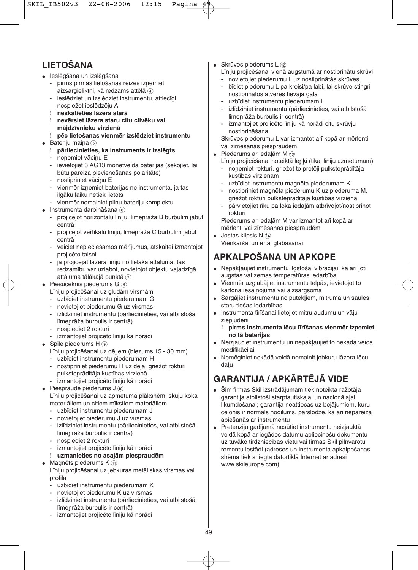- **LIETOŠANA**
- leslēgšana un izslēgšana
	- pirms pirmās lietošanas reizes izņemiet aizsargieliktni, kā redzams attēlā 4
	- ieslēdziet un izslēdziet instrumentu, attiecīgi nospiežot ieslēdzēju A
	- **!** neskatieties lāzera starā
	- ! nevērsiet lāzera staru citu cilvēku vai mājdzīvnieku virzienā
	- ! pēc lietošanas vienmēr izslēdziet instrumentu
- $\bullet$  Bateriju maiņa  $(5)$ 
	- $!$  pārliecinieties, ka instruments ir izslēgts
	- nonemiet vācinu E
	- ievietojiet 3 AG13 monētveida baterijas (sekojiet, lai būtu pareiza pievienošanas polaritāte)
	- nostipriniet vāciņu E
	- vienmēr izņemiet baterijas no instrumenta, ja tas ilgāku laiku netiek lietots
	- vienmēr nomainiet pilnu bateriju komplektu
- $\bullet$  Instrumenta darbināšana  $\circledcirc$ 
	- projicējot horizontālu līniju, līmeņrāža B burbulim jābūt centrā
	- projicējot vertikālu līniju, līmeņrāža C burbulim jābūt centrā
	- veiciet nepieciešamos mērījumus, atskaitei izmantojot projicēto taisni
	- ja projicējat lāzera līniju no lielāka attāluma, tās redzamību var uzlabot, novietojot objektu vajadzīgā attāluma tālākajā punktā  $\widehat{r}$
- Piesūceknis piederums G 8
	- Līniju projicēšanai uz gludām virsmām
	- uzbīdiet instrumentu piederumam G
	- novietojiet piederumu G uz virsmas
	- izlīdziniet instrumentu (pārliecinieties, vai atbilstošā līmeņrāža burbulis ir centrā)
	- nospiediet 2 rokturi
	- izmantojiet projicēto līniju kā norādi
- $\bullet$  Spile piederums H  $\circledcirc$ 
	- Līniju projicēšanai uz dēļiem (biezums 15 30 mm) - uzbīdiet instrumentu piederumam H
	- nostipriniet piederumu H uz dēļa, griežot rokturi pulksteņrādītāja kustības virzienā
	- izmantojiet projicēto līniju kā norādi
- $\bullet$  Piespraude piederums J $(10)$
- Līniju projicēšanai uz apmetuma plāksnēm, skuju koka materiāliem un citiem mīkstiem materiāliem
- uzbīdiet instrumentu piederumam J
- novietojiet piederumu J uz virsmas
- izlīdziniet instrumentu (pārliecinieties, vai atbilstošā līmeņrāža burbulis ir centrā)
- nospiediet 2 rokturi
- izmantojiet projicēto līniju kā norādi
- **!** uzmanieties no asajām piespraudēm
- $\bullet$  Magnēts piederums K $(n)$ Līniju projicēšanai uz jebkuras metāliskas virsmas vai profila
	- uzbīdiet instrumentu piederumam K
	- novietojiet piederumu K uz virsmas
	- izlīdziniet instrumentu (pārliecinieties, vai atbilstošā līmenrāža burbulis ir centrā)
	- izmantojiet projicēto līniju kā norādi
- Skrūves piederums  $L$   $\Omega$ 
	- Līniju projicēšanai vienā augstumā ar nostiprinātu skrūvi novietojiet piederumu L uz nostiprinātās skrūves
	- bīdiet piederumu L pa kreisi/pa labi, lai skrūve stingri nostiprinātos atveres tievajā galā
	- uzbīdiet instrumentu piederumam L
	- izlīdziniet instrumentu (pārliecinieties, vai atbilstošā līmeņrāža burbulis ir centrā)
	- izmantojiet projicēto līniju kā norādi citu skrūvju nostiprināšanai
	- Skrūves piederumu L var izmantot arī kopā ar mērlenti vai zīmēšanas piespraudēm
- Piederums ar iedaļām M (i3)
	- Līniju projicēšanai noteiktā leņķī (tikai līniju uzmetumam)
	- noņemiet rokturi, griežot to pretēji pulksteņrādītāja kustības virzienam
	- uzbīdiet instrumentu magnēta piederumam K
	- nostipriniet magnēta piederumu K uz piederuma M, griežot rokturi pulksteņrādītāja kustības virzienā
	- pārvietojiet rīku pa loka iedaļām atbrīvojot/nostiprinot rokturi

Piederums ar iedalām M var izmantot arī kopā ar mērlenti vai zīmēšanas piespraudēm

Jostas klipsis N (14) Vienkāršai un ērtai glabāšanai

### **APKALPOŠANA UN APKOPE**

- Nepaklaujiet instrumentu ilgstošai vibrācijai, kā arī loti augstas vai zemas temperatūras iedarbībai
- Vienmēr uzglabājiet instrumentu telpās, ievietojot to kartona iesaiņojumā vai aizsargsomā
- Sargājiet instrumentu no putekļiem, mitruma un saules staru tiešas iedarbības
- Instrumenta tīrīšanai lietojiet mitru audumu un vāju ziepiūdeni
- ! pirms instrumenta lēcu tīrīšanas vienmēr izņemiet **no tÇ baterijas**
- Neizjauciet instrumentu un nepakļaujiet to nekāda veida modifikācijai
- Nemēģiniet nekādā veidā nomainīt jebkuru lāzera lēcu dalu

### **GARANTIJA / APKÅRTîJÅ VIDE**

- Šim firmas Skil izstrādājumam tiek noteikta ražotāja garantija atbilstoši starptautiskajai un nacionālajai likumdošanai; garantija neattiecas uz bojājumiem, kuru cēlonis ir normāls nodilums, pārslodze, kā arī nepareiza apiešanās ar instrumentu
- Pretenziju gadījumā nosūtiet instrumentu neizjauktā veidā kopā ar iegādes datumu apliecinošu dokumentu uz tuvāko tirdzniecības vietu vai firmas Skil pilnvarotu remontu iestādi (adreses un instrumenta apkalpošanas shēma tiek sniegta datortīklā Internet ar adresi www.skileurope.com)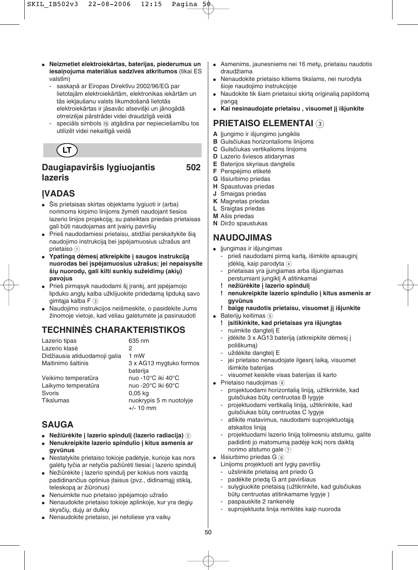- **Neizmetiet elektroiekÇrtas, baterijas, piederumus un** iesaiņojuma materiālus sadzīves atkritumos (tikai ES  $v$ alstīm)
	- saskaņā ar Eiropas Direktīvu 2002/96/EG par lietotajām elektroiekārtām, elektronikas iekārtām un tās iekļaušanu valsts likumdošanā lietotās elektroiekārtas ir jāsavāc atseviški un jānogādā otrreizējai pārstrādei videi draudzīgā veidā
	- speciāls simbols ® atgādina par nepieciešamību tos utilizēt videi nekaitīgā veidā

# **LT**

#### **Daugiapavir‰is lygiuojantis 502 lazeris**

#### **∫VADAS**

- Šis prietaisas skirtas objektams lygiuoti ir (arba) norimoms kirpimo linijoms žymėti naudojant tiesios lazerio linijos projekciją; su pateiktais priedais prietaisas gali būti naudojamas ant įvairių paviršių
- Prieš naudodamiesi prietaisu, atidžiai perskaitykite šią naudojimo instrukciją bei įspėjamuosius užrašus ant prietaiso (1)
- **Ypatingà dòmes∞ atkreipkite ∞ saugos instrukcijà** nuorodas bei įspėjamuosius užrašus; jei nepaisysite šių nuorodų, gali kilti sunkių sužeidimų (akių) **pavojus**
- Prieš pirmąsyk naudodami šį įrankį, ant įspėjamojo lipduko anglų kalba užklijuokite pridedamą lipduką savo gimtaja kalba F 3
- Naudojimo instrukcijos neišmeskite, o pasidėkite Jums žinomoje vietoje, kad vėliau galėtumėte ja pasinaudoti

### **TECHNINĖS CHARAKTERISTIKOS**

| Lazerio tipas                 | 635 nm                  |
|-------------------------------|-------------------------|
| Lazerio klasė                 | 2                       |
| Didžiausia atiduodamoji galia | 1 mW                    |
| Maitinimo šaltinis            | 3 x AG13 mygtuko formos |
|                               | baterija                |
| Veikimo temperatūra           | nuo -10°C iki 40°C      |
| Laikymo temperatūra           | nuo -20°C iki 60°C      |
| Svoris                        | $0.05$ kg               |
| <b>Tikslumas</b>              | nuokrypis 5 m nuotolyje |
|                               | $+/- 10$ mm             |

#### **SAUGA**

- Nežiūrėkite i lazerio spinduli (lazerio radiacija) *①*
- Nenukreipkite lazerio spindulio į kitus asmenis ar gyvūnus
- Nestatykite prietaiso tokioje padòtyje, kurioje kas nors galėtų tyčia ar netyčia pažiūrėti tiesiai į lazerio spindulį
- Nežiūrėkite į lazerio spindulį per kokius nors vaizdą padidinančius optinius itaisus (pvz., didinamąji stiklą, teleskopą ar žiūronus)
- Nenuimkite nuo prietaiso įspėjamojo užrašo
- Nenaudokite prietaiso tokioje aplinkoje, kur yra degių skysčių, dujų ar dulkių
- Nenaudokite prietaiso, jei netoliese yra vaikų
- Asmenims, jaunesniems nei 16 metų, prietaisu naudotis draudžiama
- Nenaudokite prietaiso kitiems tikslams, nei nurodyta šioje naudojimo instrukcijoje
- Naudokite tik šiam prietaisui skirtą originalią papildomą ∞rangà
- Kai nesinaudojate prietaisu , visuomet ii išiunkite

### **PRIETAISO ELEMENTAI 3**

- **A** Įjungimo ir išjungimo jungiklis
- **B** Gulsãiukas horizontalioms linijoms
- **C** Gulsãiukas vertikalioms linijoms
- **D** Lazerio šviesos atidarymas
- **E** Baterijos skyriaus dangtelis
- **F** Perspèjimo etiketė
- **G** Išsiurbimo priedas
- **H** Spaustuvas priedas
- **J** Smaigas priedas
- **K** Magnetas priedas
- **L** Sraigtas priedas
- **M** Ašis priedas
- **N** Diržo spaustukas

### **NAUDOJIMAS**

- ∬ungimas ir išjungimas prieš naudodami pirmą kartą, išimkite apsauginį įdėklą, kaip parodyta 4
- prietaisas yra įjungiamas arba išjungiamas perstumiant jungiklį A atitinkamai
- **!** nežiūrėkite į lazerio spindulį
- **! nenukreipkite lazerio spindulio ∞ kitus asmenis ar** gyvūnus
- ! baigę naudotis prietaisu, visuomet jį išjunkite Baterijų keitimas (5)
- **! ∞sitikinkite, kad prietaisas yra i‰jungtas**
- nuimkite dangtelj E
- jdėkite 3 x AG13 bateriją (atkreipkite dėmesį į poliškumą)
- uždėkite dangtelį E
- jei prietaiso nenaudojate ilgesnį laiką, visuomet išimkite baterijas
- visuomet keiskite visas baterijas iš karto
- $\bullet$  Prietaiso naudojimas  $\circledcirc$ 
	- projektuodami horizontalią liniją, užtikrinkite, kad gulsčiukas būtų centruotas B lygyje
	- projektuodami vertikalią liniją, užtikrinkite, kad gulsčiukas būtų centruotas C lygyje
	- atlikite matavimus, naudodami suprojektuotąją atskaitos linijà
	- projektuodami lazerio liniją tolimesniu atstumu, galite padidinti jo matomumą padėję kokį nors daiktą norimo atstumo gale  $(7)$
- $\bullet$  Išsiurbimo priedas G  $\textcircled{\scriptsize{8}}$ 
	- Linijoms projektuoti ant lygių paviršių
	- užslinkite prietaisą ant priedo G
	- padėkite priedą G ant paviršiaus
	- sulygiuokite prietaisą (užtikrinkite, kad gulsčiukas būtų centruotas atitinkamame lygyje)
	- paspauskite 2 rankenėlę
	- suprojektuota linija remkitės kaip nuoroda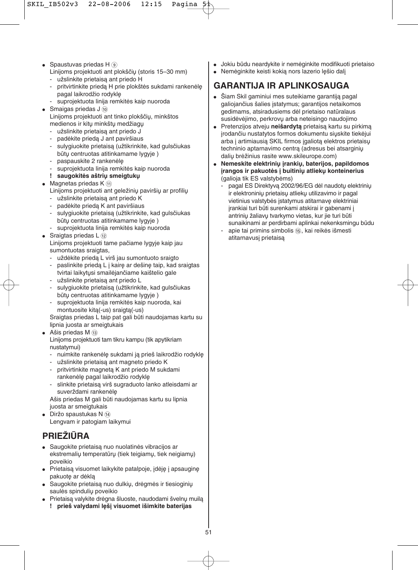- Spaustuvas priedas  $H(\widehat{9})$ 
	- Linijoms projektuoti ant plokščių (storis 15–30 mm) - užslinkite prietaisą ant priedo H
	- pritvirtinkite prieda H prie plokštės sukdami rankenėle pagal laikrodžio rodyklę
	- suprojektuota linija remkitės kaip nuoroda
- $\bullet$  Smaigas priedas  $J(0)$ 
	- Linijoms projektuoti ant tinko plokščių, minkštos medienos ir kitų minkštų medžiagų
	- užslinkite prietaisa ant priedo J
	- padėkite priedą J ant paviršiaus
	- sulygiuokite prietaisą (užtikrinkite, kad gulsčiukas būtų centruotas atitinkamame lygyje)
	- paspauskite 2 rankenėlę
	- suprojektuota linija remkitės kaip nuoroda
- **! saugokitòs a‰tri˜ smeigtuk˜**
- Magnetas priedas  $K$   $(i)$ 
	- Linijoms projektuoti ant geležinių paviršių ar profilių
	- užslinkite prietaisą ant priedo K
	- padėkite priedą K ant paviršiaus
	- sulygiuokite prietaisą (užtikrinkite, kad gulsčiukas būtų centruotas atitinkamame lygyje)
- suprojektuota linija remkitės kaip nuoroda • Sraigtas priedas  $L$   $(12)$ 
	- Linijoms projektuoti tame paãiame lygyje kaip jau sumontuotas sraigtas,
	- uždėkite priedą L virš jau sumontuoto sraigto
	- paslinkite priedą L į kairę ar dešinę taip, kad sraigtas tvirtai laikytųsi smailėjančiame kaištelio gale
	- užslinkite prietaisą ant priedo L
	- sulygiuokite prietaisą (užtikrinkite, kad gulsčiukas būtų centruotas atitinkamame lygyje)
	- suprojektuota linija remkitės kaip nuoroda, kai montuosite kità(-us) sraigtà(-us)

Sraigtas priedas L taip pat gali būti naudojamas kartu su lipnia juosta ar smeigtukais

Ašis priedas M (13)

Linijoms projektuoti tam tikru kampu (tik apytikriam nustatymui)

- nuimkite rankenėlę sukdami ją prieš laikrodžio rodyklę
- užslinkite prietaisą ant magneto priedo K
- pritvirtinkite magneta K ant priedo M sukdami rankenėlę pagal laikrodžio rodyklę
- slinkite prietaisą virš sugraduoto lanko atleisdami ar suverždami rankenėlę
- Ašis priedas M gali būti naudojamas kartu su lipnia juosta ar smeigtukais
- Diržo spaustukas N (14) Lengvam ir patogiam laikymui

#### **PRIEÎIÌRA**

- Saugokite prietaisa nuo nuolatinės vibracijos ar ekstremaliu temperatūru (tiek teigiamu, tiek neigiamu) poveikio
- .<br>Prietaisą visuomet laikykite patalpoje, įdėję į apsauginę pakuote ar dėkla
- Saugokite prietaisą nuo dulkių, drėgmės ir tiesioginių saulės spindulių poveikio
- Prietaisą valykite drėgna šluoste, naudodami švelnų muilą ! prieš valydami lęšį visuomet išimkite baterijas
- Jokiu bdu neardykite ir nemòginkite modifikuoti prietaiso
- Nemėginkite keisti kokią nors lazerio lęšio dalį

#### **GARANTIJA IR APLINKOSAUGA**

- Šiam Skil gaminiui mes suteikiame garantiją pagal galiojančius šalies įstatymus; garantijos netaikomos gedimams, atsiradusiems dėl prietaiso natūralaus susidėvėjimo, perkrovų arba neteisingo naudojimo
- Pretenzijos atveju neišardytą prietaisą kartu su pirkimą jrodančiu nustatytos formos dokumentu siųskite tiekėjui arba i artimiausia SKIL firmos igaliota elektros prietaisu techninio aptarnavimo centrą (adresus bei atsarginių daliu brėžinius rasite www.skileurope.com)
- Nemeskite elektrinių irankių, baterijos, papildomos trangos ir pakuotės į buitinių atliekų konteinerius (galioja tik ES valstybėms)
	- pagal ES Direktyvą 2002/96/EG dėl naudotų elektrinių ir elektroninių prietaisų atliekų utilizavimo ir pagal vietinius valstybės įstatymus atitarnavę elektriniai irankiai turi būti surenkami atskirai ir gabenami į antrinių žaliavų tvarkymo vietas, kur jie turi būti sunaikinami ar perdirbami aplinkai nekenksmingu būdu
- apie tai primins simbolis ®, kai reikės išmesti atitarnavusį prietaisą